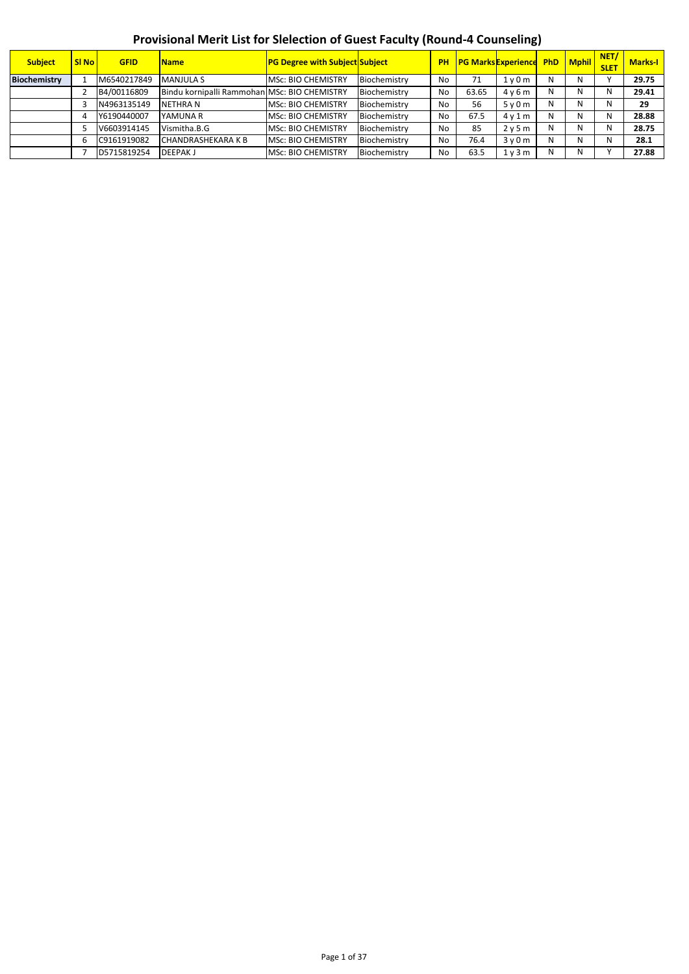## **Provisional Merit List for Slelection of Guest Faculty (Round-4 Counseling)**

| <b>Subject</b> | <b>SI No</b> | <b>GFID</b> | <b>Name</b>                                  | <b>PG Degree with Subject Subject</b> |              |                | <b>PH PG Marks Experience PhD Mphil</b> |          |   |   | NET/<br><b>SLET</b> | <b>Marks-I</b> |
|----------------|--------------|-------------|----------------------------------------------|---------------------------------------|--------------|----------------|-----------------------------------------|----------|---|---|---------------------|----------------|
| Biochemistry   |              | M6540217849 | MANJULA S                                    | <b>MSc: BIO CHEMISTRY</b>             | Biochemistry | N <sub>o</sub> | 71                                      | $1v$ 0 m | N | N |                     | 29.75          |
|                |              | B4/00116809 | Bindu kornipalli Rammohan MSc: BIO CHEMISTRY |                                       | Biochemistry | No             | 63.65                                   | 4y6m     | N | N | N                   | 29.41          |
|                |              | N4963135149 | <b>NETHRAN</b>                               | <b>MSc: BIO CHEMISTRY</b>             | Biochemistry | No             | 56                                      | 5v0m     | N |   | N                   | 29             |
|                |              | Y6190440007 | YAMUNA R                                     | <b>MSc: BIO CHEMISTRY</b>             | Biochemistry | No             | 67.5                                    | 4v1m     | N |   | N                   | 28.88          |
|                |              | V6603914145 | Vismitha.B.G                                 | <b>MSc: BIO CHEMISTRY</b>             | Biochemistry | <b>No</b>      | 85                                      | 2v5m     | N |   | N                   | 28.75          |
|                |              | C9161919082 | <b>CHANDRASHEKARA K B</b>                    | <b>MSc: BIO CHEMISTRY</b>             | Biochemistry | No             | 76.4                                    | 3v0m     | Ν |   | N                   | 28.1           |
|                |              | D5715819254 | <b>DEEPAKJ</b>                               | <b>MSc: BIO CHEMISTRY</b>             | Biochemistry | No             | 63.5                                    | 1 v 3 m  | Ν | N |                     | 27.88          |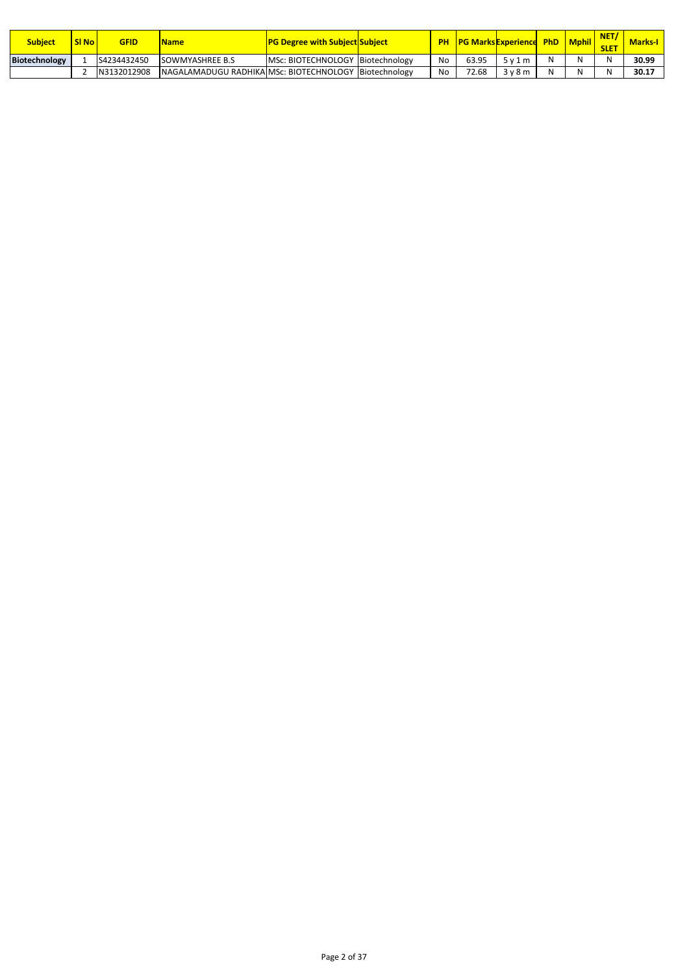| <b>Subject</b> | SI No | GFID        | <b>Name</b>                                             | <b>TPG Degree with Subject Subject</b> | <b>PH</b> |       | <b>PG Marks Experience PhD   Mphil  </b> |  | <b>SLET</b> | <b>Marks-I</b> |
|----------------|-------|-------------|---------------------------------------------------------|----------------------------------------|-----------|-------|------------------------------------------|--|-------------|----------------|
| Biotechnology  |       | S4234432450 | <b>ISOWMYASHREE B.S</b>                                 | MSc: BIOTECHNOLOGY Biotechnology       | No        | 63.95 | 5v1m                                     |  | N           | 30.99          |
|                |       | N3132012908 | INAGALAMADUGU RADHIKAIMSc: BIOTECHNOLOGY IBiotechnology |                                        | No        | 72.68 | 3v8m                                     |  |             | 30.17          |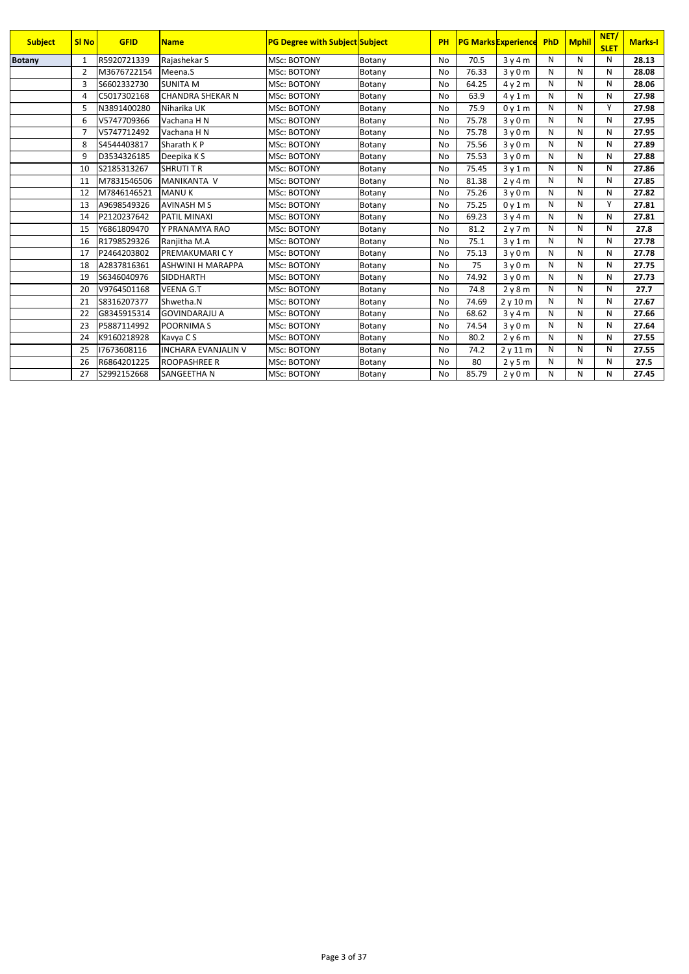| <b>Subject</b> | <b>SI No</b>   | <b>GFID</b> | <b>Name</b>                | <b>PG Degree with Subject Subject</b> |        | PH        |       | <b>PG Marks Experience</b> | PhD | <b>Mphil</b> | NET/<br><b>SLET</b> | <b>Marks-I</b> |
|----------------|----------------|-------------|----------------------------|---------------------------------------|--------|-----------|-------|----------------------------|-----|--------------|---------------------|----------------|
| <b>Botany</b>  | 1              | R5920721339 | Rajashekar S               | <b>MSc: BOTONY</b>                    | Botany | No        | 70.5  | 3y4m                       | N   | N            | N                   | 28.13          |
|                | $\overline{2}$ | M3676722154 | Meena.S                    | <b>MSc: BOTONY</b>                    | Botany | <b>No</b> | 76.33 | 3v0m                       | N   | N            | N                   | 28.08          |
|                | 3              | S6602332730 | <b>SUNITA M</b>            | <b>MSc: BOTONY</b>                    | Botany | <b>No</b> | 64.25 | 4y2m                       | N   | N            | N                   | 28.06          |
|                | $\overline{4}$ | C5017302168 | <b>CHANDRA SHEKAR N</b>    | <b>MSc: BOTONY</b>                    | Botany | <b>No</b> | 63.9  | 4v1m                       | N   | N            | N                   | 27.98          |
|                | 5              | N3891400280 | Niharika UK                | <b>MSc: BOTONY</b>                    | Botany | <b>No</b> | 75.9  | 0v1m                       | N   | N            | Y                   | 27.98          |
|                | 6              | V5747709366 | Vachana H N                | <b>MSc: BOTONY</b>                    | Botany | <b>No</b> | 75.78 | 3v0m                       | N   | N            | N                   | 27.95          |
|                | $\overline{7}$ | V5747712492 | Vachana H N                | <b>MSc: BOTONY</b>                    | Botany | <b>No</b> | 75.78 | 3v0m                       | N   | N            | N                   | 27.95          |
|                | 8              | S4544403817 | Sharath KP                 | <b>MSc: BOTONY</b>                    | Botany | <b>No</b> | 75.56 | 3v0m                       | N   | N            | N                   | 27.89          |
|                | 9              | D3534326185 | Deepika K S                | <b>MSc: BOTONY</b>                    | Botany | <b>No</b> | 75.53 | 3y0m                       | N   | N            | N                   | 27.88          |
|                | 10             | S2185313267 | <b>SHRUTI T R</b>          | <b>MSc: BOTONY</b>                    | Botany | <b>No</b> | 75.45 | 3y1m                       | N   | N            | N                   | 27.86          |
|                | 11             | M7831546506 | <b>MANIKANTA V</b>         | <b>MSc: BOTONY</b>                    | Botany | <b>No</b> | 81.38 | 2y4m                       | N   | N            | N                   | 27.85          |
|                | 12             | M7846146521 | <b>MANUK</b>               | <b>MSc: BOTONY</b>                    | Botany | <b>No</b> | 75.26 | 3y0m                       | N   | N            | N                   | 27.82          |
|                | 13             | A9698549326 | <b>AVINASH M S</b>         | <b>MSc: BOTONY</b>                    | Botany | <b>No</b> | 75.25 | 0v1m                       | N   | N            | Υ                   | 27.81          |
|                | 14             | P2120237642 | PATIL MINAXI               | <b>MSc: BOTONY</b>                    | Botany | No        | 69.23 | 3v4m                       | N   | N            | N                   | 27.81          |
|                | 15             | Y6861809470 | Y PRANAMYA RAO             | <b>MSc: BOTONY</b>                    | Botany | No        | 81.2  | 2y7m                       | N   | N            | N                   | 27.8           |
|                | 16             | R1798529326 | Ranjitha M.A               | <b>MSc: BOTONY</b>                    | Botany | No        | 75.1  | 3y1m                       | N   | N            | N                   | 27.78          |
|                | 17             | P2464203802 | <b>PREMAKUMARICY</b>       | MSc: BOTONY                           | Botany | <b>No</b> | 75.13 | 3y0m                       | N   | N            | N                   | 27.78          |
|                | 18             | A2837816361 | <b>ASHWINI H MARAPPA</b>   | <b>MSc: BOTONY</b>                    | Botany | <b>No</b> | 75    | 3v0m                       | N   | N            | N                   | 27.75          |
|                | 19             | S6346040976 | <b>SIDDHARTH</b>           | <b>MSc: BOTONY</b>                    | Botany | <b>No</b> | 74.92 | 3v0m                       | N   | N            | N                   | 27.73          |
|                | 20             | V9764501168 | <b>VEENA G.T</b>           | <b>MSc: BOTONY</b>                    | Botany | <b>No</b> | 74.8  | 2y8m                       | N   | N            | N                   | 27.7           |
|                | 21             | S8316207377 | Shwetha.N                  | <b>MSc: BOTONY</b>                    | Botany | <b>No</b> | 74.69 | 2y10m                      | N   | N            | N                   | 27.67          |
|                | 22             | G8345915314 | <b>GOVINDARAJU A</b>       | <b>MSc: BOTONY</b>                    | Botany | <b>No</b> | 68.62 | 3v4m                       | N   | N            | N                   | 27.66          |
|                | 23             | P5887114992 | <b>POORNIMAS</b>           | <b>MSc: BOTONY</b>                    | Botany | <b>No</b> | 74.54 | 3y0m                       | N   | N            | N                   | 27.64          |
|                | 24             | K9160218928 | Kavya C S                  | <b>MSc: BOTONY</b>                    | Botany | <b>No</b> | 80.2  | 2y6m                       | N   | N            | N                   | 27.55          |
|                | 25             | 17673608116 | <b>INCHARA EVANJALIN V</b> | <b>MSc: BOTONY</b>                    | Botany | <b>No</b> | 74.2  | 2y11m                      | N   | N            | N                   | 27.55          |
|                | 26             | R6864201225 | <b>ROOPASHREE R</b>        | <b>MSc: BOTONY</b>                    | Botany | No        | 80    | 2y5m                       | N   | N            | N                   | 27.5           |
|                | 27             | S2992152668 | SANGEETHA N                | <b>MSc: BOTONY</b>                    | Botany | No        | 85.79 | 2y0m                       | N   | N            | Ν                   | 27.45          |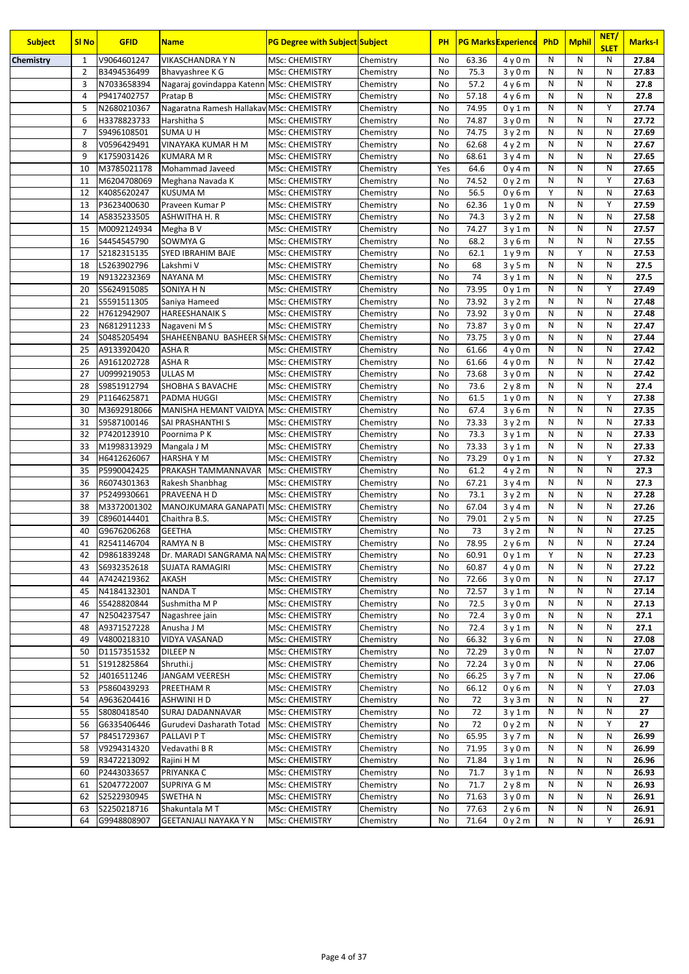| <b>Subject</b> | <b>SI No</b>   | <b>GFID</b>                | <b>Name</b>                              | <b>PG Degree with Subject Subject</b>          |                        | PH       |                | <b>PG Marks Experience</b> | <b>PhD</b> | <b>Mphil</b> | NET/<br><b>SLET</b> | <b>Marks-I</b> |
|----------------|----------------|----------------------------|------------------------------------------|------------------------------------------------|------------------------|----------|----------------|----------------------------|------------|--------------|---------------------|----------------|
| Chemistry      | 1              | V9064601247                | VIKASCHANDRA Y N                         | <b>MSc: CHEMISTRY</b>                          | Chemistry              | No       | 63.36          | 4y0m                       | N          | N            | N                   | 27.84          |
|                | $\overline{2}$ | B3494536499                | Bhavyashree K G                          | <b>MSc: CHEMISTRY</b>                          | Chemistry              | No       | 75.3           | 3y0m                       | N          | N            | N                   | 27.83          |
|                | 3              | N7033658394                | Nagaraj govindappa Katenn MSc: CHEMISTRY |                                                | Chemistry              | No       | 57.2           | 4y6m                       | N          | N            | N                   | 27.8           |
|                | $\overline{4}$ | P9417402757                | Pratap B                                 | <b>MSc: CHEMISTRY</b>                          | Chemistry              | No       | 57.18          | 4y6m                       | N          | N            | N                   | 27.8           |
|                | 5              | N2680210367                | Nagaratna Ramesh Hallakav MSc: CHEMISTRY |                                                | Chemistry              | No       | 74.95          | 0y1m                       | N          | N            | Y                   | 27.74          |
|                | 6              | H3378823733                | Harshitha S                              | <b>MSc: CHEMISTRY</b>                          | Chemistry              | No       | 74.87          | 3y0m                       | N          | N            | N                   | 27.72          |
|                | $\overline{7}$ | S9496108501                | SUMA U H                                 | <b>MSc: CHEMISTRY</b>                          | Chemistry              | No       | 74.75          | 3y2m                       | N          | N            | N                   | 27.69          |
|                | 8              | V0596429491                | VINAYAKA KUMAR H M                       | <b>MSc: CHEMISTRY</b>                          | Chemistry              | No       | 62.68          | 4y2m                       | N          | N            | N                   | 27.67          |
|                | 9              | K1759031426                | <b>KUMARA M R</b>                        | <b>MSc: CHEMISTRY</b>                          | Chemistry              | No       | 68.61          | 3y4m                       | N          | N            | N                   | 27.65          |
|                | 10             | M3785021178                | Mohammad Javeed                          | <b>MSc: CHEMISTRY</b>                          | Chemistry              | Yes      | 64.6           | 0y4m                       | N          | N            | N                   | 27.65          |
|                | 11             | M6204708069                | Meghana Navada K                         | <b>MSc: CHEMISTRY</b>                          | Chemistry              | No       | 74.52          | 0y2m                       | N          | N            | Y                   | 27.63          |
|                | 12             | K4085620247                | <b>KUSUMA M</b>                          | <b>MSc: CHEMISTRY</b>                          | Chemistry              | No       | 56.5           | 0y6m                       | Y          | N            | N                   | 27.63          |
|                | 13             | P3623400630                | Praveen Kumar P                          | <b>MSc: CHEMISTRY</b>                          | Chemistry              | No       | 62.36          | 1y0m                       | N          | N            | Y                   | 27.59          |
|                | 14             | A5835233505                | ASHWITHA H. R                            | <b>MSc: CHEMISTRY</b>                          | Chemistry              | No       | 74.3           | 3y2m                       | N          | N            | N                   | 27.58          |
|                | 15             | M0092124934                | Megha B V                                | <b>MSc: CHEMISTRY</b>                          | Chemistry              | No       | 74.27          | 3y1m                       | N          | N            | N                   | 27.57          |
|                | 16             | S4454545790                | SOWMYA G                                 | <b>MSc: CHEMISTRY</b>                          | Chemistry              | No       | 68.2           | 3y6m                       | N          | N            | N                   | 27.55          |
|                | 17             | S2182315135                | SYED IBRAHIM BAJE                        | <b>MSc: CHEMISTRY</b>                          | Chemistry              | No       | 62.1           | 1y9m                       | N          | Υ            | N                   | 27.53          |
|                | 18             | L5263902796                | Lakshmi V                                | <b>MSc: CHEMISTRY</b>                          | Chemistry              | No       | 68             | 3y5m                       | N          | N            | N                   | 27.5           |
|                | 19             | N9132232369                | NAYANA M                                 | <b>MSc: CHEMISTRY</b>                          | Chemistry              | No       | 74             | 3y1m                       | N          | N            | N                   | 27.5           |
|                | 20             | S5624915085                | SONIYA H N                               | <b>MSc: CHEMISTRY</b>                          | Chemistry              | No       | 73.95          | 0y1m                       | N          | N            | Y                   | 27.49          |
|                | 21             | S5591511305                | Saniya Hameed                            | <b>MSc: CHEMISTRY</b>                          | Chemistry              | No       | 73.92          | 3y2m                       | N          | N            | N                   | 27.48          |
|                | 22             | H7612942907                | <b>HAREESHANAIK S</b>                    | <b>MSc: CHEMISTRY</b>                          | Chemistry              | No       | 73.92          | 3y0m                       | N          | ${\sf N}$    | N                   | 27.48          |
|                | 23             | N6812911233                | Nagaveni M S                             | <b>MSc: CHEMISTRY</b>                          | Chemistry              | No       | 73.87          | 3y0m                       | N<br>N     | N<br>N       | N<br>N              | 27.47          |
|                | 24             | S0485205494                | SHAHEENBANU BASHEER SHMSC: CHEMISTRY     |                                                | Chemistry              | No       | 73.75          | 3y0m                       |            | N            | N                   | 27.44          |
|                | 25             | A9133920420                | ASHAR                                    | <b>MSc: CHEMISTRY</b>                          | Chemistry              | No       | 61.66          | 4y0m                       | N          | N            | N                   | 27.42          |
|                | 26<br>27       | A9161202728<br>U0999219053 | ASHAR<br><b>ULLAS M</b>                  | <b>MSc: CHEMISTRY</b><br><b>MSc: CHEMISTRY</b> | Chemistry              | No<br>No | 61.66<br>73.68 | 4y0m                       | N<br>N     | N            | N                   | 27.42<br>27.42 |
|                | 28             | S9851912794                | SHOBHA S BAVACHE                         | <b>MSc: CHEMISTRY</b>                          | Chemistry<br>Chemistry | No       | 73.6           | 3y0m                       | N          | ${\sf N}$    | N                   | 27.4           |
|                | 29             | P1164625871                | PADMA HUGGI                              | <b>MSc: CHEMISTRY</b>                          | Chemistry              | No       | 61.5           | 2y8m<br>1y0m               | N          | N            | Y                   | 27.38          |
|                | 30             | M3692918066                | MANISHA HEMANT VAIDYA MSc: CHEMISTRY     |                                                | Chemistry              | No       | 67.4           | 3y6m                       | N          | N            | N                   | 27.35          |
|                | 31             | S9587100146                | SAI PRASHANTHI S                         | <b>MSc: CHEMISTRY</b>                          | Chemistry              | No       | 73.33          | 3y2m                       | N          | N            | N                   | 27.33          |
|                | 32             | P7420123910                | Poornima P K                             | <b>MSc: CHEMISTRY</b>                          | Chemistry              | No       | 73.3           | 3y1m                       | N          | N            | N                   | 27.33          |
|                | 33             | M1998313929                | Mangala J M                              | <b>MSc: CHEMISTRY</b>                          | Chemistry              | No       | 73.33          | 3y1m                       | N          | N            | N                   | 27.33          |
|                | 34             | H6412626067                | <b>HARSHAYM</b>                          | <b>MSc: CHEMISTRY</b>                          | Chemistry              | No       | 73.29          | 0y1m                       | N          | N            | Y                   | 27.32          |
|                | 35             | P5990042425                | PRAKASH TAMMANNAVAR                      | <b>MSc: CHEMISTRY</b>                          | Chemistry              | No       | 61.2           | 4y2m                       | N          | N            | N                   | 27.3           |
|                | 36             | R6074301363                | Rakesh Shanbhag                          | <b>MSc: CHEMISTRY</b>                          | Chemistry              | No       | 67.21          | 3y4m                       | N          | N            | N                   | 27.3           |
|                | 37             | P5249930661                | PRAVEENA H D                             | <b>MSc: CHEMISTRY</b>                          | Chemistry              | No       | 73.1           | 3y2m                       | N          | N            | N                   | 27.28          |
|                | 38             | M3372001302                | MANOJKUMARA GANAPATI MSc: CHEMISTRY      |                                                | Chemistry              | No       | 67.04          | 3y4m                       | N          | N            | N                   | 27.26          |
|                | 39             | C8960144401                | Chaithra B.S.                            | <b>MSc: CHEMISTRY</b>                          | Chemistry              | No       | 79.01          | 2y5m                       | N          | N            | N                   | 27.25          |
|                | 40             | G9676206268                | <b>GEETHA</b>                            | <b>MSc: CHEMISTRY</b>                          | Chemistry              | No       | 73             | 3y2m                       | N          | N            | N                   | 27.25          |
|                | 41             | R2541146704                | RAMYA N B                                | <b>MSc: CHEMISTRY</b>                          | Chemistry              | No       | 78.95          | 2y6m                       | N          | N            | N                   | 27.24          |
|                | 42             | D9861839248                | Dr. MARADI SANGRAMA NA MSc: CHEMISTRY    |                                                | Chemistry              | No       | 60.91          | 0y1m                       | Υ          | Ν            | N                   | 27.23          |
|                | 43             | S6932352618                | <b>SUJATA RAMAGIRI</b>                   | <b>MSc: CHEMISTRY</b>                          | Chemistry              | No       | 60.87          | 4y0m                       | Ν          | N            | N                   | 27.22          |
|                | 44             | A7424219362                | AKASH                                    | MSc: CHEMISTRY                                 | Chemistry              | No       | 72.66          | 3y0m                       | N          | Ν            | Ν                   | 27.17          |
|                | 45             | N4184132301                | <b>NANDAT</b>                            | <b>MSc: CHEMISTRY</b>                          | Chemistry              | No       | 72.57          | 3y1m                       | Ν          | N            | N                   | 27.14          |
|                | 46             | S5428820844                | Sushmitha M P                            | MSc: CHEMISTRY                                 | Chemistry              | No       | 72.5           | 3y0m                       | Ν          | N            | N                   | 27.13          |
|                | 47             | N2504237547                | Nagashree jain                           | <b>MSc: CHEMISTRY</b>                          | Chemistry              | No       | 72.4           | 3y0m                       | Ν          | N            | N                   | 27.1           |
|                | 48             | A9371527228                | Anusha J M                               | MSc: CHEMISTRY                                 | Chemistry              | No       | 72.4           | 3y1m                       | Ν          | Ν            | N                   | 27.1           |
|                | 49             | V4800218310                | VIDYA VASANAD                            | <b>MSc: CHEMISTRY</b>                          | Chemistry              | No       | 66.32          | 3y6m                       | Ν          | Ν            | N                   | 27.08          |
|                | 50             | D1157351532                | DILEEP N                                 | MSc: CHEMISTRY                                 | Chemistry              | No       | 72.29          | 3y0m                       | N          | N            | N                   | 27.07          |
|                | 51             | S1912825864                | Shruthi.j                                | MSc: CHEMISTRY                                 | Chemistry              | No       | 72.24          | 3y0m                       | N          | N            | N                   | 27.06          |
|                | 52             | J4016511246                | JANGAM VEERESH                           | <b>MSc: CHEMISTRY</b>                          | Chemistry              | No       | 66.25          | 3y7m                       | Ν          | N            | N                   | 27.06          |
|                | 53             | P5860439293                | PREETHAM R                               | <b>MSc: CHEMISTRY</b>                          | Chemistry              | No       | 66.12          | 0y6m                       | Ν          | N            | Y                   | 27.03          |
|                | 54             | A9636204416                | ASHWINI H D                              | MSc: CHEMISTRY                                 | Chemistry              | No       | 72             | 3y3m                       | Ν          | N            | N                   | 27             |
|                | 55             | S8080418540                | SURAJ DADANNAVAR                         | MSc: CHEMISTRY                                 | Chemistry              | No       | 72             | 3y1m                       | Ν          | N            | N                   | 27             |
|                | 56             | G6335406446                | Gurudevi Dasharath Totad                 | MSc: CHEMISTRY                                 | Chemistry              | No       | 72             | 0y2m                       | Ν          | N            | Υ                   | 27             |
|                | 57             | P8451729367                | PALLAVI P T                              | MSc: CHEMISTRY                                 | Chemistry              | No       | 65.95          | 3y7m                       | Ν          | N            | N                   | 26.99          |
|                | 58             | V9294314320                | Vedavathi B R                            | <b>MSc: CHEMISTRY</b>                          | Chemistry              | No       | 71.95          | 3y0m                       | N          | N            | N                   | 26.99          |
|                | 59             | R3472213092                | Rajini H M                               | MSc: CHEMISTRY                                 | Chemistry              | No       | 71.84          | 3y1m                       | N          | N            | N                   | 26.96          |
|                | 60             | P2443033657                | PRIYANKA C                               | <b>MSc: CHEMISTRY</b>                          | Chemistry              | No       | 71.7           | 3y1m                       | Ν          | N            | N                   | 26.93          |
|                | 61             | S2047722007                | <b>SUPRIYA G M</b>                       | <b>MSc: CHEMISTRY</b>                          | Chemistry              | No       | 71.7           | 2y8m                       | Ν<br>N     | N<br>N       | N<br>N              | 26.93          |
|                | 62<br>63       | S2522930945<br>S2250218716 | <b>SWETHAN</b><br>Shakuntala MT          | <b>MSc: CHEMISTRY</b><br><b>MSc: CHEMISTRY</b> | Chemistry              | No       | 71.63<br>77.63 | 3y0m<br>2y6m               | N          | N            | N                   | 26.91<br>26.91 |
|                | 64             | G9948808907                | <b>GEETANJALI NAYAKA Y N</b>             | <b>MSc: CHEMISTRY</b>                          | Chemistry<br>Chemistry | No       | 71.64          | 0y2m                       | Ν          | N            | Υ                   | 26.91          |
|                |                |                            |                                          |                                                |                        | No       |                |                            |            |              |                     |                |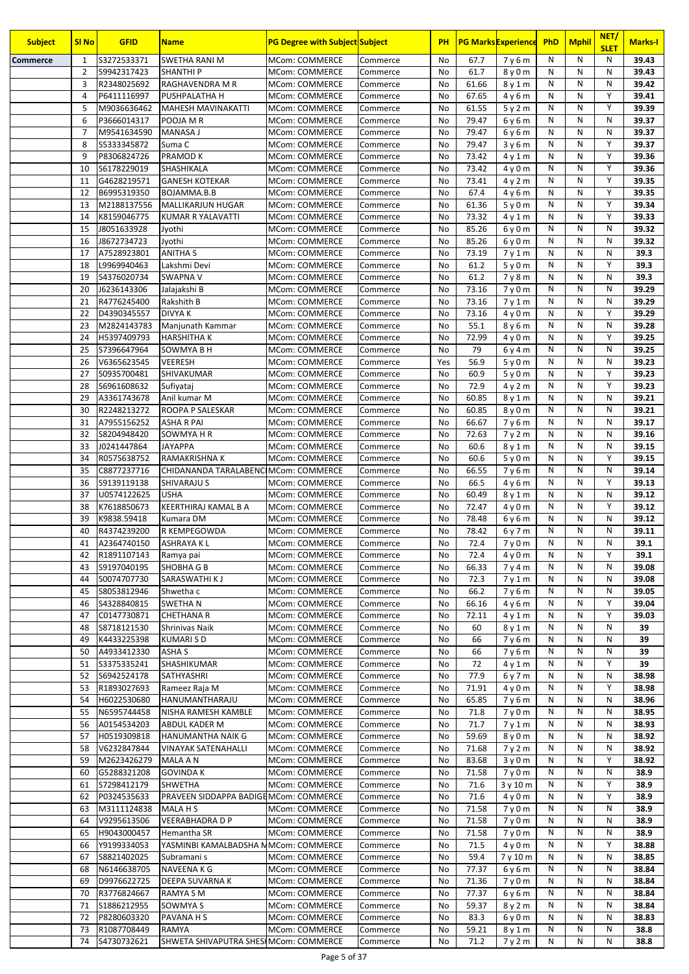| <b>Subject</b>  | <b>SI No</b>   | <b>GFID</b>                | <b>Name</b>                            | <b>PG Degree with Subject Subject</b>          |                      | <b>PH</b>       |                | <b>PG Marks Experience</b> | <b>PhD</b>                   | <b>Mphil</b> | NET/<br><b>SLET</b> | <b>Marks-I</b> |
|-----------------|----------------|----------------------------|----------------------------------------|------------------------------------------------|----------------------|-----------------|----------------|----------------------------|------------------------------|--------------|---------------------|----------------|
| <b>Commerce</b> | 1              | S3272533371                | <b>SWETHA RANI M</b>                   | <b>MCom: COMMERCE</b>                          | Commerce             | No              | 67.7           | 7y6m                       | N                            | N            | N                   | 39.43          |
|                 | $\overline{2}$ | S9942317423                | <b>SHANTHIP</b>                        | MCom: COMMERCE                                 | Commerce             | No              | 61.7           | 8y0m                       | N                            | N            | N                   | 39.43          |
|                 | 3              | R2348025692                | RAGHAVENDRA M R                        | <b>MCom: COMMERCE</b>                          | Commerce             | No              | 61.66          | 8y1m                       | N                            | N            | N                   | 39.42          |
|                 | $\overline{4}$ | P6411116997                | PUSHPALATHA H                          | MCom: COMMERCE                                 | Commerce             | No              | 67.65          | 4y6m                       | N<br>N                       | N<br>N       | Υ<br>Y              | 39.41          |
|                 | 5<br>6         | M9036636462<br>P3666014317 | MAHESH MAVINAKATTI<br>POOJA M R        | MCom: COMMERCE<br>MCom: COMMERCE               | Commerce<br>Commerce | No<br>No        | 61.55<br>79.47 | 5y2m<br>6y6m               | N                            | N            | N                   | 39.39<br>39.37 |
|                 | $\overline{7}$ | M9541634590                | MANASA J                               | MCom: COMMERCE                                 | Commerce             | No              | 79.47          | 6y6m                       | N                            | N            | N                   | 39.37          |
|                 | 8              | S5333345872                | Suma C                                 | <b>MCom: COMMERCE</b>                          | Commerce             | No              | 79.47          | 3y6m                       | N                            | N            | Y                   | 39.37          |
|                 | 9              | P8306824726                | <b>PRAMOD K</b>                        | MCom: COMMERCE                                 | Commerce             | No              | 73.42          | 4y1m                       | N                            | N            | Y                   | 39.36          |
|                 | 10             | S6178229019                | <b>SHASHIKALA</b>                      | <b>MCom: COMMERCE</b>                          | Commerce             | No              | 73.42          | 4y0m                       | N                            | N            | Y                   | 39.36          |
|                 | 11             | G4628219571                | <b>GANESH KOTEKAR</b>                  | MCom: COMMERCE                                 | Commerce             | No              | 73.41          | 4y2m                       | N                            | N            | Y                   | 39.35          |
|                 | 12             | B6995319350                | BOJAMMA.B.B                            | MCom: COMMERCE                                 | Commerce             | No              | 67.4           | 4y6m                       | N                            | N            | Y                   | 39.35          |
|                 | 13             | M2188137556                | MALLIKARJUN HUGAR                      | MCom: COMMERCE                                 | Commerce             | No<br>No        | 61.36          | 5y0m                       | N<br>N                       | N<br>N       | Y<br>Y              | 39.34          |
|                 | 14<br>15       | K8159046775<br>J8051633928 | KUMAR R YALAVATTI<br>Jyothi            | MCom: COMMERCE<br>MCom: COMMERCE               | Commerce<br>Commerce | No              | 73.32<br>85.26 | 4y1m<br>6y0m               | N                            | N            | N                   | 39.33<br>39.32 |
|                 | 16             | J8672734723                | Jyothi                                 | MCom: COMMERCE                                 | Commerce             | No              | 85.26          | 6y0m                       | N                            | N            | N                   | 39.32          |
|                 | 17             | A7528923801                | <b>ANITHA S</b>                        | MCom: COMMERCE                                 | Commerce             | No              | 73.19          | 7y1m                       | N                            | N            | N                   | 39.3           |
|                 | 18             | L9969940463                | Lakshmi Devi                           | <b>MCom: COMMERCE</b>                          | Commerce             | No              | 61.2           | 5y0m                       | N                            | N            | Y                   | 39.3           |
|                 | 19             | S4376020734                | <b>SWAPNA V</b>                        | MCom: COMMERCE                                 | Commerce             | No              | 61.2           | 7y8m                       | N                            | N            | N                   | 39.3           |
|                 | 20             | J6236143306                | Jalajakshi B                           | MCom: COMMERCE                                 | Commerce             | No              | 73.16          | 7y0m                       | $\mathsf{N}$                 | N            | N                   | 39.29          |
|                 | 21             | R4776245400                | Rakshith B                             | MCom: COMMERCE                                 | Commerce             | No              | 73.16          | 7y1m                       | N                            | N            | N                   | 39.29          |
|                 | 22             | D4390345557                | <b>DIVYAK</b>                          | <b>MCom: COMMERCE</b>                          | Commerce             | No              | 73.16          | 4y0m                       | N                            | N            | Y                   | 39.29          |
|                 | 23<br>24       | M2824143783<br>H5397409793 | Manjunath Kammar<br><b>HARSHITHAK</b>  | <b>MCom: COMMERCE</b><br><b>MCom: COMMERCE</b> | Commerce<br>Commerce | No<br>No        | 55.1<br>72.99  | 8y6m<br>4y0m               | $\mathsf{N}$<br>$\mathsf{N}$ | N<br>N       | N<br>Y              | 39.28<br>39.25 |
|                 | 25             | S7396647964                | SOWMYA B H                             | MCom: COMMERCE                                 | Commerce             | No              | 79             | 6y4m                       | $\mathsf{N}$                 | N            | N                   | 39.25          |
|                 | 26             | V6365623545                | <b>VEERESH</b>                         | <b>MCom: COMMERCE</b>                          | Commerce             | Yes             | 56.9           | 5y0m                       | N                            | N            | N                   | 39.23          |
|                 | 27             | S0935700481                | SHIVAKUMAR                             | MCom: COMMERCE                                 | Commerce             | No              | 60.9           | 5y0m                       | $\mathsf{N}$                 | N            | Y                   | 39.23          |
|                 | 28             | S6961608632                | Sufiyataj                              | MCom: COMMERCE                                 | Commerce             | No              | 72.9           | 4y2m                       | N                            | N            | Y                   | 39.23          |
|                 | 29             | A3361743678                | Anil kumar M                           | MCom: COMMERCE                                 | Commerce             | No              | 60.85          | 8y1m                       | N                            | N            | N                   | 39.21          |
|                 | 30             | R2248213272                | ROOPA P SALESKAR                       | MCom: COMMERCE                                 | Commerce             | No              | 60.85          | 8y0m                       | N                            | N            | N                   | 39.21          |
|                 | 31             | A7955156252                | <b>ASHA R PAI</b>                      | MCom: COMMERCE                                 | Commerce             | No              | 66.67          | 7y6m                       | N                            | N            | N                   | 39.17          |
|                 | 32             | S8204948420                | SOWMYA H R                             | <b>MCom: COMMERCE</b>                          | Commerce             | No              | 72.63          | 7y2m                       | N                            | N            | N                   | 39.16          |
|                 | 33<br>34       | J0241447864<br>R0575638752 | <b>JAYAPPA</b><br>RAMAKRISHNA K        | MCom: COMMERCE<br>MCom: COMMERCE               | Commerce<br>Commerce | No<br>No        | 60.6<br>60.6   | 8y1m<br>5y0m               | N<br>N                       | N<br>N       | N<br>Y              | 39.15<br>39.15 |
|                 | 35             | C8877237716                | CHIDANANDA TARALABENC MCom: COMMERCE   |                                                | Commerce             | No              | 66.55          | 7y6m                       | N                            | N            | N                   | 39.14          |
|                 | 36             | S9139119138                | <b>SHIVARAJU S</b>                     | <b>MCom: COMMERCE</b>                          | Commerce             | No              | 66.5           | 4 y 6 m                    | N                            | N            | Y                   | 39.13          |
|                 | 37             | U0574122625                | <b>USHA</b>                            | MCom: COMMERCE                                 | Commerce             | No              | 60.49          | 8y1m                       | N                            | N            | N                   | 39.12          |
|                 | 38             | K7618850673                | KEERTHIRAJ KAMAL B A                   | MCom: COMMERCE                                 | Commerce             | No              | 72.47          | 4y0m                       | N                            | N            | Y                   | 39.12          |
|                 | 39             | K9838.59418                | Kumara DM                              | MCom: COMMERCE                                 | Commerce             | No              | 78.48          | 6y6m                       | N                            | N            | N                   | 39.12          |
|                 | 40             | R4374239200                | R KEMPEGOWDA                           | MCom: COMMERCE                                 | Commerce             | No              | 78.42          | 6y7m                       | N                            | N            | N                   | 39.11          |
|                 | 41<br>42       | A2364740150<br>R1891107143 | <b>ASHRAYAKL</b>                       | MCom: COMMERCE<br><b>MCom: COMMERCE</b>        | Commerce             | <b>No</b><br>No | 72.4           | 7y0m                       | N<br>N                       | N<br>N       | N<br>Y              | 39.1<br>39.1   |
|                 | 43             | S9197040195                | Ramya pai<br><b>SHOBHA G B</b>         | MCom: COMMERCE                                 | Commerce<br>Commerce | No              | 72.4<br>66.33  | 4y0m<br>7y4m               | N                            | N            | N                   | 39.08          |
|                 | 44             | S0074707730                | SARASWATHI K J                         | <b>MCom: COMMERCE</b>                          | Commerce             | No              | 72.3           | 7y1m                       | N                            | N            | N                   | 39.08          |
|                 | 45             | S8053812946                | Shwetha c                              | MCom: COMMERCE                                 | Commerce             | No              | 66.2           | 7y6m                       | N                            | N            | N                   | 39.05          |
|                 | 46             | S4328840815                | <b>SWETHAN</b>                         | MCom: COMMERCE                                 | Commerce             | No              | 66.16          | 4 y 6 m                    | N                            | N            | Y                   | 39.04          |
|                 | 47             | C0147730871                | <b>CHETHANA R</b>                      | <b>MCom: COMMERCE</b>                          | Commerce             | No              | 72.11          | 4y1m                       | N                            | N            | Y                   | 39.03          |
|                 | 48             | S8718121530                | Shrinivas Naik                         | <b>MCom: COMMERCE</b>                          | Commerce             | No              | 60             | 8y1m                       | N                            | N            | N                   | 39             |
|                 | 49             | K4433225398                | <b>KUMARISD</b>                        | <b>MCom: COMMERCE</b>                          | Commerce             | No              | 66             | 7y6m                       | N                            | N            | N                   | 39             |
|                 | 50<br>51       | A4933412330<br>S3375335241 | ASHA S                                 | <b>MCom: COMMERCE</b>                          | Commerce             | No              | 66<br>72       | 7y6m                       | N<br>${\sf N}$               | N<br>N       | N<br>Υ              | 39<br>39       |
|                 | 52             | S6942524178                | SHASHIKUMAR<br>SATHYASHRI              | <b>MCom: COMMERCE</b><br><b>MCom: COMMERCE</b> | Commerce<br>Commerce | No<br>No        | 77.9           | 4 y 1 m<br>6y7m            | N                            | N            | N                   | 38.98          |
|                 | 53             | R1893027693                | Rameez Raja M                          | MCom: COMMERCE                                 | Commerce             | No              | 71.91          | 4y0m                       | N                            | N            | Y                   | 38.98          |
|                 | 54             | H6022530680                | HANUMANTHARAJU                         | MCom: COMMERCE                                 | Commerce             | No              | 65.85          | 7y6m                       | N                            | N            | N                   | 38.96          |
|                 | 55             | N6595744458                | NISHA RAMESH KAMBLE                    | MCom: COMMERCE                                 | Commerce             | No              | 71.8           | 7y0m                       | N                            | N            | N                   | 38.95          |
|                 | 56             | A0154534203                | ABDUL KADER M                          | <b>MCom: COMMERCE</b>                          | Commerce             | No              | 71.7           | 7y1m                       | N                            | N            | N                   | 38.93          |
|                 | 57             | H0519309818                | HANUMANTHA NAIK G                      | <b>MCom: COMMERCE</b>                          | Commerce             | No              | 59.69          | 8y0m                       | N                            | N            | N                   | 38.92          |
|                 | 58             | V6232847844                | <b>VINAYAK SATENAHALLI</b>             | <b>MCom: COMMERCE</b>                          | Commerce             | No              | 71.68          | 7y2m                       | N                            | N            | N                   | 38.92          |
|                 | 59             | M2623426279                | MALA A N                               | <b>MCom: COMMERCE</b>                          | Commerce             | No              | 83.68          | 3y0m                       | N                            | N            | Υ                   | 38.92          |
|                 | 60<br>61       | G5288321208<br>S7298412179 | <b>GOVINDA K</b><br>SHWETHA            | MCom: COMMERCE<br>MCom: COMMERCE               | Commerce             | No<br>No        | 71.58<br>71.6  | 7y0m                       | N<br>N                       | N<br>N       | N<br>Y              | 38.9<br>38.9   |
|                 | 62             | P0324535633                | PRAVEEN SIDDAPPA BADIGEMCom: COMMERCE  |                                                | Commerce<br>Commerce | No              | 71.6           | 3 y 10 m<br>4 y 0 m        | N                            | N            | Y                   | 38.9           |
|                 | 63             | M3111124838                | MALA H S                               | <b>MCom: COMMERCE</b>                          | Commerce             | No              | 71.58          | 7y0m                       | N                            | N            | N                   | 38.9           |
|                 | 64             | V9295613506                | VEERABHADRA D P                        | <b>MCom: COMMERCE</b>                          | Commerce             | No              | 71.58          | 7y0m                       | N                            | N            | N                   | 38.9           |
|                 | 65             | H9043000457                | Hemantha SR                            | <b>MCom: COMMERCE</b>                          | Commerce             | No              | 71.58          | 7y0m                       | N                            | N            | N                   | 38.9           |
|                 | 66             | Y9199334053                | YASMINBI KAMALBADSHA N MCom: COMMERCE  |                                                | Commerce             | No              | 71.5           | 4y0m                       | N                            | N            | Y                   | 38.88          |
|                 | 67             | S8821402025                | Subramani s                            | <b>MCom: COMMERCE</b>                          | Commerce             | No              | 59.4           | 7 y 10 m                   | N                            | N            | N                   | 38.85          |
|                 | 68             | N6146638705                | NAVEENA K G                            | <b>MCom: COMMERCE</b>                          | Commerce             | No              | 77.37          | 6y6m                       | N                            | N            | N                   | 38.84          |
|                 | 69             | D9976622725                | DEEPA SUVARNA K                        | MCom: COMMERCE                                 | Commerce             | No              | 71.36          | 7y0m                       | N                            | N            | N                   | 38.84          |
|                 | 70<br>71       | R3776824667<br>S1886212955 | RAMYA S M<br>SOWMYA S                  | <b>MCom: COMMERCE</b><br><b>MCom: COMMERCE</b> | Commerce             | No<br>No        | 77.37<br>59.37 | 6y6m                       | N<br>N                       | N<br>N       | N<br>N              | 38.84<br>38.84 |
|                 | 72             | P8280603320                | PAVANA H S                             | <b>MCom: COMMERCE</b>                          | Commerce<br>Commerce | No              | 83.3           | 8y2m<br>6y0m               | N                            | N            | N                   | 38.83          |
|                 | 73             | R1087708449                | <b>RAMYA</b>                           | <b>MCom: COMMERCE</b>                          | Commerce             | No              | 59.21          | 8 y 1 m                    | N                            | N            | N                   | 38.8           |
|                 | 74             | S4730732621                | SHWETA SHIVAPUTRA SHESI MCom: COMMERCE |                                                | Commerce             | No              | 71.2           | 7y2m                       | N                            | N            | N                   | 38.8           |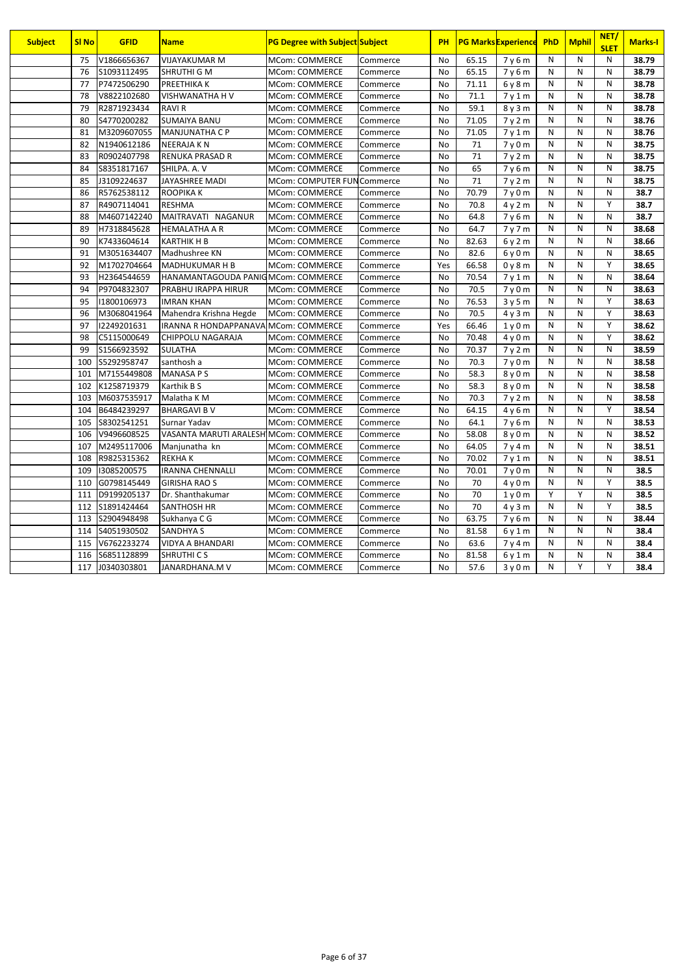| <b>Subject</b> | <b>SI No</b> | <b>GFID</b>  | <b>Name</b>                           | <b>PG Degree with Subject Subject</b> |          | <b>PH</b> |       | <b>PG Marks Experience</b>    | PhD | <b>Mphil</b> | NET/<br><b>SLET</b> | <b>Marks-I</b> |
|----------------|--------------|--------------|---------------------------------------|---------------------------------------|----------|-----------|-------|-------------------------------|-----|--------------|---------------------|----------------|
|                | 75           | V1866656367  | VIJAYAKUMAR M                         | MCom: COMMERCE                        | Commerce | No        | 65.15 | 7y6m                          | N   | N            | N                   | 38.79          |
|                | 76           | S1093112495  | <b>SHRUTHI G M</b>                    | <b>MCom: COMMERCE</b>                 | Commerce | <b>No</b> | 65.15 | 7y6m                          | N   | N            | N                   | 38.79          |
|                | 77           | P7472506290  | PREETHIKA K                           | MCom: COMMERCE                        | Commerce | <b>No</b> | 71.11 | 6y8m                          | N   | N            | N                   | 38.78          |
|                | 78           | V8822102680  | <b>VISHWANATHA H V</b>                | <b>MCom: COMMERCE</b>                 | Commerce | <b>No</b> | 71.1  | 7y1m                          | N   | N            | N                   | 38.78          |
|                | 79           | R2871923434  | <b>RAVIR</b>                          | <b>MCom: COMMERCE</b>                 | Commerce | <b>No</b> | 59.1  | 8y3m                          | N   | N            | N                   | 38.78          |
|                | 80           | S4770200282  | <b>SUMAIYA BANU</b>                   | MCom: COMMERCE                        | Commerce | No        | 71.05 | 7y2m                          | N   | N            | N                   | 38.76          |
|                | 81           | M3209607055  | <b>MANJUNATHA C P</b>                 | <b>MCom: COMMERCE</b>                 | Commerce | <b>No</b> | 71.05 | 7v1m                          | N   | N            | $\mathsf{N}$        | 38.76          |
|                | 82           | N1940612186  | <b>NEERAJAKN</b>                      | MCom: COMMERCE                        | Commerce | <b>No</b> | 71    | 7y0m                          | N   | N            | N                   | 38.75          |
|                | 83           | R0902407798  | <b>RENUKA PRASAD R</b>                | <b>MCom: COMMERCE</b>                 | Commerce | <b>No</b> | 71    | 7y2m                          | N   | N            | N                   | 38.75          |
|                | 84           | S8351817167  | SHILPA, A.V                           | <b>MCom: COMMERCE</b>                 | Commerce | <b>No</b> | 65    | 7y6m                          | N   | N            | $\mathsf{N}$        | 38.75          |
|                | 85           | J3109224637  | JAYASHREE MADI                        | MCom: COMPUTER FUNCommerce            |          | <b>No</b> | 71    | 7y2m                          | N   | N            | N                   | 38.75          |
|                | 86           | R5762538112  | ROOPIKA K                             | <b>MCom: COMMERCE</b>                 | Commerce | No        | 70.79 | 7y0m                          | N   | N            | ${\sf N}$           | 38.7           |
|                | 87           | R4907114041  | <b>RESHMA</b>                         | <b>MCom: COMMERCE</b>                 | Commerce | <b>No</b> | 70.8  | 4y2m                          | N   | N            | Y                   | 38.7           |
|                | 88           | M4607142240  | MAITRAVATI NAGANUR                    | MCom: COMMERCE                        | Commerce | <b>No</b> | 64.8  | 7y6m                          | N   | N            | N                   | 38.7           |
|                | 89           | H7318845628  | <b>HEMALATHA A R</b>                  | <b>MCom: COMMERCE</b>                 | Commerce | <b>No</b> | 64.7  | 7y7m                          | N   | N            | $\mathsf{N}$        | 38.68          |
|                | 90           | K7433604614  | <b>KARTHIK H B</b>                    | <b>MCom: COMMERCE</b>                 | Commerce | <b>No</b> | 82.63 | 6y2m                          | N   | N            | N                   | 38.66          |
|                | 91           | M3051634407  | Madhushree KN                         | MCom: COMMERCE                        | Commerce | No        | 82.6  | 6y0m                          | N   | N            | N                   | 38.65          |
|                | 92           | M1702704664  | <b>MADHUKUMAR H B</b>                 | <b>MCom: COMMERCE</b>                 | Commerce | Yes       | 66.58 | 0y8m                          | N   | N            | Y                   | 38.65          |
|                | 93           | H2364544659  | HANAMANTAGOUDA PANIGMCom: COMMERCE    |                                       | Commerce | No        | 70.54 | 7y1m                          | N   | N            | N                   | 38.64          |
|                | 94           | P9704832307  | PRABHU IRAPPA HIRUR                   | <b>MCom: COMMERCE</b>                 | Commerce | <b>No</b> | 70.5  | 7y0m                          | N   | N            | N                   | 38.63          |
|                | 95           | 11800106973  | <b>IMRAN KHAN</b>                     | MCom: COMMERCE                        | Commerce | <b>No</b> | 76.53 | 3y5m                          | N   | N            | Y                   | 38.63          |
|                | 96           | M3068041964  | Mahendra Krishna Hegde                | MCom: COMMERCE                        | Commerce | <b>No</b> | 70.5  | 4y3m                          | N   | N            | Y                   | 38.63          |
|                | 97           | 12249201631  | IRANNA R HONDAPPANAVA MCom: COMMERCE  |                                       | Commerce | Yes       | 66.46 | 1y0m                          | N   | N            | Υ                   | 38.62          |
|                | 98           | C5115000649  | CHIPPOLU NAGARAJA                     | MCom: COMMERCE                        | Commerce | <b>No</b> | 70.48 | 4 y 0 m                       | N   | N            | Y                   | 38.62          |
|                | 99           | S1566923592  | <b>SULATHA</b>                        | MCom: COMMERCE                        | Commerce | <b>No</b> | 70.37 | 7y2m                          | N   | N            | N                   | 38.59          |
|                | 100          | S5292958747  | santhosh a                            | MCom: COMMERCE                        | Commerce | No        | 70.3  | 7y0m                          | N   | N            | N                   | 38.58          |
|                | 101          | M7155449808  | <b>MANASA PS</b>                      | <b>MCom: COMMERCE</b>                 | Commerce | <b>No</b> | 58.3  | 8y0m                          | N   | N            | N                   | 38.58          |
|                | 102          | K1258719379  | Karthik B S                           | MCom: COMMERCE                        | Commerce | No        | 58.3  | 8y0m                          | N   | N            | N                   | 38.58          |
|                | 103          | M6037535917  | Malatha K M                           | <b>MCom: COMMERCE</b>                 | Commerce | No        | 70.3  | 7y2m                          | N   | N            | N                   | 38.58          |
|                | 104          | B6484239297  | <b>BHARGAVI B V</b>                   | <b>MCom: COMMERCE</b>                 | Commerce | No        | 64.15 | 4y6m                          | N   | N            | Y                   | 38.54          |
|                | 105          | S8302541251  | Surnar Yadav                          | MCom: COMMERCE                        | Commerce | <b>No</b> | 64.1  | 7y6m                          | N   | N            | N                   | 38.53          |
|                | 106          | V9496608525  | VASANTA MARUTI ARALESH MCom: COMMERCE |                                       | Commerce | <b>No</b> | 58.08 | 8 <sub>V</sub> 0 <sub>m</sub> | N   | N            | $\mathsf{N}$        | 38.52          |
|                | 107          | M2495117006  | Manjunatha kn                         | MCom: COMMERCE                        | Commerce | <b>No</b> | 64.05 | 7y4m                          | N   | N            | N                   | 38.51          |
|                | 108          | R9825315362  | <b>REKHAK</b>                         | <b>MCom: COMMERCE</b>                 | Commerce | No        | 70.02 | 7y1m                          | N   | N            | $\mathsf{N}$        | 38.51          |
|                | 109          | 13085200575  | <b>IRANNA CHENNALLI</b>               | MCom: COMMERCE                        | Commerce | <b>No</b> | 70.01 | 7y0m                          | N   | N            | N                   | 38.5           |
|                | 110          | G0798145449  | <b>GIRISHA RAO S</b>                  | MCom: COMMERCE                        | Commerce | <b>No</b> | 70    | 4v0m                          | N   | N            | Y                   | 38.5           |
|                | 111          | D9199205137  | Dr. Shanthakumar                      | MCom: COMMERCE                        | Commerce | No        | 70    | 1y0m                          | Y   | Υ            | N                   | 38.5           |
|                | 112          | \$1891424464 | SANTHOSH HR                           | MCom: COMMERCE                        | Commerce | <b>No</b> | 70    | 4y3m                          | N   | N            | Y                   | 38.5           |
|                | 113          | S2904948498  | Sukhanya C G                          | <b>MCom: COMMERCE</b>                 | Commerce | <b>No</b> | 63.75 | 7y6m                          | N   | N            | N                   | 38.44          |
|                | 114          | S4051930502  | <b>SANDHYA S</b>                      | MCom: COMMERCE                        | Commerce | No        | 81.58 | 6 y 1 m                       | N   | N            | $\mathsf{N}$        | 38.4           |
|                | 115          | V6762233274  | VIDYA A BHANDARI                      | <b>MCom: COMMERCE</b>                 | Commerce | No        | 63.6  | 7y4m                          | N   | N            | N                   | 38.4           |
|                | 116          | S6851128899  | SHRUTHI CS                            | MCom: COMMERCE                        | Commerce | No        | 81.58 | 6y1m                          | N   | N            | N                   | 38.4           |
|                | 117          | J0340303801  | JANARDHANA.MV                         | <b>MCom: COMMERCE</b>                 | Commerce | <b>No</b> | 57.6  | 3v0m                          | N   | Y            | Y                   | 38.4           |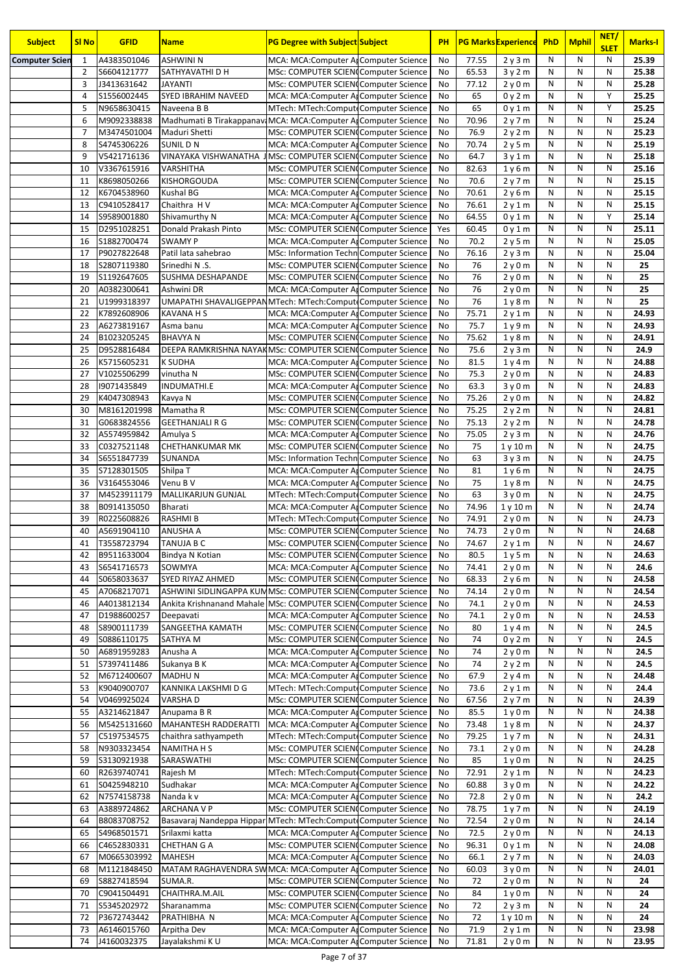| <b>Subject</b>        | <b>SI No</b>   | <b>GFID</b>                | <b>Name</b>                                                                       | <b>PG Degree with Subject Subject</b>                                                    | <b>PH</b> |                | <b>PG Marks Experience</b> | <b>PhD</b>                   | <b>Mphil</b> | NET/<br><b>SLET</b> | <b>Marks-I</b> |
|-----------------------|----------------|----------------------------|-----------------------------------------------------------------------------------|------------------------------------------------------------------------------------------|-----------|----------------|----------------------------|------------------------------|--------------|---------------------|----------------|
| <b>Computer Scier</b> | $\mathbf{1}$   | A4383501046                | <b>ASHWINI N</b>                                                                  | MCA: MCA: Computer Ar Computer Science                                                   | No        | 77.55          | 2y3m                       | N                            | N            | N                   | 25.39          |
|                       | $\overline{2}$ | S6604121777                | SATHYAVATHI D H                                                                   | MSc: COMPUTER SCIENCComputer Science                                                     | No        | 65.53          | 3y2m                       | N                            | N            | N                   | 25.38          |
|                       | 3              | J3413631642                | <b>JAYANTI</b>                                                                    | MSc: COMPUTER SCIENCComputer Science                                                     | No        | 77.12          | 2y0m                       | $\mathsf{N}$                 | N            | N                   | 25.28          |
|                       | $\overline{4}$ | S1556002445                | SYED IBRAHIM NAVEED                                                               | MCA: MCA: Computer Ar Computer Science                                                   | No        | 65             | 0y2m                       | $\mathsf{N}$                 | N<br>N       | Y<br>Y              | 25.25          |
|                       | 5<br>6         | N9658630415<br>M9092338838 | Naveena B B                                                                       | MTech: MTech:ComputeComputer Science                                                     | No        | 65             | 0y1m                       | $\mathsf{N}$<br>$\mathsf{N}$ | N            | N                   | 25.25<br>25.24 |
|                       | 7              | M3474501004                | Madhumati B Tirakappanavi MCA: MCA: Computer Al Computer Science<br>Maduri Shetti | MSc: COMPUTER SCIENCComputer Science                                                     | No<br>No  | 70.96<br>76.9  | 2y7m<br>2y2m               | N                            | N            | N                   | 25.23          |
|                       | 8              | S4745306226                | <b>SUNILDN</b>                                                                    | MCA: MCA:Computer ArComputer Science                                                     | No        | 70.74          | 2y5m                       | N                            | N            | N                   | 25.19          |
|                       | 9              | V5421716136                | VINAYAKA VISHWANATHA JMSc: COMPUTER SCIEN Computer Science                        |                                                                                          | No        | 64.7           | 3y1m                       | N                            | N            | N                   | 25.18          |
|                       | 10             | V3367615916                | VARSHITHA                                                                         | MSc: COMPUTER SCIENCComputer Science                                                     | No        | 82.63          | 1y6m                       | N                            | N            | N                   | 25.16          |
|                       | 11             | K8698050266                | KISHORGOUDA                                                                       | MSc: COMPUTER SCIENCComputer Science                                                     | No        | 70.6           | 2y7m                       | N                            | N            | N                   | 25.15          |
|                       | 12             | K6704538960                | Kushal BG                                                                         | MCA: MCA: Computer Ar Computer Science                                                   | No        | 70.61          | 2y6m                       | N                            | N            | N                   | 25.15          |
|                       | 13             | C9410528417                | Chaithra H V                                                                      | MCA: MCA: Computer Ar Computer Science                                                   | No        | 76.61          | 2y1m                       | $\mathsf{N}$                 | ${\sf N}$    | N                   | 25.15          |
|                       | 14             | S9589001880                | Shivamurthy N                                                                     | MCA: MCA: Computer Ar Computer Science                                                   | No        | 64.55          | 0y1m                       | N                            | N            | Y                   | 25.14          |
|                       | 15             | D2951028251                | Donald Prakash Pinto                                                              | MSc: COMPUTER SCIENCComputer Science                                                     | Yes       | 60.45          | 0y1m                       | N                            | ${\sf N}$    | N                   | 25.11          |
|                       | 16             | S1882700474<br>P9027822648 | <b>SWAMY P</b>                                                                    | MCA: MCA: Computer Ar Computer Science<br><b>MSc: Information Techn Computer Science</b> | No        | 70.2<br>76.16  | 2y5m                       | N<br>N                       | N<br>N       | N<br>N              | 25.05          |
|                       | 17<br>18       | S2807119380                | Patil lata sahebrao<br>Srinedhi N.S.                                              | MSc: COMPUTER SCIEN(Computer Science                                                     | No<br>No  | 76             | 2y3m<br>2y0m               | N                            | N            | N                   | 25.04<br>25    |
|                       | 19             | S1192647605                | SUSHMA DESHAPANDE                                                                 | MSc: COMPUTER SCIENCComputer Science                                                     | No        | 76             | 2y0m                       | N                            | ${\sf N}$    | N                   | 25             |
|                       | 20             | A0382300641                | Ashwini DR                                                                        | MCA: MCA: Computer Ar Computer Science                                                   | No        | 76             | 2y0m                       | N                            | N            | N                   | 25             |
|                       | 21             | U1999318397                | UMAPATHI SHAVALIGEPPAN MTech: MTech:Compute Computer Science                      |                                                                                          | No        | 76             | 1y8m                       | N                            | N            | N                   | 25             |
|                       | 22             | K7892608906                | <b>KAVANA H S</b>                                                                 | MCA: MCA: Computer Ar Computer Science                                                   | No        | 75.71          | 2y1m                       | N                            | N            | N                   | 24.93          |
|                       | 23             | A6273819167                | Asma banu                                                                         | MCA: MCA:Computer ArComputer Science                                                     | No        | 75.7           | 1y9m                       | N                            | N            | N                   | 24.93          |
|                       | 24             | B1023205245                | <b>BHAVYAN</b>                                                                    | MSc: COMPUTER SCIEN(Computer Science                                                     | <b>No</b> | 75.62          | 1y8m                       | N                            | N            | N                   | 24.91          |
|                       | 25             | D9528816484                | DEEPA RAMKRISHNA NAYAK MSc: COMPUTER SCIEN Computer Science                       |                                                                                          | No        | 75.6           | 2y3m                       | N                            | N            | N                   | 24.9           |
|                       | 26             | K5715605231                | <b>K SUDHA</b>                                                                    | MCA: MCA: Computer Ar Computer Science                                                   | No        | 81.5           | 1y4m                       | N                            | N            | N                   | 24.88          |
|                       | 27             | V1025506299                | vinutha N                                                                         | MSc: COMPUTER SCIENCComputer Science                                                     | No        | 75.3           | 2y0m                       | $\mathsf{N}$                 | ${\sf N}$    | ${\sf N}$           | 24.83          |
|                       | 28             | 19071435849                | INDUMATHI.E                                                                       | MCA: MCA: Computer Ar Computer Science                                                   | No        | 63.3           | 3y0m                       | $\mathsf{N}$                 | N            | N                   | 24.83          |
|                       | 29             | K4047308943                | Kavya N                                                                           | MSc: COMPUTER SCIENCComputer Science                                                     | No        | 75.26          | 2y0m                       | $\mathsf{N}$<br>N            | N<br>N       | ${\sf N}$<br>N      | 24.82          |
|                       | 30<br>31       | M8161201998<br>G0683824556 | Mamatha R<br><b>GEETHANJALI R G</b>                                               | MSc: COMPUTER SCIENCComputer Science<br>MSc: COMPUTER SCIENCComputer Science             | No<br>No  | 75.25<br>75.13 | 2y2m<br>2y2m               | ${\sf N}$                    | N            | N                   | 24.81<br>24.78 |
|                       | 32             | A5574959842                | Amulya S                                                                          | MCA: MCA: Computer Ar Computer Science                                                   | No        | 75.05          | 2y3m                       | $\mathsf{N}$                 | N            | N                   | 24.76          |
|                       | 33             | C0327521148                | <b>CHETHANKUMAR MK</b>                                                            | MSc: COMPUTER SCIENCComputer Science                                                     | No        | 75             | 1y10m                      | N                            | N            | N                   | 24.75          |
|                       | 34             | S6551847739                | SUNANDA                                                                           | MSc: Information Techn Computer Science                                                  | No        | 63             | 3y3m                       | N                            | N            | N                   | 24.75          |
|                       | 35             | S7128301505                | Shilpa T                                                                          | MCA: MCA: Computer Ar Computer Science                                                   | No        | 81             | 1y6m                       | N                            | N            | N                   | 24.75          |
|                       | 36             | V3164553046                | Venu B V                                                                          | MCA: MCA: Computer Ar Computer Science                                                   | No        | 75             | 1y8m                       | N                            | N            | N                   | 24.75          |
|                       | 37             | M4523911179                | MALLIKARJUN GUNJAL                                                                | MTech: MTech:ComputeComputer Science                                                     | No        | 63             | 3y0m                       | N                            | N            | N                   | 24.75          |
|                       | 38             | B0914135050                | <b>Bharati</b>                                                                    | MCA: MCA: Computer Ar Computer Science                                                   | No        | 74.96          | 1y10m                      | N                            | N            | N                   | 24.74          |
|                       | 39             | R0225608826                | <b>RASHMIB</b>                                                                    | MTech: MTech:ComputeComputer Science                                                     | No        | 74.91          | 2y0m                       | N                            | N            | N                   | 24.73          |
|                       | 40             | A5691904110                | <b>ANUSHA A</b>                                                                   | MSc: COMPUTER SCIENCComputer Science                                                     | No        | 74.73          | 2y0m                       | $\mathsf{N}$                 | N            | N                   | 24.68          |
|                       | 41             | T3558723794<br>B9511633004 | <b>TANUJA B C</b>                                                                 | MSc: COMPUTER SCIEN(Computer Science<br>MSc: COMPUTER SCIEN(Computer Science             | No        | 74.67          | 2y1m                       | N<br>N                       | N<br>N       | N<br>N              | 24.67          |
|                       | 42<br>43       | S6541716573                | Bindya N Kotian<br>SOWMYA                                                         | MCA: MCA:Computer ArComputer Science                                                     | No<br>No  | 80.5<br>74.41  | 1y5m<br>2y0m               | N                            | N            | N                   | 24.63<br>24.6  |
|                       | 44             | S0658033637                | SYED RIYAZ AHMED                                                                  | MSc: COMPUTER SCIEN(Computer Science                                                     | No        | 68.33          | 2y6m                       | N                            | N            | ${\sf N}$           | 24.58          |
|                       | 45             | A7068217071                | ASHWINI SIDLINGAPPA KUMMSc: COMPUTER SCIEN Computer Science                       |                                                                                          | No        | 74.14          | 2y0m                       | N                            | N            | N                   | 24.54          |
|                       | 46             | A4013812134                | Ankita Krishnanand Mahale MSc: COMPUTER SCIEN Computer Science                    |                                                                                          | No        | 74.1           | 2y0m                       | N                            | N            | N                   | 24.53          |
|                       | 47             | D1988600257                | Deepavati                                                                         | MCA: MCA: Computer Ar Computer Science                                                   | No        | 74.1           | 2y0m                       | N                            | N            | N                   | 24.53          |
|                       | 48             | S8900111739                | SANGEETHA KAMATH                                                                  | MSc: COMPUTER SCIEN(Computer Science                                                     | No        | 80             | 1y4m                       | N                            | N            | N                   | 24.5           |
|                       | 49             | S0886110175                | SATHYA M                                                                          | MSc: COMPUTER SCIEN(Computer Science                                                     | No        | 74             | 0y2m                       | N                            | Υ            | Ν                   | 24.5           |
|                       | 50             | A6891959283                | Anusha A                                                                          | MCA: MCA: Computer Ar Computer Science                                                   | No        | 74             | 2y0m                       | N                            | N            | N                   | 24.5           |
|                       | 51             | S7397411486                | Sukanya B K                                                                       | MCA: MCA: Computer Ar Computer Science                                                   | No        | 74             | 2y2m                       | N                            | N            | N                   | 24.5           |
|                       | 52             | M6712400607                | <b>MADHUN</b>                                                                     | MCA: MCA:Computer ArComputer Science                                                     | No        | 67.9           | 2y4m                       | N                            | N            | N                   | 24.48          |
|                       | 53<br>54       | K9040900707                | KANNIKA LAKSHMI D G                                                               | MTech: MTech:ComputeComputer Science                                                     | No        | 73.6           | 2y1m                       | N                            | N<br>N       | Ν<br>N              | 24.4           |
|                       | 55             | V0469925024<br>A3214621847 | VARSHA D<br>Anupama B R                                                           | MSc: COMPUTER SCIEN(Computer Science<br>MCA: MCA: Computer Ar Computer Science           | No<br>No  | 67.56<br>85.5  | 2y7m<br>1y0m               | N<br>$\mathsf{N}$            | N            | Ν                   | 24.39<br>24.38 |
|                       | 56             | M5425131660                | MAHANTESH RADDERATTI                                                              | MCA: MCA: Computer Ar Computer Science                                                   | No        | 73.48          | 1y8m                       | $\mathsf{N}$                 | N            | N                   | 24.37          |
|                       | 57             | C5197534575                | chaithra sathyampeth                                                              | MTech: MTech:ComputeComputer Science                                                     | No        | 79.25          | 1y7m                       | N                            | N            | Ν                   | 24.31          |
|                       | 58             | N9303323454                | <b>NAMITHA H S</b>                                                                | MSc: COMPUTER SCIEN(Computer Science                                                     | No        | 73.1           | 2y0m                       | N                            | N            | N                   | 24.28          |
|                       | 59             | S3130921938                | SARASWATHI                                                                        | MSc: COMPUTER SCIENCComputer Science                                                     | No        | 85             | 1y0m                       | ${\sf N}$                    | N            | Ν                   | 24.25          |
|                       | 60             | R2639740741                | Rajesh M                                                                          | MTech: MTech:ComputeComputer Science                                                     | No        | 72.91          | 2y1m                       | N                            | N            | N                   | 24.23          |
|                       | 61             | S0425948210                | Sudhakar                                                                          | MCA: MCA:Computer ArComputer Science                                                     | No        | 60.88          | 3y0m                       | N                            | N            | N                   | 24.22          |
|                       | 62             | N7574158738                | Nanda k v                                                                         | MCA: MCA:Computer ArComputer Science                                                     | No        | 72.8           | 2y0m                       | N                            | N            | N                   | 24.2           |
|                       | 63             | A3889724862                | <b>ARCHANA V P</b>                                                                | MSc: COMPUTER SCIENCComputer Science                                                     | No        | 78.75          | 1y7m                       | N                            | N            | N                   | 24.19          |
|                       | 64             | B8083708752                | Basavaraj Nandeppa Hippar MTech: MTech: Compute Computer Science                  |                                                                                          | No        | 72.54          | 2y0m                       | N                            | Ν            | N                   | 24.14          |
|                       | 65             | S4968501571                | Srilaxmi katta                                                                    | MCA: MCA: Computer Ar Computer Science                                                   | No        | 72.5           | 2y0m                       | N<br>N                       | N<br>N       | N<br>N              | 24.13          |
|                       | 66<br>67       | C4652830331<br>M0665303992 | <b>CHETHAN G A</b><br><b>MAHESH</b>                                               | MSc: COMPUTER SCIENCComputer Science<br>MCA: MCA: Computer Ar Computer Science           | No<br>No  | 96.31<br>66.1  | 0y1m<br>2y7m               | N                            | N            | N                   | 24.08<br>24.03 |
|                       | 68             | M1121848450                | MATAM RAGHAVENDRA SW MCA: MCA: Computer Al Computer Science                       |                                                                                          | No        | 60.03          | 3y0m                       | N                            | N            | N                   | 24.01          |
|                       | 69             | S8827418594                | SUMA.R.                                                                           | MSc: COMPUTER SCIEN(Computer Science                                                     | No        | 72             | 2y0m                       | N                            | N            | N                   | 24             |
|                       | 70             | C9041504491                | CHAITHRA.M.AIL                                                                    | MSc: COMPUTER SCIEN(Computer Science                                                     | No        | 84             | 1y0m                       | N                            | N            | N                   | 24             |
|                       | 71             | S5345202972                | Sharanamma                                                                        | MSc: COMPUTER SCIEN(Computer Science                                                     | No        | 72             | 2y3m                       | N                            | N            | N                   | 24             |
|                       | 72             | P3672743442                | PRATHIBHA N                                                                       | MCA: MCA: Computer Ar Computer Science                                                   | No        | 72             | 1y10m                      | N                            | N            | N                   | 24             |
|                       | 73             | A6146015760                | Arpitha Dev                                                                       | MCA: MCA:Computer ArComputer Science                                                     | No        | 71.9           | 2y1m                       | N                            | N            | ${\sf N}$           | 23.98          |
|                       | 74             | J4160032375                | Jayalakshmi KU                                                                    | MCA: MCA: Computer Ar Computer Science                                                   | No        | 71.81          | 2y0m                       | N                            | N            | N                   | 23.95          |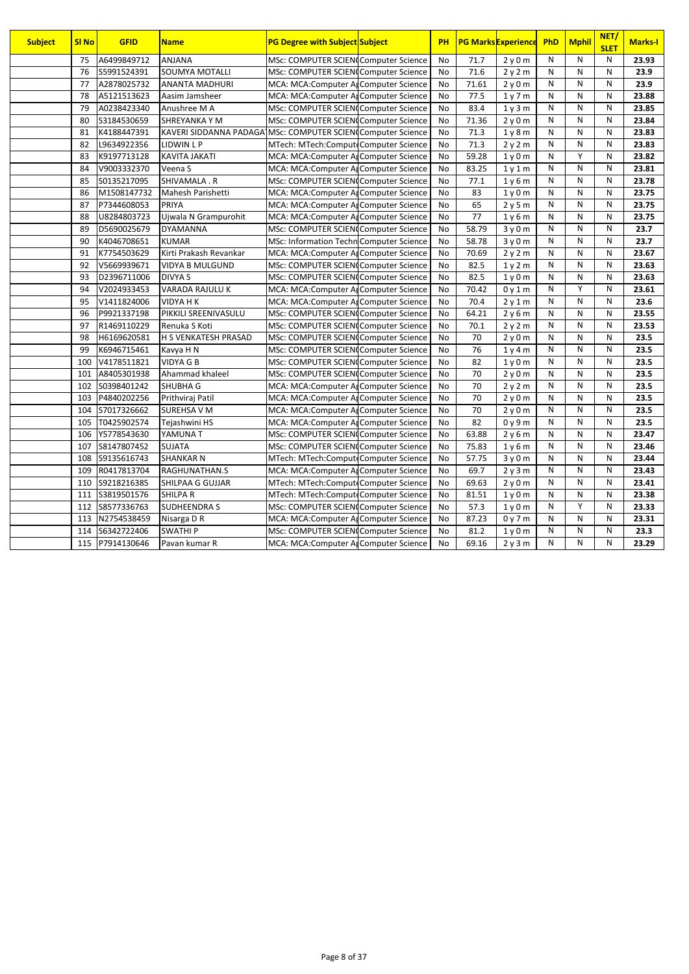| <b>Subject</b> | <b>SI No</b> | <b>GFID</b> | <b>Name</b>                                                 | <b>PG Degree with Subject Subject</b>   | PH        |       | <b>PG Marks Experience</b>    | PhD | <b>Mphil</b> | NET/<br><b>SLET</b> | <b>Marks-I</b> |
|----------------|--------------|-------------|-------------------------------------------------------------|-----------------------------------------|-----------|-------|-------------------------------|-----|--------------|---------------------|----------------|
|                | 75           | A6499849712 | <b>ANJANA</b>                                               | MSc: COMPUTER SCIEN(Computer Science    | <b>No</b> | 71.7  | 2y0m                          | N   | N            | N                   | 23.93          |
|                | 76           | S5991524391 | <b>SOUMYA MOTALLI</b>                                       | MSc: COMPUTER SCIEN(Computer Science    | <b>No</b> | 71.6  | 2y2m                          | N   | N            | N                   | 23.9           |
|                | 77           | A2878025732 | <b>ANANTA MADHURI</b>                                       | MCA: MCA: Computer Ar Computer Science  | <b>No</b> | 71.61 | 2v0m                          | N   | N            | $\mathsf{N}$        | 23.9           |
|                | 78           | A5121513623 | Aasim Jamsheer                                              | MCA: MCA: Computer Ar Computer Science  | <b>No</b> | 77.5  | 1v7m                          | N   | N            | N                   | 23.88          |
|                | 79           | A0238423340 | Anushree M A                                                | MSc: COMPUTER SCIEN(Computer Science    | <b>No</b> | 83.4  | 1 <sub>V</sub> 3 <sub>m</sub> | N   | N            | $\mathsf{N}$        | 23.85          |
|                | 80           | S3184530659 | <b>SHREYANKA Y M</b>                                        | MSc: COMPUTER SCIEN(Computer Science    | <b>No</b> | 71.36 | 2y0m                          | N   | N            | N                   | 23.84          |
|                | 81           | K4188447391 | KAVERI SIDDANNA PADAGA MSc: COMPUTER SCIEN(Computer Science |                                         | <b>No</b> | 71.3  | 1y8m                          | N   | N            | N                   | 23.83          |
|                | 82           | L9634922356 | <b>LIDWIN L P</b>                                           | MTech: MTech:ComputeComputer Science    | <b>No</b> | 71.3  | 2y2m                          | N   | N            | N                   | 23.83          |
|                | 83           | K9197713128 | <b>KAVITA JAKATI</b>                                        | MCA: MCA: Computer Ar Computer Science  | No        | 59.28 | 1y0m                          | N   | Y            | N                   | 23.82          |
|                | 84           | V9003332370 | Veena S                                                     | MCA: MCA: Computer Ar Computer Science  | <b>No</b> | 83.25 | 1v1m                          | N   | N            | N                   | 23.81          |
|                | 85           | S0135217095 | SHIVAMALA.R                                                 | MSc: COMPUTER SCIEN(Computer Science    | <b>No</b> | 77.1  | 1y6m                          | N   | N            | N                   | 23.78          |
|                | 86           | M1508147732 | Mahesh Parishetti                                           | MCA: MCA: Computer Arcomputer Science   | <b>No</b> | 83    | 1v0m                          | N   | N            | N                   | 23.75          |
|                | 87           | P7344608053 | PRIYA                                                       | MCA: MCA: Computer Ar Computer Science  | <b>No</b> | 65    | 2v5m                          | N   | N            | N                   | 23.75          |
|                | 88           | U8284803723 | Ujwala N Grampurohit                                        | MCA: MCA: Computer Ar Computer Science  | <b>No</b> | 77    | 1y6m                          | N   | N            | N                   | 23.75          |
|                | 89           | D5690025679 | <b>DYAMANNA</b>                                             | MSc: COMPUTER SCIENCComputer Science    | <b>No</b> | 58.79 | 3y0m                          | N   | N            | N                   | 23.7           |
|                | 90           | K4046708651 | <b>KUMAR</b>                                                | MSc: Information Techn Computer Science | <b>No</b> | 58.78 | 3y0m                          | N   | N            | N                   | 23.7           |
|                | 91           | K7754503629 | Kirti Prakash Revankar                                      | MCA: MCA: Computer Ar Computer Science  | No        | 70.69 | 2y2m                          | N   | N            | N                   | 23.67          |
|                | 92           | V5669939671 | <b>VIDYA B MULGUND</b>                                      | MSc: COMPUTER SCIEN(Computer Science    | <b>No</b> | 82.5  | 1v2m                          | N   | N            | N                   | 23.63          |
|                | 93           | D2396711006 | <b>DIVYA S</b>                                              | MSc: COMPUTER SCIEN Computer Science    | <b>No</b> | 82.5  | 1y0m                          | N   | N            | $\mathsf{N}$        | 23.63          |
|                | 94           | V2024933453 | VARADA RAJULU K                                             | MCA: MCA: Computer Arcomputer Science   | <b>No</b> | 70.42 | 0v1m                          | N   | Υ            | N                   | 23.61          |
|                | 95           | V1411824006 | <b>VIDYA H K</b>                                            | MCA: MCA: Computer Ar Computer Science  | <b>No</b> | 70.4  | 2v1m                          | N   | N            | N                   | 23.6           |
|                | 96           | P9921337198 | PIKKILI SREENIVASULU                                        | MSc: COMPUTER SCIEN(Computer Science    | No        | 64.21 | 2y6m                          | N   | N            | N                   | 23.55          |
|                | 97           | R1469110229 | Renuka S Koti                                               | MSc: COMPUTER SCIEN(Computer Science    | <b>No</b> | 70.1  | 2y2m                          | N   | N            | N                   | 23.53          |
|                | 98           | H6169620581 | H S VENKATESH PRASAD                                        | MSc: COMPUTER SCIEN(Computer Science    | <b>No</b> | 70    | 2y0m                          | N   | N            | $\mathsf{N}$        | 23.5           |
|                | 99           | K6946715461 | Kavya H N                                                   | MSc: COMPUTER SCIEN(Computer Science    | <b>No</b> | 76    | 1y4m                          | N   | N            | $\mathsf{N}$        | 23.5           |
|                | 100          | V4178511821 | <b>VIDYA G B</b>                                            | MSc: COMPUTER SCIEN(Computer Science    | <b>No</b> | 82    | 1v0m                          | N   | N            | $\mathsf{N}$        | 23.5           |
|                | 101          | A8405301938 | Ahammad khaleel                                             | MSc: COMPUTER SCIENCComputer Science    | <b>No</b> | 70    | 2y0m                          | N   | N            | N                   | 23.5           |
|                | 102          | S0398401242 | SHUBHA G                                                    | MCA: MCA: Computer Ar Computer Science  | <b>No</b> | 70    | 2v2m                          | N   | N            | $\mathsf{N}$        | 23.5           |
|                | 103          | P4840202256 | Prithviraj Patil                                            | MCA: MCA:Computer ArComputer Science    | <b>No</b> | 70    | 2y0m                          | N   | N            | N                   | 23.5           |
|                | 104          | S7017326662 | <b>SUREHSA V M</b>                                          | MCA: MCA: Computer Ar Computer Science  | <b>No</b> | 70    | 2v0m                          | N   | N            | N                   | 23.5           |
|                | 105          | T0425902574 | Tejashwini HS                                               | MCA: MCA: Computer Ar Computer Science  | <b>No</b> | 82    | 0y9m                          | N   | N            | $\mathsf{N}$        | 23.5           |
|                | 106          | Y5778543630 | YAMUNA T                                                    | MSc: COMPUTER SCIEN(Computer Science    | <b>No</b> | 63.88 | 2y6m                          | N   | N            | N                   | 23.47          |
|                | 107          | S8147807452 | <b>SUJATA</b>                                               | MSc: COMPUTER SCIEN(Computer Science    | <b>No</b> | 75.83 | 1v6m                          | N   | N            | N                   | 23.46          |
|                | 108          | S9135616743 | <b>SHANKAR N</b>                                            | MTech: MTech:ComputeComputer Science    | <b>No</b> | 57.75 | 3y0m                          | N   | N            | N                   | 23.44          |
|                | 109          | R0417813704 | RAGHUNATHAN.S                                               | MCA: MCA: Computer Ar Computer Science  | <b>No</b> | 69.7  | 2y3m                          | N   | N            | N                   | 23.43          |
|                | 110          | S9218216385 | SHILPAA G GUJJAR                                            | MTech: MTech:ComputeComputer Science    | <b>No</b> | 69.63 | 2v0m                          | N   | N            | N                   | 23.41          |
|                | 111          | S3819501576 | <b>SHILPAR</b>                                              | MTech: MTech:ComputeComputer Science    | <b>No</b> | 81.51 | 1y0m                          | N   | N            | N                   | 23.38          |
|                | 112          | S8577336763 | <b>SUDHEENDRA S</b>                                         | MSc: COMPUTER SCIEN(Computer Science    | No        | 57.3  | 1v0m                          | N   | Y            | N                   | 23.33          |
|                | 113          | N2754538459 | Nisarga D R                                                 | MCA: MCA: Computer Ar Computer Science  | <b>No</b> | 87.23 | 0y7m                          | N   | N            | N                   | 23.31          |
|                | 114          | S6342722406 | <b>SWATHIP</b>                                              | MSc: COMPUTER SCIEN(Computer Science    | <b>No</b> | 81.2  | 1y0m                          | N   | N            | N                   | 23.3           |
|                | 115          | P7914130646 | Pavan kumar R                                               | MCA: MCA: Computer Ar Computer Science  | <b>No</b> | 69.16 | 2y3m                          | N   | N            | N                   | 23.29          |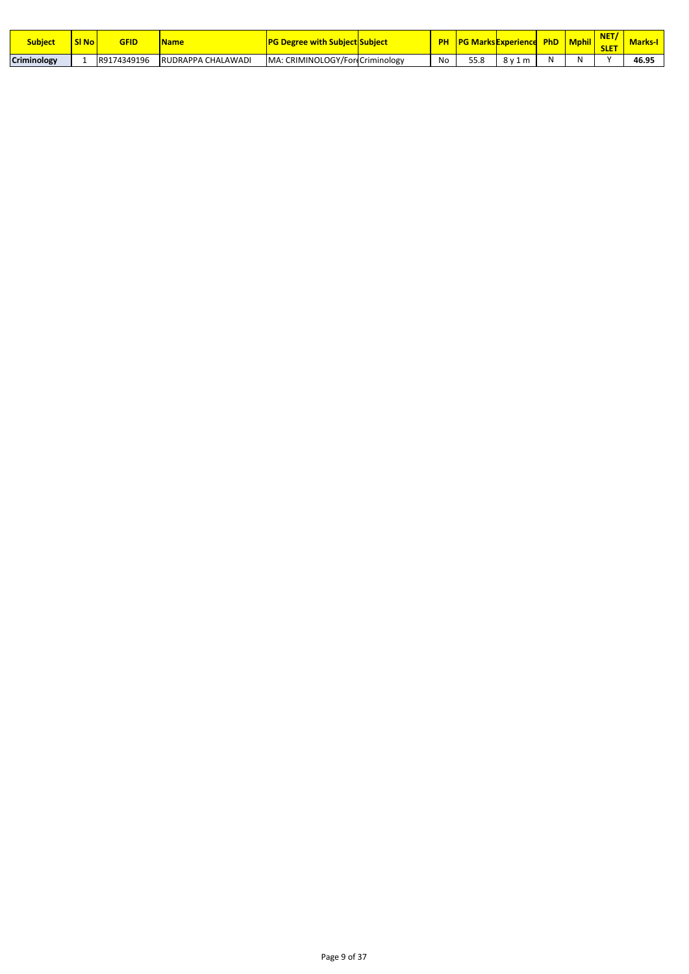| <b>Subject</b>     | <b>SI No</b> | GFID        | <b>Name</b>        | <b>Degree with Subject Subject</b> | nц        | <b>PG MarksExperience</b> |                  | PhD | <b>Mphil</b> | <b>NICT</b><br>.<br><b>SLET</b> | <b>Marks-I</b> |
|--------------------|--------------|-------------|--------------------|------------------------------------|-----------|---------------------------|------------------|-----|--------------|---------------------------------|----------------|
| <b>Criminology</b> |              | R9174349196 | RUDRAPPA CHALAWADI | MA: CRIMINOLOGY/For Criminology    | <b>NO</b> | rr o<br>33.O              | $R1$ 1<br>m<br>۰ | A.  |              |                                 | 46.95          |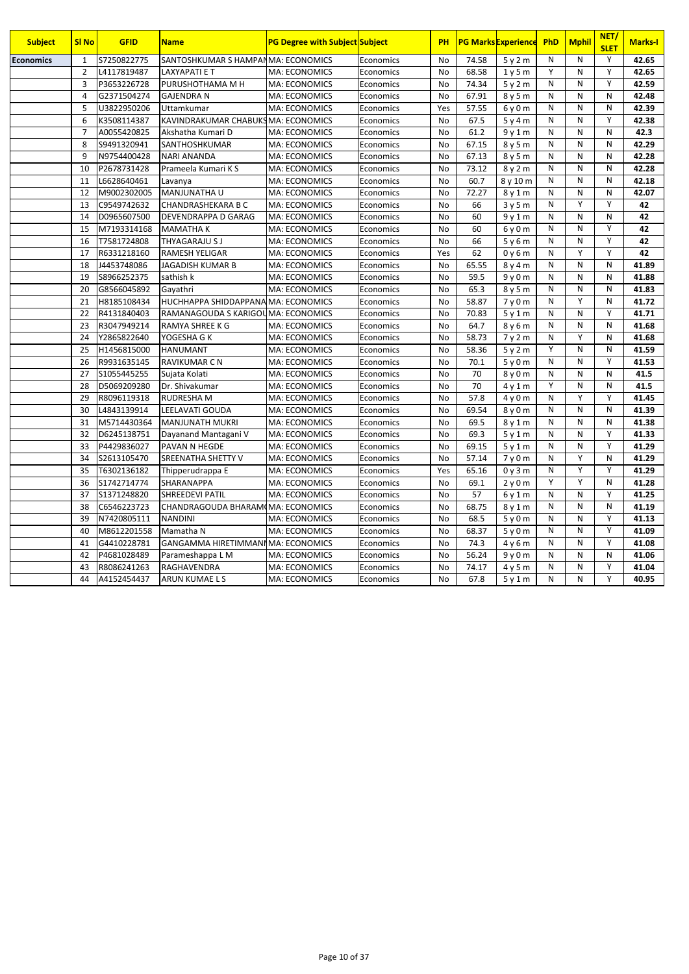| <b>Subject</b>   | <b>SI No</b>   | <b>GFID</b> | <b>Name</b>                         | <b>PG Degree with Subject Subject</b> |           | PH        |       | <b>PG Marks Experience</b> | PhD          | <b>Mphil</b> | NET/<br><b>SLET</b> | <b>Marks-I</b> |
|------------------|----------------|-------------|-------------------------------------|---------------------------------------|-----------|-----------|-------|----------------------------|--------------|--------------|---------------------|----------------|
| <b>Economics</b> | $\mathbf{1}$   | S7250822775 | SANTOSHKUMAR S HAMPANMA: ECONOMICS  |                                       | Economics | No        | 74.58 | 5y2m                       | N            | N            | Y                   | 42.65          |
|                  | $\overline{2}$ | L4117819487 | <b>LAXYAPATI E T</b>                | MA: ECONOMICS                         | Economics | <b>No</b> | 68.58 | 1y5m                       | Υ            | N            | Y                   | 42.65          |
|                  | $\overline{3}$ | P3653226728 | PURUSHOTHAMA M H                    | <b>MA: ECONOMICS</b>                  | Economics | <b>No</b> | 74.34 | 5y2m                       | N            | N            | Y                   | 42.59          |
|                  | $\overline{4}$ | G2371504274 | <b>GAJENDRA N</b>                   | MA: ECONOMICS                         | Economics | <b>No</b> | 67.91 | 8y5m                       | N            | N            | N                   | 42.48          |
|                  | 5              | U3822950206 | Uttamkumar                          | <b>MA: ECONOMICS</b>                  | Economics | Yes       | 57.55 | 6y0m                       | N            | $\mathsf{N}$ | N                   | 42.39          |
|                  | 6              | K3508114387 | KAVINDRAKUMAR CHABUKSMA: ECONOMICS  |                                       | Economics | No        | 67.5  | 5y4m                       | N            | N            | Y                   | 42.38          |
|                  | $\overline{7}$ | A0055420825 | Akshatha Kumari D                   | MA: ECONOMICS                         | Economics | <b>No</b> | 61.2  | 9y1m                       | N            | N            | N                   | 42.3           |
|                  | 8              | S9491320941 | SANTHOSHKUMAR                       | <b>MA: ECONOMICS</b>                  | Economics | <b>No</b> | 67.15 | 8y5m                       | N            | N            | N                   | 42.29          |
|                  | 9              | N9754400428 | <b>NARI ANANDA</b>                  | <b>MA: ECONOMICS</b>                  | Economics | <b>No</b> | 67.13 | 8y5m                       | N            | N            | N                   | 42.28          |
|                  | 10             | P2678731428 | Prameela Kumari K S                 | MA: ECONOMICS                         | Economics | <b>No</b> | 73.12 | 8 y 2 m                    | N            | N            | N                   | 42.28          |
|                  | 11             | L6628640461 | Lavanya                             | MA: ECONOMICS                         | Economics | No        | 60.7  | 8 y 10 m                   | N            | N            | N                   | 42.18          |
|                  | 12             | M9002302005 | MANJUNATHA U                        | MA: ECONOMICS                         | Economics | No        | 72.27 | 8y1m                       | N            | N            | N                   | 42.07          |
|                  | 13             | C9549742632 | CHANDRASHEKARA B C                  | <b>MA: ECONOMICS</b>                  | Economics | <b>No</b> | 66    | 3y5m                       | N            | Y            | Y                   | 42             |
|                  | 14             | D0965607500 | DEVENDRAPPA D GARAG                 | <b>MA: ECONOMICS</b>                  | Economics | <b>No</b> | 60    | 9v1m                       | N            | N            | N                   | 42             |
|                  | 15             | M7193314168 | <b>MAMATHAK</b>                     | <b>MA: ECONOMICS</b>                  | Economics | <b>No</b> | 60    | 6 y 0 m                    | N            | N            | Υ                   | 42             |
|                  | 16             | T7581724808 | THYAGARAJU S J                      | <b>MA: ECONOMICS</b>                  | Economics | No        | 66    | 5y6m                       | N            | N            | Υ                   | 42             |
|                  | 17             | R6331218160 | <b>RAMESH YELIGAR</b>               | MA: ECONOMICS                         | Economics | Yes       | 62    | 0y6m                       | N            | Y            | Y                   | 42             |
|                  | 18             | J4453748086 | JAGADISH KUMAR B                    | MA: ECONOMICS                         | Economics | <b>No</b> | 65.55 | 8y4m                       | N            | N            | N                   | 41.89          |
|                  | 19             | S8966252375 | sathish k                           | MA: ECONOMICS                         | Economics | <b>No</b> | 59.5  | 9v0m                       | N            | N            | N                   | 41.88          |
|                  | 20             | G8566045892 | Gayathri                            | MA: ECONOMICS                         | Economics | <b>No</b> | 65.3  | 8 y 5 m                    | N            | N            | N                   | 41.83          |
|                  | 21             | H8185108434 | HUCHHAPPA SHIDDAPPANA MA: ECONOMICS |                                       | Economics | No        | 58.87 | 7y0m                       | N            | Υ            | N                   | 41.72          |
|                  | 22             | R4131840403 | RAMANAGOUDA S KARIGOUMA: ECONOMICS  |                                       | Economics | No        | 70.83 | 5y1m                       | N            | N            | Y                   | 41.71          |
|                  | 23             | R3047949214 | <b>RAMYA SHREE K G</b>              | <b>MA: ECONOMICS</b>                  | Economics | <b>No</b> | 64.7  | 8y6m                       | N            | N            | N                   | 41.68          |
|                  | 24             | Y2865822640 | YOGESHA G K                         | MA: ECONOMICS                         | Economics | <b>No</b> | 58.73 | 7y2m                       | N            | Υ            | $\mathsf{N}$        | 41.68          |
|                  | 25             | H1456815000 | <b>HANUMANT</b>                     | MA: ECONOMICS                         | Economics | <b>No</b> | 58.36 | 5y2m                       | Y            | N            | N                   | 41.59          |
|                  | 26             | R9931635145 | <b>RAVIKUMAR C N</b>                | MA: ECONOMICS                         | Economics | <b>No</b> | 70.1  | 5y0m                       | N            | N            | Y                   | 41.53          |
|                  | 27             | S1055445255 | Sujata Kolati                       | MA: ECONOMICS                         | Economics | No        | 70    | 8y0m                       | N            | N            | N                   | 41.5           |
|                  | 28             | D5069209280 | Dr. Shivakumar                      | MA: ECONOMICS                         | Economics | <b>No</b> | 70    | 4v1m                       | Y            | N            | N                   | 41.5           |
|                  | 29             | R8096119318 | <b>RUDRESHA M</b>                   | MA: ECONOMICS                         | Economics | <b>No</b> | 57.8  | 4y0m                       | N            | Υ            | Y                   | 41.45          |
|                  | 30             | L4843139914 | <b>LEELAVATI GOUDA</b>              | MA: ECONOMICS                         | Economics | <b>No</b> | 69.54 | 8y0m                       | N            | N            | N                   | 41.39          |
|                  | 31             | M5714430364 | <b>MANJUNATH MUKRI</b>              | <b>MA: ECONOMICS</b>                  | Economics | <b>No</b> | 69.5  | 8v1m                       | N            | N            | N                   | 41.38          |
|                  | 32             | D6245138751 | Dayanand Mantagani V                | <b>MA: ECONOMICS</b>                  | Economics | No        | 69.3  | 5v1m                       | N            | N            | Υ                   | 41.33          |
|                  | 33             | P4429836027 | PAVAN N HEGDE                       | MA: ECONOMICS                         | Economics | No        | 69.15 | 5y1m                       | N            | N            | Y                   | 41.29          |
|                  | 34             | S2613105470 | SREENATHA SHETTY V                  | MA: ECONOMICS                         | Economics | <b>No</b> | 57.14 | 7y0m                       | N            | Υ            | $\mathsf{N}$        | 41.29          |
|                  | 35             | T6302136182 | Thipperudrappa E                    | MA: ECONOMICS                         | Economics | Yes       | 65.16 | 0y3m                       | N            | Υ            | Y                   | 41.29          |
|                  | 36             | S1742714774 | SHARANAPPA                          | MA: ECONOMICS                         | Economics | <b>No</b> | 69.1  | 2v0m                       | Y            | Υ            | N                   | 41.28          |
|                  | 37             | S1371248820 | <b>SHREEDEVI PATIL</b>              | <b>MA: ECONOMICS</b>                  | Economics | No        | 57    | 6v1m                       | N            | $\mathsf{N}$ | Y                   | 41.25          |
|                  | 38             | C6546223723 | CHANDRAGOUDA BHARAMIMA: ECONOMICS   |                                       | Economics | No        | 68.75 | 8y1m                       | $\mathsf{N}$ | N            | N                   | 41.19          |
|                  | 39             | N7420805111 | <b>NANDINI</b>                      | MA: ECONOMICS                         | Economics | <b>No</b> | 68.5  | 5y0m                       | N            | $\mathsf{N}$ | Υ                   | 41.13          |
|                  | 40             | M8612201558 | Mamatha N                           | <b>MA: ECONOMICS</b>                  | Economics | <b>No</b> | 68.37 | 5y0m                       | N            | N            | Υ                   | 41.09          |
|                  | 41             | G4410228781 | GANGAMMA HIRETIMMANI MA: ECONOMICS  |                                       | Economics | <b>No</b> | 74.3  | 4y6m                       | N            | N            | Υ                   | 41.08          |
|                  | 42             | P4681028489 | Parameshappa L M                    | MA: ECONOMICS                         | Economics | <b>No</b> | 56.24 | 9y0m                       | N            | $\mathsf{N}$ | N                   | 41.06          |
|                  | 43             | R8086241263 | RAGHAVENDRA                         | MA: ECONOMICS                         | Economics | No        | 74.17 | 4 y 5 m                    | $\mathsf{N}$ | N            | Υ                   | 41.04          |
|                  | 44             | A4152454437 | ARUN KUMAE L S                      | <b>MA: ECONOMICS</b>                  | Economics | <b>No</b> | 67.8  | 5y1m                       | N            | N            | Υ                   | 40.95          |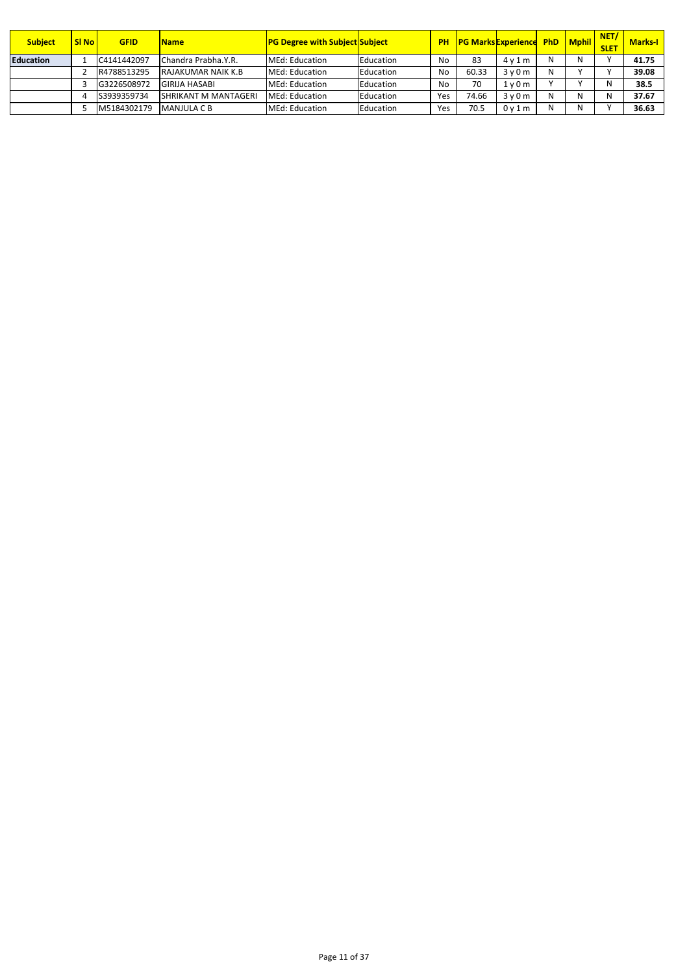| <b>Subject</b>   | <b>SI No</b> | <b>GFID</b> | <b>Name</b>                 | <b>PG Degree with Subject Subject</b> |           |     | <b>PH   PG Marks Experience PhD   Mphil  </b> |      |   |   | NET/<br><b>SLET</b> | <b>Marks-I</b> |
|------------------|--------------|-------------|-----------------------------|---------------------------------------|-----------|-----|-----------------------------------------------|------|---|---|---------------------|----------------|
| <b>Education</b> |              | C4141442097 | Chandra Prabha.Y.R.         | MEd: Education                        | Education | No  | 83                                            | 4v1m |   | N |                     | 41.75          |
|                  |              | R4788513295 | <b>RAJAKUMAR NAIK K.B.</b>  | MEd: Education                        | Education | No  | 60.33                                         | 3v0m | Ν |   |                     | 39.08          |
|                  |              | G3226508972 | <b>GIRIJA HASABI</b>        | MEd: Education                        | Education | No  | 70                                            | 1v0m |   |   | Ν                   | 38.5           |
|                  |              | S3939359734 | <b>SHRIKANT M MANTAGERI</b> | MEd: Education                        | Education | Yes | 74.66                                         | 3v0m |   | N | N                   | 37.67          |
|                  |              | M5184302179 | <b>MANJULA C B</b>          | MEd: Education                        | Education | Yes | 70.5                                          | 0v1m |   | N |                     | 36.63          |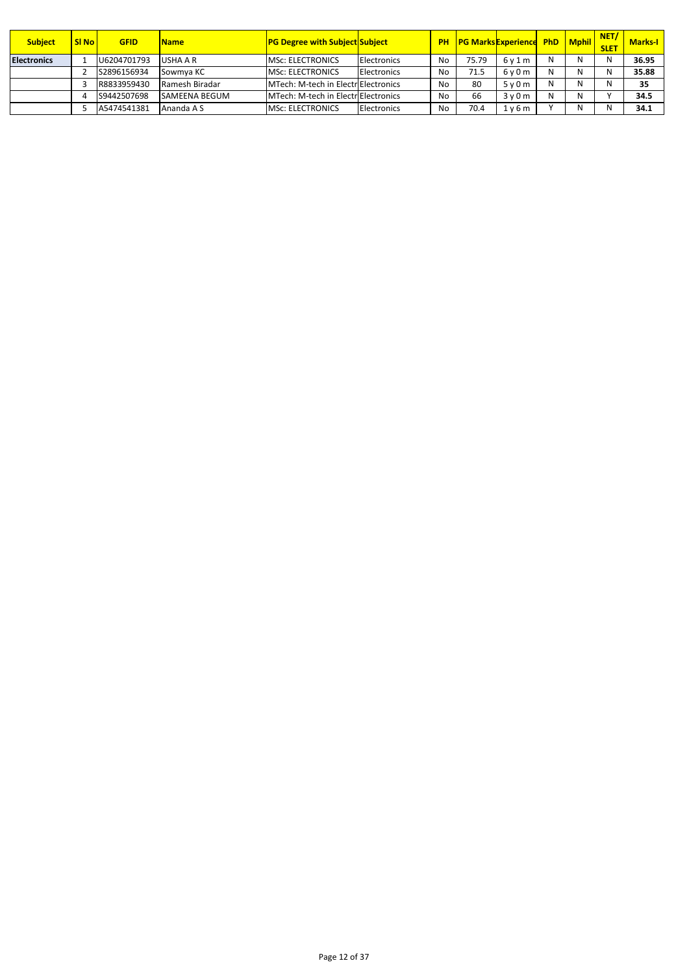| <b>Subject</b>     | <b>SI No</b> | GFID        | <b>Name</b>           | <b>PG Degree with Subject Subject</b> |                    |    | <b>PH PG Marks Experience PhD Mphil</b> |      |   |   | NET/<br><b>SLET</b> | <b>Marks-I</b> |
|--------------------|--------------|-------------|-----------------------|---------------------------------------|--------------------|----|-----------------------------------------|------|---|---|---------------------|----------------|
| <b>Electronics</b> |              | U6204701793 | USHA A R              | <b>MSC: ELECTRONICS</b>               | <b>Electronics</b> | No | 75.79                                   | 6v1m | N | N | N                   | 36.95          |
|                    |              | S2896156934 | Sowmya KC             | <b>MSC: ELECTRONICS</b>               | Electronics        | No | 71.5                                    | 6v0m |   | N | N                   | 35.88          |
|                    |              | R8833959430 | Ramesh Biradar        | MTech: M-tech in ElectriElectronics   |                    | No | 80                                      | 5v0m |   | N | N                   | 35             |
|                    |              | S9442507698 | <b>ISAMEENA BEGUM</b> | MTech: M-tech in ElectriElectronics   |                    | No | 66                                      | 3v0m |   | N |                     | 34.5           |
|                    |              | A5474541381 | Ananda A S            | <b>MSC: ELECTRONICS</b>               | Electronics        | No | 70.4                                    | 1v6m |   | N | N                   | 34.1           |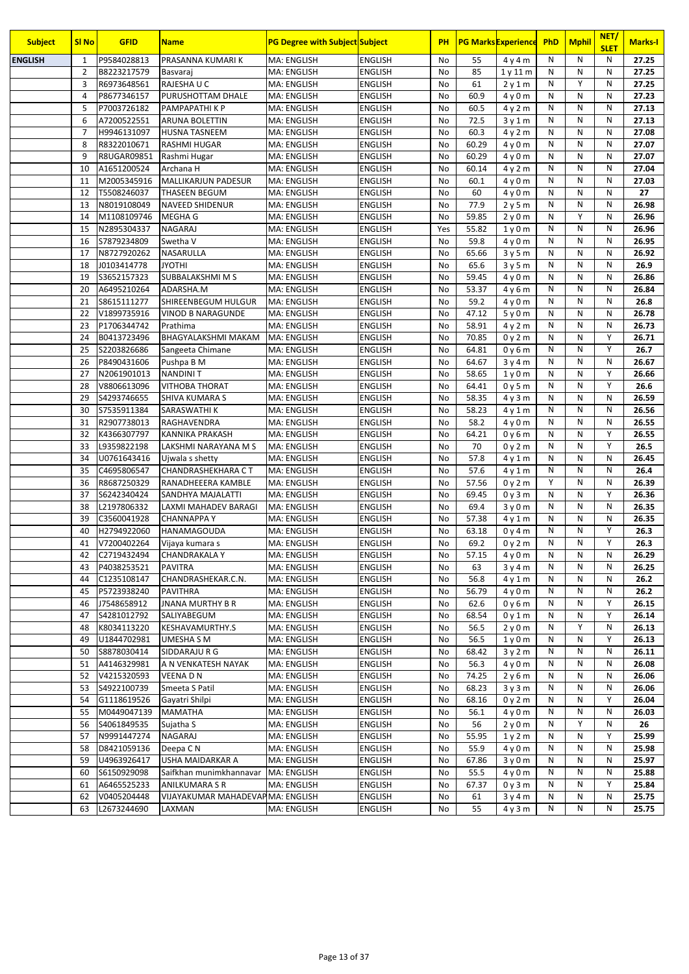| <b>Subject</b> | <b>SI No</b>   | <b>GFID</b>                | <b>Name</b>                                         | <b>PG Degree with Subject Subject</b> |                                  | <b>PH</b> |               | <b>PG Marks Experience</b> | PhD          | <b>Mphil</b> | NET/<br><b>SLET</b> | <b>Marks-I</b> |
|----------------|----------------|----------------------------|-----------------------------------------------------|---------------------------------------|----------------------------------|-----------|---------------|----------------------------|--------------|--------------|---------------------|----------------|
| <b>ENGLISH</b> | 1              | P9584028813                | PRASANNA KUMARI K                                   | <b>MA: ENGLISH</b>                    | <b>ENGLISH</b>                   | No        | 55            | 4y4m                       | N            | ${\sf N}$    | N                   | 27.25          |
|                | $\overline{2}$ | B8223217579                | Basvaraj                                            | <b>MA: ENGLISH</b>                    | <b>ENGLISH</b>                   | No        | 85            | 1y11m                      | N            | N            | N                   | 27.25          |
|                | 3              | R6973648561                | RAJESHA U C                                         | <b>MA: ENGLISH</b>                    | <b>ENGLISH</b>                   | No        | 61            | 2y1m                       | N            | Y            | N                   | 27.25          |
|                | $\overline{4}$ | P8677346157                | PURUSHOTTAM DHALE                                   | <b>MA: ENGLISH</b>                    | <b>ENGLISH</b>                   | No        | 60.9          | 4y0m                       | N            | N            | N                   | 27.23          |
|                | 5              | P7003726182                | PAMPAPATHI K P                                      | <b>MA: ENGLISH</b>                    | <b>ENGLISH</b>                   | No        | 60.5          | 4y2m                       | N            | N            | N                   | 27.13          |
|                | 6              | A7200522551                | <b>ARUNA BOLETTIN</b>                               | <b>MA: ENGLISH</b>                    | <b>ENGLISH</b>                   | No        | 72.5          | 3y1m                       | N            | N            | N                   | 27.13          |
|                | 7              | H9946131097                | <b>HUSNA TASNEEM</b>                                | MA: ENGLISH                           | <b>ENGLISH</b>                   | No        | 60.3          | 4y2m                       | N            | N            | N                   | 27.08          |
|                | 8              | R8322010671                | <b>RASHMI HUGAR</b>                                 | <b>MA: ENGLISH</b>                    | <b>ENGLISH</b>                   | No        | 60.29         | 4y0m                       | N            | N            | N                   | 27.07          |
|                | 9              | <b>R8UGAR09851</b>         | Rashmi Hugar                                        | MA: ENGLISH                           | <b>ENGLISH</b>                   | No        | 60.29         | 4y0m                       | N            | N            | N                   | 27.07          |
|                | 10             | A1651200524                | Archana H                                           | <b>MA: ENGLISH</b>                    | <b>ENGLISH</b>                   | No        | 60.14         | 4y2m                       | N            | N            | N                   | 27.04          |
|                | 11             | M2005345916                | MALLIKARJUN PADESUR                                 | <b>MA: ENGLISH</b>                    | <b>ENGLISH</b>                   | No        | 60.1          | 4y0m                       | N            | N            | N                   | 27.03          |
|                | 12             | T5508246037                | <b>THASEEN BEGUM</b>                                | <b>MA: ENGLISH</b>                    | <b>ENGLISH</b>                   | No        | 60            | 4y0m                       | N            | N            | N                   | 27             |
|                | 13             | N8019108049                | <b>NAVEED SHIDENUR</b>                              | <b>MA: ENGLISH</b>                    | <b>ENGLISH</b>                   | No        | 77.9          | 2y5m                       | N            | N            | N                   | 26.98          |
|                | 14             | M1108109746                | <b>MEGHA G</b>                                      | MA: ENGLISH                           | <b>ENGLISH</b>                   | No        | 59.85         | 2y0m                       | N            | Y            | N                   | 26.96          |
|                | 15             | N2895304337                | <b>NAGARAJ</b>                                      | MA: ENGLISH                           | <b>ENGLISH</b>                   | Yes       | 55.82         | 1y0m                       | $\mathsf{N}$ | N            | N                   | 26.96          |
|                | 16             | S7879234809                | Swetha V                                            | <b>MA: ENGLISH</b>                    | <b>ENGLISH</b>                   | No        | 59.8          | 4y0m                       | $\mathsf{N}$ | N            | N                   | 26.95          |
|                | 17             | N8727920262                | NASARULLA                                           | <b>MA: ENGLISH</b>                    | <b>ENGLISH</b>                   | No        | 65.66         | 3y5m                       | $\mathsf{N}$ | N            | N                   | 26.92          |
|                | 18             | J0103414778                | <b>JYOTHI</b>                                       | <b>MA: ENGLISH</b>                    | <b>ENGLISH</b>                   | No        | 65.6          | 3y5m                       | N            | N            | N                   | 26.9           |
|                | 19             | S3652157323                | SUBBALAKSHMI M S                                    | MA: ENGLISH                           | <b>ENGLISH</b>                   | No        | 59.45         | 4y0m                       | $\mathsf{N}$ | N            | N                   | 26.86          |
|                | 20             | A6495210264                | ADARSHA.M                                           | <b>MA: ENGLISH</b>                    | <b>ENGLISH</b>                   | No        | 53.37         | 4y6m                       | N            | N            | N                   | 26.84          |
|                | 21             | S8615111277                | SHIREENBEGUM HULGUR                                 | <b>MA: ENGLISH</b>                    | <b>ENGLISH</b>                   | No        | 59.2          | 4y0m                       | N            | N            | N                   | 26.8           |
|                | 22             | V1899735916                | VINOD B NARAGUNDE                                   | <b>MA: ENGLISH</b>                    | <b>ENGLISH</b>                   | No        | 47.12         | 5y0m                       | N            | N            | N                   | 26.78          |
|                | 23             | P1706344742                | Prathima                                            | <b>MA: ENGLISH</b>                    | <b>ENGLISH</b>                   | No        | 58.91         | 4y2m                       | N            | N            | N                   | 26.73          |
|                | 24             | B0413723496                | <b>BHAGYALAKSHMI MAKAM</b>                          | <b>MA: ENGLISH</b>                    | <b>ENGLISH</b>                   | No        | 70.85         | 0y2m                       | N            | N            | Y                   | 26.71          |
|                | 25             | S2203826686                | Sangeeta Chimane                                    | MA: ENGLISH                           | <b>ENGLISH</b>                   | No        | 64.81         | 0y6m                       | N            | N            | Y                   | 26.7           |
|                | 26             | P8490431606                | Pushpa B M                                          | <b>MA: ENGLISH</b>                    | <b>ENGLISH</b>                   | No        | 64.67         | 3y4m                       | N            | N            | N                   | 26.67          |
|                | 27             | N2061901013                | <b>NANDINIT</b>                                     | MA: ENGLISH                           | <b>ENGLISH</b>                   | No        | 58.65         | 1y0m                       | N            | N            | Y                   | 26.66          |
|                | 28             | V8806613096                | <b>VITHOBA THORAT</b>                               | <b>MA: ENGLISH</b>                    | <b>ENGLISH</b>                   | No        | 64.41         | 0y5m                       | N            | N            | Y                   | 26.6           |
|                | 29             | S4293746655                | SHIVA KUMARA S                                      | MA: ENGLISH                           | <b>ENGLISH</b>                   | No        | 58.35         | 4y3m                       | N            | N            | N                   | 26.59          |
|                | 30             | S7535911384                | SARASWATHI K                                        | <b>MA: ENGLISH</b>                    | <b>ENGLISH</b>                   | No        | 58.23         | 4y1m                       | N            | N            | N                   | 26.56          |
|                | 31             | R2907738013                | RAGHAVENDRA                                         | <b>MA: ENGLISH</b>                    | <b>ENGLISH</b>                   | No        | 58.2          | 4y0m                       | N            | N            | N                   | 26.55          |
|                | 32             | K4366307797                | KANNIKA PRAKASH                                     | <b>MA: ENGLISH</b>                    | <b>ENGLISH</b>                   | No        | 64.21         | 0y6m                       | N            | N            | Y                   | 26.55          |
|                | 33             | L9359822198                | LAKSHMI NARAYANA M S                                | <b>MA: ENGLISH</b>                    | <b>ENGLISH</b>                   | No        | 70            | 0y2m                       | N            | N            | Y                   | 26.5           |
|                | 34             | U0761643416                | Ujwala s shetty                                     | <b>MA: ENGLISH</b>                    | <b>ENGLISH</b>                   | No        | 57.8          | 4 y 1 m                    | N            | N            | N                   | 26.45          |
|                | 35             | C4695806547                | CHANDRASHEKHARA CT                                  | <b>MA: ENGLISH</b>                    | <b>ENGLISH</b>                   | No        | 57.6          | 4 y 1 m                    | N            | N            | N                   | 26.4           |
|                | 36             | R8687250329                | RANADHEEERA KAMBLE                                  | <b>MA: ENGLISH</b>                    | <b>ENGLISH</b>                   | No        | 57.56         | 0y2m                       | Y            | N            | N                   | 26.39          |
|                | 37             | 56242340424                | SANDHYA MAJALATTI                                   | <b>MA: ENGLISH</b>                    | <b>ENGLISH</b>                   | No        | 69.45         | 0y3m                       | N            | N            | Y                   | 26.36          |
|                | 38             | L2197806332                | LAXMI MAHADEV BARAGI                                | <b>MA: ENGLISH</b>                    | <b>ENGLISH</b>                   | No        | 69.4          | 3y0m                       | N            | N            | N                   | 26.35          |
|                | 39             | C3560041928                | <b>CHANNAPPAY</b>                                   | <b>MA: ENGLISH</b>                    | <b>ENGLISH</b>                   | No        | 57.38         | 4v1m                       | N            | N            | N                   | 26.35          |
|                | 40             | H2794922060                | <b>HANAMAGOUDA</b>                                  | <b>MA: ENGLISH</b>                    | <b>ENGLISH</b>                   | No        | 63.18         | 0y4m                       | $\mathsf{N}$ | N            | Y                   | 26.3           |
|                | 41             | V7200402264                | Vijaya kumara s                                     | MA: ENGLISH                           | <b>ENGLISH</b>                   | No        | 69.2          | 0y2m                       | N            | N            | Υ                   | 26.3           |
|                | 42             | C2719432494                | <b>CHANDRAKALA Y</b>                                | MA: ENGLISH                           | <b>ENGLISH</b>                   | No        | 57.15         | 4 y 0 m                    | N            | N            | N                   | 26.29          |
|                | 43             | P4038253521                | <b>PAVITRA</b>                                      | MA: ENGLISH                           | <b>ENGLISH</b>                   | No        | 63            | 3y4m                       | N            | N            | Ν                   | 26.25          |
|                | 44             | C1235108147                | CHANDRASHEKAR.C.N.                                  | MA: ENGLISH                           | <b>ENGLISH</b>                   | No        | 56.8          | 4v1m                       | N            | N            | N                   | 26.2           |
|                | 45             | P5723938240                | PAVITHRA                                            | MA: ENGLISH                           | <b>ENGLISH</b>                   | No        | 56.79         | 4y0m                       | N            | N            | N                   | 26.2           |
|                | 46             | J7548658912                | <b>JNANA MURTHY B R</b>                             | MA: ENGLISH                           | <b>ENGLISH</b>                   | No        | 62.6          | 0y6m                       | N            | N            | Y                   | 26.15          |
|                | 47             | S4281012792                | SALIYABEGUM                                         | MA: ENGLISH                           | <b>ENGLISH</b>                   | No        | 68.54         | 0y1m                       | N            | N            | Υ                   | 26.14          |
|                | 48             | K8034113220                | KESHAVAMURTHY.S                                     | MA: ENGLISH                           | <b>ENGLISH</b>                   | No        | 56.5          | 2y0m                       | N            | Υ            | N                   | 26.13          |
|                | 49             | U1844702981                | <b>UMESHA S M</b>                                   | MA: ENGLISH                           | <b>ENGLISH</b>                   | No        | 56.5          | 1y0m                       | N            | N            | Υ                   | 26.13          |
|                | 50             | S8878030414                | SIDDARAJU R G                                       | MA: ENGLISH                           | <b>ENGLISH</b>                   | No        | 68.42         | 3y2m                       | N            | N            | N                   | 26.11          |
|                | 51             | A4146329981                | A N VENKATESH NAYAK                                 | MA: ENGLISH                           | <b>ENGLISH</b>                   | No        | 56.3          | 4y0m                       | N            | N            | N                   | 26.08          |
|                | 52             | V4215320593                | <b>VEENADN</b>                                      | MA: ENGLISH                           | <b>ENGLISH</b>                   | No        | 74.25         | 2y6m                       | N            | Ν            | N                   | 26.06          |
|                | 53             | S4922100739                | Smeeta S Patil                                      | MA: ENGLISH                           | <b>ENGLISH</b>                   | No        | 68.23         | 3y3m                       | N            | N            | N                   | 26.06          |
|                | 54             | G1118619526                | Gayatri Shilpi                                      | MA: ENGLISH                           | <b>ENGLISH</b>                   | No        | 68.16         | 0y2m                       | N            | N            | Y                   | 26.04          |
|                | 55             | M0449047139                | <b>MAMATHA</b>                                      | MA: ENGLISH                           | <b>ENGLISH</b>                   | No        | 56.1          | 4 y 0 m                    | N            | N            | N                   | 26.03          |
|                | 56             | S4061849535                | Sujatha S                                           | MA: ENGLISH                           | <b>ENGLISH</b>                   | No        | 56            | 2y0m                       | N            | Υ            | N                   | 26             |
|                | 57             | N9991447274                | NAGARAJ                                             | MA: ENGLISH                           | <b>ENGLISH</b>                   | No        | 55.95         | 1y2m                       | N            | N            | Y                   | 25.99          |
|                | 58             | D8421059136                | Deepa CN                                            | MA: ENGLISH                           | <b>ENGLISH</b>                   | No        | 55.9          | 4 y 0 m                    | N            | N            | N                   | 25.98          |
|                | 59             | U4963926417                | USHA MAIDARKAR A                                    | MA: ENGLISH                           | <b>ENGLISH</b>                   | No        | 67.86         | 3y0m                       | N            | N            | N                   | 25.97          |
|                | 60             | S6150929098<br>A6465525233 | Saifkhan munimkhannavar                             | MA: ENGLISH<br>MA: ENGLISH            | <b>ENGLISH</b><br><b>ENGLISH</b> | No        | 55.5<br>67.37 | 4y0m                       | N<br>N       | N<br>N       | Ν<br>Y              | 25.88<br>25.84 |
|                | 61<br>62       | V0405204448                | ANILKUMARA S R<br>VIJAYAKUMAR MAHADEVAP MA: ENGLISH |                                       | <b>ENGLISH</b>                   | No<br>No  | 61            | 0y3m                       | N            | N            | N                   | 25.75          |
|                |                | L2673244690                | LAXMAN                                              |                                       |                                  |           | 55            | 3 y 4 m                    | N            | N            | ${\sf N}$           |                |
|                | 63             |                            |                                                     | MA: ENGLISH                           | ENGLISH                          | No        |               | 4y3m                       |              |              |                     | 25.75          |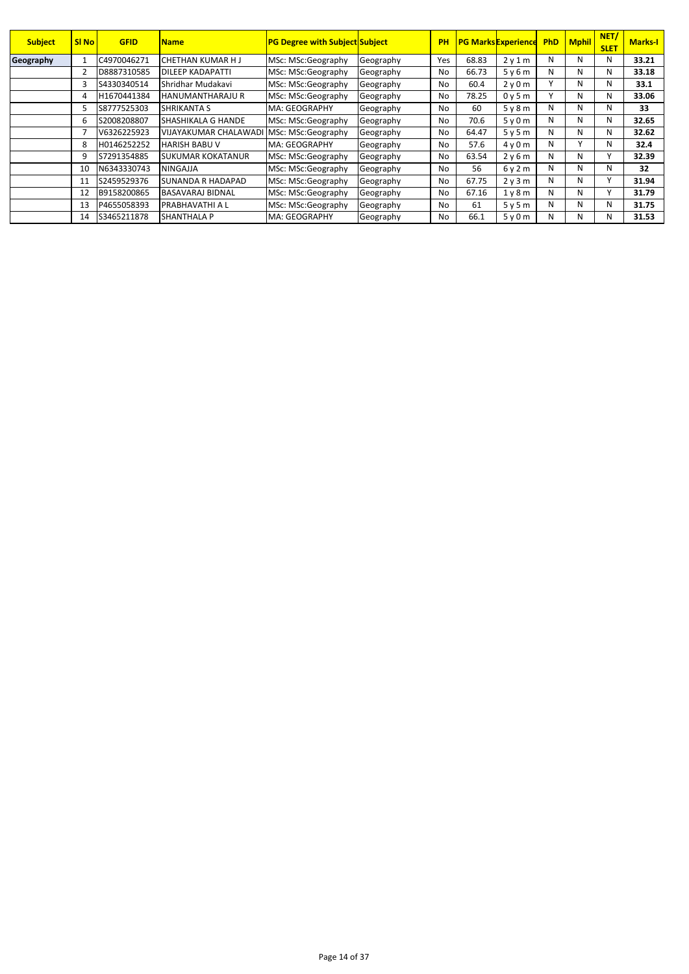| <b>Subject</b> | <b>SI No</b> | <b>GFID</b> | <b>Name</b>                  | <b>PG Degree with Subject Subject</b> |           | PH  |       | <b>PG Marks Experience</b> | <b>PhD</b> | <b>Mphil</b> | NET/<br><b>SLET</b> | <b>Marks-I</b> |
|----------------|--------------|-------------|------------------------------|---------------------------------------|-----------|-----|-------|----------------------------|------------|--------------|---------------------|----------------|
| Geography      |              | C4970046271 | CHETHAN KUMAR HJ             | MSc: MSc:Geography                    | Geography | Yes | 68.83 | 2v1m                       | N          | N            | N                   | 33.21          |
|                |              | D8887310585 | DILEEP KADAPATTI             | MSc: MSc:Geography                    | Geography | No  | 66.73 | 5v6m                       | N          | N            | N                   | 33.18          |
|                | 3            | S4330340514 | Shridhar Mudakavi            | MSc: MSc:Geography                    | Geography | No  | 60.4  | 2y0m                       |            | N            | N                   | 33.1           |
|                | 4            | H1670441384 | <b>HANUMANTHARAJU R</b>      | MSc: MSc:Geography                    | Geography | No  | 78.25 | 0y5m                       |            | N            | N                   | 33.06          |
|                |              | S8777525303 | SHRIKANTA S                  | MA: GEOGRAPHY                         | Geography | No  | 60    | 5v8m                       | N          | N            | N                   | 33             |
|                | 6            | S2008208807 | SHASHIKALA G HANDE           | MSc: MSc:Geography                    | Geography | No  | 70.6  | 5v0m                       | N          | N            | N                   | 32.65          |
|                |              | V6326225923 | <b>VIJAYAKUMAR CHALAWADI</b> | MSc: MSc:Geography                    | Geography | No  | 64.47 | 5v5m                       | N          | N            | N                   | 32.62          |
|                | 8            | H0146252252 | <b>HARISH BABU V</b>         | MA: GEOGRAPHY                         | Geography | No  | 57.6  | 4v0m                       | N          | $\mathbf{v}$ | N                   | 32.4           |
|                | 9            | S7291354885 | SUKUMAR KOKATANUR            | MSc: MSc:Geography                    | Geography | No  | 63.54 | 2v6m                       | N          | N            |                     | 32.39          |
|                | 10           | N6343330743 | <b>NINGAJJA</b>              | MSc: MSc:Geography                    | Geography | No  | 56    | 6v2m                       | N          | N            | N                   | 32             |
|                | 11           | S2459529376 | SUNANDA R HADAPAD            | MSc: MSc:Geography                    | Geography | No  | 67.75 | 2v3m                       | N          | N            |                     | 31.94          |
|                | 12           | B9158200865 | <b>BASAVARAJ BIDNAL</b>      | MSc: MSc:Geography                    | Geography | No  | 67.16 | 1v8m                       | N          | N            |                     | 31.79          |
|                | 13           | P4655058393 | <b>PRABHAVATHI A L</b>       | MSc: MSc:Geography                    | Geography | No  | 61    | 5y5m                       | N          | N            | N                   | 31.75          |
|                | 14           | S3465211878 | SHANTHALA P                  | MA: GEOGRAPHY                         | Geography | No  | 66.1  | 5y0m                       | N          | N            | N                   | 31.53          |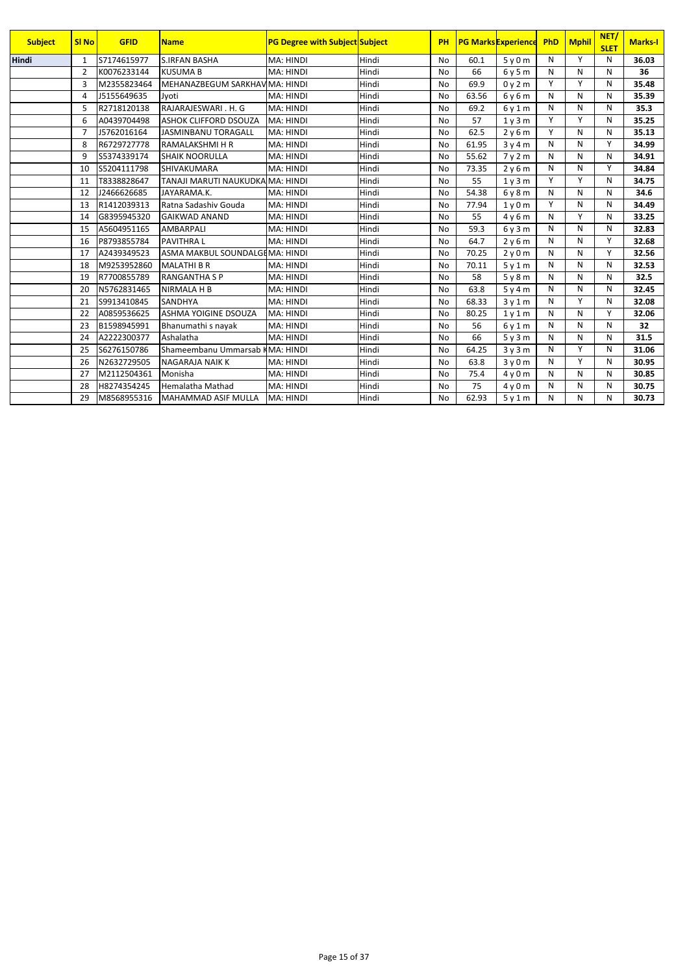| <b>Subject</b> | <b>SI No</b>   | <b>GFID</b> | <b>Name</b>                      | <b>PG Degree with Subject Subject</b> |       | PH        |       | <b>PG Marks Experience</b> | PhD | <b>Mphil</b> | NET/<br><b>SLET</b> | <b>Marks-I</b> |
|----------------|----------------|-------------|----------------------------------|---------------------------------------|-------|-----------|-------|----------------------------|-----|--------------|---------------------|----------------|
| <b>Hindi</b>   | $\mathbf{1}$   | S7174615977 | <b>S.IRFAN BASHA</b>             | MA: HINDI                             | Hindi | <b>No</b> | 60.1  | 5y0m                       | N   | Υ            | N                   | 36.03          |
|                | $\overline{2}$ | K0076233144 | <b>KUSUMA B</b>                  | MA: HINDI                             | Hindi | <b>No</b> | 66    | 6y5m                       | N   | N            | N                   | 36             |
|                | 3              | M2355823464 | MEHANAZBEGUM SARKHAV MA: HINDI   |                                       | Hindi | <b>No</b> | 69.9  | 0y2m                       | Y   | Υ            | N                   | 35.48          |
|                | $\overline{4}$ | J5155649635 | Jyoti                            | MA: HINDI                             | Hindi | <b>No</b> | 63.56 | 6y6m                       | N   | N            | N                   | 35.39          |
|                | 5              | R2718120138 | RAJARAJESWARI, H. G              | MA: HINDI                             | Hindi | <b>No</b> | 69.2  | 6v1m                       | N   | N            | N                   | 35.3           |
|                | 6              | A0439704498 | <b>ASHOK CLIFFORD DSOUZA</b>     | MA: HINDI                             | Hindi | <b>No</b> | 57    | 1y3m                       | Y   | Υ            | N                   | 35.25          |
|                | $\overline{7}$ | J5762016164 | JASMINBANU TORAGALL              | MA: HINDI                             | Hindi | <b>No</b> | 62.5  | 2y6m                       | Y   | N            | N                   | 35.13          |
|                | 8              | R6729727778 | <b>RAMALAKSHMI H R</b>           | MA: HINDI                             | Hindi | <b>No</b> | 61.95 | 3y4m                       | N   | N            | Y                   | 34.99          |
|                | 9              | S5374339174 | <b>SHAIK NOORULLA</b>            | MA: HINDI                             | Hindi | <b>No</b> | 55.62 | 7y2m                       | N   | N            | N                   | 34.91          |
|                | 10             | S5204111798 | SHIVAKUMARA                      | MA: HINDI                             | Hindi | <b>No</b> | 73.35 | 2y6m                       | N   | N            | Υ                   | 34.84          |
|                | 11             | T8338828647 | TANAJI MARUTI NAUKUDKA MA: HINDI |                                       | Hindi | <b>No</b> | 55    | 1y3m                       | Y   | Y            | N                   | 34.75          |
|                | 12             | J2466626685 | JAYARAMA.K.                      | MA: HINDI                             | Hindi | <b>No</b> | 54.38 | 6y8m                       | N   | N            | N                   | 34.6           |
|                | 13             | R1412039313 | Ratna Sadashiy Gouda             | MA: HINDI                             | Hindi | <b>No</b> | 77.94 | 1v0m                       | Y   | N            | N                   | 34.49          |
|                | 14             | G8395945320 | <b>GAIKWAD ANAND</b>             | MA: HINDI                             | Hindi | <b>No</b> | 55    | 4y6m                       | N   | Y            | N                   | 33.25          |
|                | 15             | A5604951165 | <b>AMBARPALI</b>                 | MA: HINDI                             | Hindi | <b>No</b> | 59.3  | 6y3m                       | N   | N            | N                   | 32.83          |
|                | 16             | P8793855784 | <b>PAVITHRAL</b>                 | MA: HINDI                             | Hindi | No        | 64.7  | 2y6m                       | N   | N            | Υ                   | 32.68          |
|                | 17             | A2439349523 | ASMA MAKBUL SOUNDALGEMA: HINDI   |                                       | Hindi | <b>No</b> | 70.25 | 2y0m                       | N   | N            | Υ                   | 32.56          |
|                | 18             | M9253952860 | <b>MALATHI B R</b>               | MA: HINDI                             | Hindi | <b>No</b> | 70.11 | 5y1m                       | N   | N            | N                   | 32.53          |
|                | 19             | R7700855789 | <b>RANGANTHA S P</b>             | MA: HINDI                             | Hindi | <b>No</b> | 58    | 5y8m                       | N   | N            | N                   | 32.5           |
|                | 20             | N5762831465 | <b>NIRMALA H B</b>               | MA: HINDI                             | Hindi | <b>No</b> | 63.8  | 5y4m                       | N   | N            | N                   | 32.45          |
|                | 21             | S9913410845 | <b>SANDHYA</b>                   | MA: HINDI                             | Hindi | <b>No</b> | 68.33 | 3y1m                       | N   | Υ            | N                   | 32.08          |
|                | 22             | A0859536625 | ASHMA YOIGINE DSOUZA             | MA: HINDI                             | Hindi | <b>No</b> | 80.25 | 1y1m                       | N   | N            | Υ                   | 32.06          |
|                | 23             | B1598945991 | Bhanumathi s nayak               | MA: HINDI                             | Hindi | <b>No</b> | 56    | 6y1m                       | N   | N            | N                   | 32             |
|                | 24             | A2222300377 | Ashalatha                        | MA: HINDI                             | Hindi | No        | 66    | 5y3m                       | N   | N            | N                   | 31.5           |
|                | 25             | S6276150786 | Shameembanu Ummarsab KMA: HINDI  |                                       | Hindi | <b>No</b> | 64.25 | 3v3m                       | N   | Υ            | N                   | 31.06          |
|                | 26             | N2632729505 | <b>NAGARAJA NAIK K</b>           | MA: HINDI                             | Hindi | <b>No</b> | 63.8  | 3y0m                       | N   | Y            | N                   | 30.95          |
|                | 27             | M2112504361 | Monisha                          | MA: HINDI                             | Hindi | No        | 75.4  | 4y0m                       | N   | N            | N                   | 30.85          |
|                | 28             | H8274354245 | <b>Hemalatha Mathad</b>          | MA: HINDI                             | Hindi | No        | 75    | 4y0m                       | N   | N            | N                   | 30.75          |
|                | 29             | M8568955316 | MAHAMMAD ASIF MULLA              | MA: HINDI                             | Hindi | <b>No</b> | 62.93 | 5y1m                       | N   | N            | N                   | 30.73          |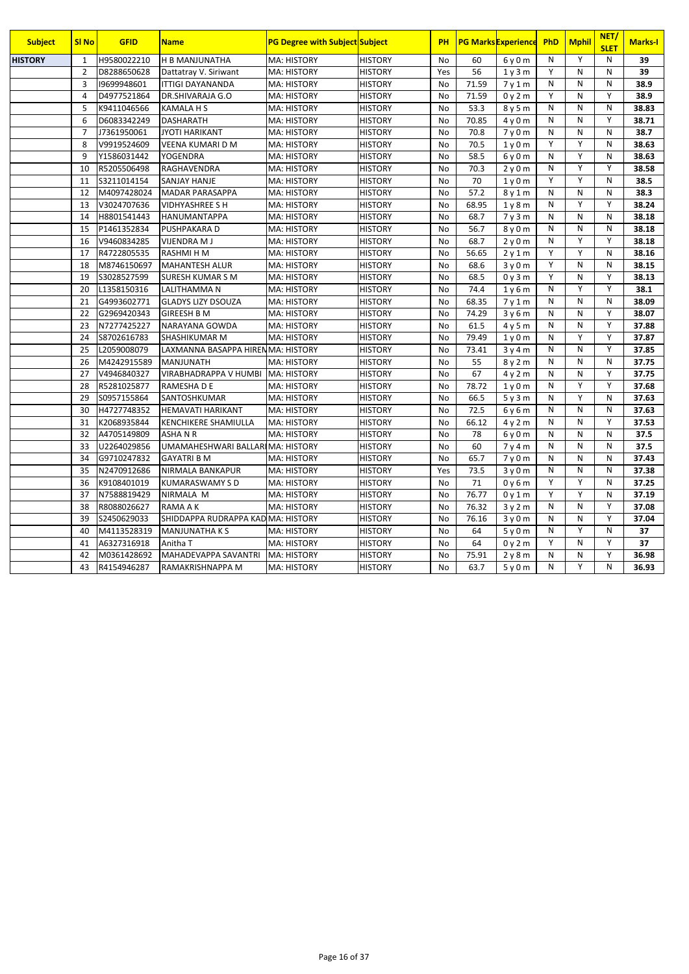| <b>Subject</b> | <b>SI No</b>   | <b>GFID</b> | <b>Name</b>                        | <b>PG Degree with Subject Subject</b> |                | PH        |       | <b>PG Marks Experience</b> | PhD          | <b>Mphil</b>   | NET/<br><b>SLET</b> | <b>Marks-I</b> |
|----------------|----------------|-------------|------------------------------------|---------------------------------------|----------------|-----------|-------|----------------------------|--------------|----------------|---------------------|----------------|
| <b>HISTORY</b> | 1              | H9580022210 | <b>H B MANJUNATHA</b>              | MA: HISTORY                           | <b>HISTORY</b> | No        | 60    | 6y0m                       | $\mathsf{N}$ | Y              | N                   | 39             |
|                | $\overline{2}$ | D8288650628 | Dattatray V. Siriwant              | <b>MA: HISTORY</b>                    | <b>HISTORY</b> | Yes       | 56    | 1y3m                       | Y            | N              | N                   | 39             |
|                | 3              | 19699948601 | <b>ITTIGI DAYANANDA</b>            | <b>MA: HISTORY</b>                    | <b>HISTORY</b> | No        | 71.59 | 7y1m                       | N            | N              | N                   | 38.9           |
|                | $\overline{4}$ | D4977521864 | DR.SHIVARAJA G.O                   | MA: HISTORY                           | <b>HISTORY</b> | <b>No</b> | 71.59 | 0y2m                       | Y            | $\mathsf{N}$   | Υ                   | 38.9           |
|                | 5              | K9411046566 | <b>KAMALA H S</b>                  | MA: HISTORY                           | <b>HISTORY</b> | No        | 53.3  | 8y5m                       | $\mathsf{N}$ | N              | N                   | 38.83          |
|                | 6              | D6083342249 | DASHARATH                          | <b>MA: HISTORY</b>                    | <b>HISTORY</b> | No        | 70.85 | 4y0m                       | N            | N              | Y                   | 38.71          |
|                | $\overline{7}$ | J7361950061 | <b>JYOTI HARIKANT</b>              | <b>MA: HISTORY</b>                    | <b>HISTORY</b> | <b>No</b> | 70.8  | 7y0m                       | N            | N              | N                   | 38.7           |
|                | 8              | V9919524609 | VEENA KUMARI D M                   | <b>MA: HISTORY</b>                    | <b>HISTORY</b> | No        | 70.5  | 1y0m                       | Y            | Y              | N                   | 38.63          |
|                | 9              | Y1586031442 | <b>YOGENDRA</b>                    | <b>MA: HISTORY</b>                    | <b>HISTORY</b> | <b>No</b> | 58.5  | $6v$ 0 m                   | N            | Y              | N                   | 38.63          |
|                | 10             | R5205506498 | RAGHAVENDRA                        | <b>MA: HISTORY</b>                    | <b>HISTORY</b> | <b>No</b> | 70.3  | 2y0m                       | $\mathsf{N}$ | Υ              | Y                   | 38.58          |
|                | 11             | S3211014154 | <b>SANJAY HANJE</b>                | <b>MA: HISTORY</b>                    | <b>HISTORY</b> | No        | 70    | 1y0m                       | Y            | Ÿ              | N                   | 38.5           |
|                | 12             | M4097428024 | <b>MADAR PARASAPPA</b>             | <b>MA: HISTORY</b>                    | <b>HISTORY</b> | No        | 57.2  | 8v1m                       | $\mathsf{N}$ | N              | N                   | 38.3           |
|                | 13             | V3024707636 | <b>VIDHYASHREE S H</b>             | <b>MA: HISTORY</b>                    | HISTORY        | No        | 68.95 | 1y8m                       | N            | Y              | Y                   | 38.24          |
|                | 14             | H8801541443 | HANUMANTAPPA                       | <b>MA: HISTORY</b>                    | <b>HISTORY</b> | <b>No</b> | 68.7  | 7y3m                       | N            | N              | N                   | 38.18          |
|                | 15             | P1461352834 | PUSHPAKARA D                       | MA: HISTORY                           | <b>HISTORY</b> | <b>No</b> | 56.7  | 8y0m                       | N            | $\mathsf{N}$   | N                   | 38.18          |
|                | 16             | V9460834285 | <b>VIJENDRA M J</b>                | MA: HISTORY                           | <b>HISTORY</b> | No        | 68.7  | 2y0m                       | $\mathsf{N}$ | Υ              | Υ                   | 38.18          |
|                | 17             | R4722805535 | <b>RASHMI H M</b>                  | <b>MA: HISTORY</b>                    | <b>HISTORY</b> | <b>No</b> | 56.65 | 2y1m                       | Y            | Υ              | N                   | 38.16          |
|                | 18             | M8746150697 | <b>MAHANTESH ALUR</b>              | <b>MA: HISTORY</b>                    | <b>HISTORY</b> | <b>No</b> | 68.6  | 3y0m                       | Y            | N              | N                   | 38.15          |
|                | 19             | S3028527599 | SURESH KUMAR S M                   | MA: HISTORY                           | <b>HISTORY</b> | No        | 68.5  | 0y3m                       | Y            | N              | Y                   | 38.13          |
|                | 20             | L1358150316 | LALITHAMMA N                       | <b>MA: HISTORY</b>                    | <b>HISTORY</b> | <b>No</b> | 74.4  | 1y6m                       | N            | Y              | Y                   | 38.1           |
|                | 21             | G4993602771 | <b>GLADYS LIZY DSOUZA</b>          | <b>MA: HISTORY</b>                    | <b>HISTORY</b> | <b>No</b> | 68.35 | 7y1m                       | N            | N              | N                   | 38.09          |
|                | 22             | G2969420343 | <b>GIREESH B M</b>                 | MA: HISTORY                           | <b>HISTORY</b> | <b>No</b> | 74.29 | 3y6m                       | N            | $\overline{N}$ | Υ                   | 38.07          |
|                | 23             | N7277425227 | NARAYANA GOWDA                     | <b>MA: HISTORY</b>                    | <b>HISTORY</b> | <b>No</b> | 61.5  | 4y5m                       | N            | N              | Υ                   | 37.88          |
|                | 24             | S8702616783 | SHASHIKUMAR M                      | <b>MA: HISTORY</b>                    | <b>HISTORY</b> | No        | 79.49 | 1y0m                       | $\mathsf{N}$ | Y              | Y                   | 37.87          |
|                | 25             | L2059008079 | LAXMANNA BASAPPA HIREN MA: HISTORY |                                       | <b>HISTORY</b> | <b>No</b> | 73.41 | 3y4m                       | N            | $\overline{N}$ | $\overline{Y}$      | 37.85          |
|                | 26             | M4242915589 | <b>MANJUNATH</b>                   | <b>MA: HISTORY</b>                    | <b>HISTORY</b> | <b>No</b> | 55    | 8y2m                       | $\mathsf{N}$ | N              | N                   | 37.75          |
|                | 27             | V4946840327 | VIRABHADRAPPA V HUMBI              | <b>MA: HISTORY</b>                    | <b>HISTORY</b> | No        | 67    | 4y2m                       | N            | N              | Y                   | 37.75          |
|                | 28             | R5281025877 | RAMESHA D E                        | MA: HISTORY                           | <b>HISTORY</b> | <b>No</b> | 78.72 | 1y0m                       | $\mathsf{N}$ | Υ              | Y                   | 37.68          |
|                | 29             | S0957155864 | SANTOSHKUMAR                       | <b>MA: HISTORY</b>                    | <b>HISTORY</b> | No        | 66.5  | 5y3m                       | N            | Υ              | N                   | 37.63          |
|                | 30             | H4727748352 | <b>HEMAVATI HARIKANT</b>           | <b>MA: HISTORY</b>                    | <b>HISTORY</b> | <b>No</b> | 72.5  | 6y6m                       | N            | N              | N                   | 37.63          |
|                | 31             | K2068935844 | KENCHIKERE SHAMIULLA               | <b>MA: HISTORY</b>                    | <b>HISTORY</b> | <b>No</b> | 66.12 | 4y2m                       | N            | N              | Y                   | 37.53          |
|                | 32             | A4705149809 | <b>ASHANR</b>                      | <b>MA: HISTORY</b>                    | <b>HISTORY</b> | No        | 78    | 6y0m                       | $\mathsf{N}$ | N              | N                   | 37.5           |
|                | 33             | U2264029856 | UMAMAHESHWARI BALLARI MA: HISTORY  |                                       | <b>HISTORY</b> | <b>No</b> | 60    | 7y4m                       | N            | N              | N                   | 37.5           |
|                | 34             | G9710247832 | <b>GAYATRI B M</b>                 | <b>MA: HISTORY</b>                    | <b>HISTORY</b> | No        | 65.7  | 7y0m                       | N            | N              | N                   | 37.43          |
|                | 35             | N2470912686 | NIRMALA BANKAPUR                   | <b>MA: HISTORY</b>                    | <b>HISTORY</b> | Yes       | 73.5  | 3y0m                       | N            | N              | $\mathsf{N}$        | 37.38          |
|                | 36             | K9108401019 | <b>KUMARASWAMY S D</b>             | <b>MA: HISTORY</b>                    | <b>HISTORY</b> | <b>No</b> | 71    | 0y6m                       | Y            | $\overline{Y}$ | N                   | 37.25          |
|                | 37             | N7588819429 | NIRMALA M                          | <b>MA: HISTORY</b>                    | <b>HISTORY</b> | No        | 76.77 | 0y1m                       | Y            | Υ              | N                   | 37.19          |
|                | 38             | R8088026627 | RAMA A K                           | <b>MA: HISTORY</b>                    | <b>HISTORY</b> | <b>No</b> | 76.32 | 3y2m                       | N            | $\mathsf{N}$   | Y                   | 37.08          |
|                | 39             | S2450629033 | SHIDDAPPA RUDRAPPA KAD MA: HISTORY |                                       | <b>HISTORY</b> | No        | 76.16 | 3y0m                       | N            | N              | Y                   | 37.04          |
|                | 40             | M4113528319 | <b>MANJUNATHAKS</b>                | <b>MA: HISTORY</b>                    | <b>HISTORY</b> | No        | 64    | 5y0m                       | N            | Υ              | N                   | 37             |
|                | 41             | A6327316918 | Anitha T                           | <b>MA: HISTORY</b>                    | <b>HISTORY</b> | No        | 64    | 0y2m                       | Υ            | N              | Y                   | 37             |
|                | 42             | M0361428692 | MAHADEVAPPA SAVANTRI               | <b>MA: HISTORY</b>                    | <b>HISTORY</b> | No        | 75.91 | 2y8m                       | $\mathsf{N}$ | ${\sf N}$      | Y                   | 36.98          |
|                | 43             | R4154946287 | RAMAKRISHNAPPA M                   | <b>MA: HISTORY</b>                    | <b>HISTORY</b> | <b>No</b> | 63.7  | 5v0m                       | N            | $\overline{Y}$ | N                   | 36.93          |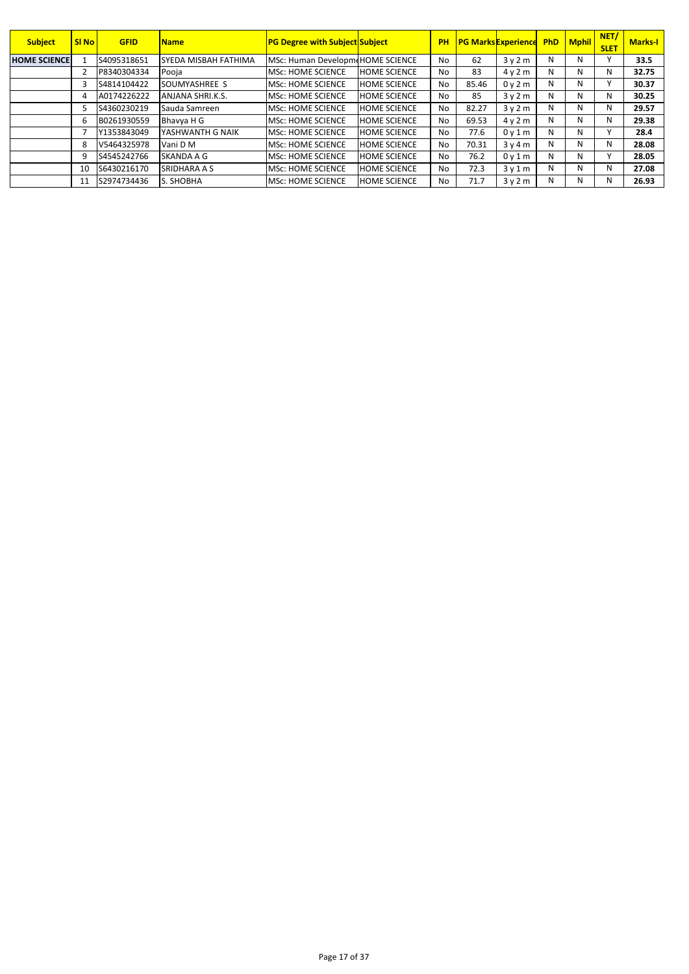| <b>Subject</b>      | <b>SI No</b> | <b>GFID</b> | <b>Name</b>                 | <b>PG Degree with Subject Subject</b> |                     | PH             |       | <b>PG Marks Experience</b> |   | <b>PhD</b> Mphil | NET/<br><b>SLET</b> | <b>Marks-I</b> |
|---------------------|--------------|-------------|-----------------------------|---------------------------------------|---------------------|----------------|-------|----------------------------|---|------------------|---------------------|----------------|
| <b>HOME SCIENCE</b> |              | S4095318651 | <b>SYEDA MISBAH FATHIMA</b> | MSc: Human DevelopmeHOME SCIENCE      |                     | N <sub>o</sub> | 62    | 3v2m                       | N | N                |                     | 33.5           |
|                     |              | P8340304334 | Pooia                       | <b>MSc: HOME SCIENCE</b>              | <b>HOME SCIENCE</b> | No             | 83    | 4v2m                       | N | N                | N                   | 32.75          |
|                     | 3            | S4814104422 | SOUMYASHREE S               | <b>MSc: HOME SCIENCE</b>              | <b>HOME SCIENCE</b> | No             | 85.46 | 0y2m                       | N | N                |                     | 30.37          |
|                     |              | A0174226222 | ANJANA SHRI.K.S.            | <b>MSc: HOME SCIENCE</b>              | <b>HOME SCIENCE</b> | No             | 85    | 3v2m                       | N | N                | N                   | 30.25          |
|                     | 5            | S4360230219 | Sauda Samreen               | <b>MSc: HOME SCIENCE</b>              | <b>HOME SCIENCE</b> | No             | 82.27 | 3v2m                       | N | N                | N                   | 29.57          |
|                     | 6            | B0261930559 | Bhavya H G                  | <b>MSc: HOME SCIENCE</b>              | <b>HOME SCIENCE</b> | No             | 69.53 | 4v2m                       | N | N                | N                   | 29.38          |
|                     |              | Y1353843049 | YASHWANTH G NAIK            | <b>MSc: HOME SCIENCE</b>              | <b>HOME SCIENCE</b> | N <sub>o</sub> | 77.6  | 0v1m                       | N | N                |                     | 28.4           |
|                     | 8            | V5464325978 | Vani D M                    | <b>MSc: HOME SCIENCE</b>              | <b>HOME SCIENCE</b> | No             | 70.31 | 3v4m                       | N | N                | N                   | 28.08          |
|                     | 9            | S4545242766 | SKANDA A G                  | <b>MSc: HOME SCIENCE</b>              | <b>HOME SCIENCE</b> | N <sub>o</sub> | 76.2  | 0v1m                       | N | N                |                     | 28.05          |
|                     | 10           | S6430216170 | <b>SRIDHARA A S</b>         | <b>MSc: HOME SCIENCE</b>              | <b>HOME SCIENCE</b> | No             | 72.3  | 3v1m                       | N | N                | N                   | 27.08          |
|                     | 11           | S2974734436 | S. SHOBHA                   | <b>MSc: HOME SCIENCE</b>              | <b>HOME SCIENCE</b> | No             | 71.7  | 3v2m                       | N | N.               | N                   | 26.93          |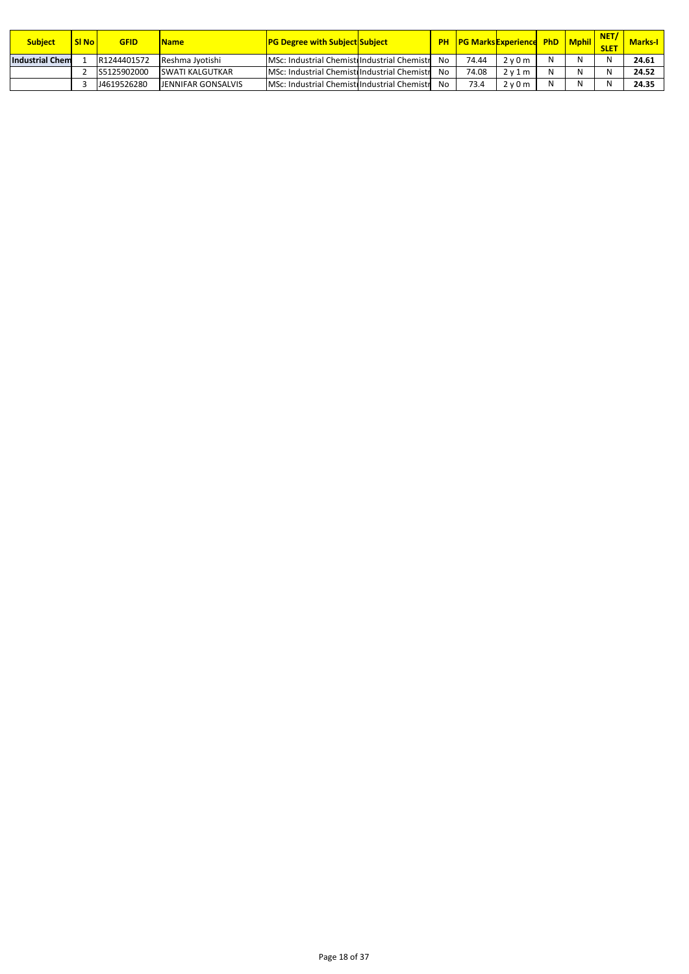| <b>Subject</b>         | <b>SI No</b> | GFID        | <b>Name</b>               | <b>PG Degree with Subject Subject</b>        | <b>PH</b> |       | <b>PG Marks Experience PhD   Mphil  </b> |   | <b>NET</b><br><b>SLET</b> | <b>Marks-I</b> |
|------------------------|--------------|-------------|---------------------------|----------------------------------------------|-----------|-------|------------------------------------------|---|---------------------------|----------------|
| <b>Industrial Chem</b> |              | R1244401572 | Reshma Jvotishi           | MSc: Industrial Chemistr Industrial Chemistr | No        | 74.44 | $2v0m$ .                                 | N |                           | 24.61          |
|                        |              | S5125902000 | <b>SWATI KALGUTKAR</b>    | MSc: Industrial Chemistr Industrial Chemistr | No        | 74.08 | 2v1m                                     | N |                           | 24.52          |
|                        |              | J4619526280 | <b>JENNIFAR GONSALVIS</b> | MSc: Industrial Chemistr Industrial Chemistr | No        | 73.4  | $7\gamma$ 0 $m$ .                        | N |                           | 24.35          |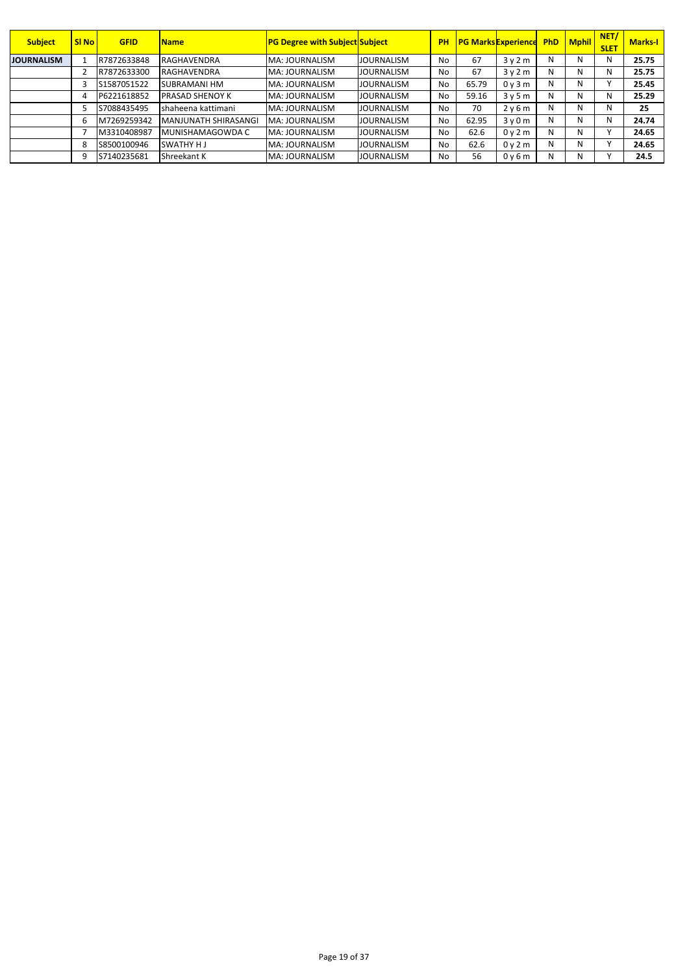| <b>Subject</b>    | <b>SI No</b> | <b>GFID</b> | <b>Name</b>                 | <b>PG Degree with Subject Subject</b> |                   | <b>PH</b> |       | <b>PG Marks Experience</b> | <b>PhD</b> | Mphil | NET/<br><b>SLET</b> | <b>Marks-I</b> |
|-------------------|--------------|-------------|-----------------------------|---------------------------------------|-------------------|-----------|-------|----------------------------|------------|-------|---------------------|----------------|
| <b>JOURNALISM</b> |              | R7872633848 | <b>RAGHAVENDRA</b>          | MA: JOURNALISM                        | <b>JOURNALISM</b> | No        | 67    | 3v2m                       | N          | N     | N                   | 25.75          |
|                   |              | R7872633300 | <b>RAGHAVENDRA</b>          | MA: JOURNALISM                        | <b>JOURNALISM</b> | No        | 67    | 3v2m                       | N          | N     | N                   | 25.75          |
|                   |              | S1587051522 | <b>SUBRAMANI HM</b>         | MA: JOURNALISM                        | <b>JOURNALISM</b> | No        | 65.79 | 0y3m                       | N          | N     |                     | 25.45          |
|                   | 4            | P6221618852 | <b>PRASAD SHENOY K</b>      | MA: JOURNALISM                        | <b>JOURNALISM</b> | No        | 59.16 | 3v5m                       | N          | N     | N                   | 25.29          |
|                   |              | S7088435495 | shaheena kattimani          | MA: JOURNALISM                        | <b>JOURNALISM</b> | No        | 70    | 2v6m                       | N          | N     | N                   | 25             |
|                   | ь            | M7269259342 | <b>MANJUNATH SHIRASANGI</b> | MA: JOURNALISM                        | <b>JOURNALISM</b> | No        | 62.95 | 3v0m                       | N          | Ν     | N                   | 24.74          |
|                   |              | M3310408987 | IMUNISHAMAGOWDA C           | MA: JOURNALISM                        | <b>JOURNALISM</b> | No        | 62.6  | 0v2m                       | N          | N     |                     | 24.65          |
|                   | -8           | S8500100946 | <b>SWATHY HJ</b>            | MA: JOURNALISM                        | <b>JOURNALISM</b> | No        | 62.6  | 0y2m                       | N          | N     |                     | 24.65          |
|                   | 9            | S7140235681 | Shreekant K                 | MA: JOURNALISM                        | <b>JOURNALISM</b> | No        | 56    | 0y6m                       | N          | N     |                     | 24.5           |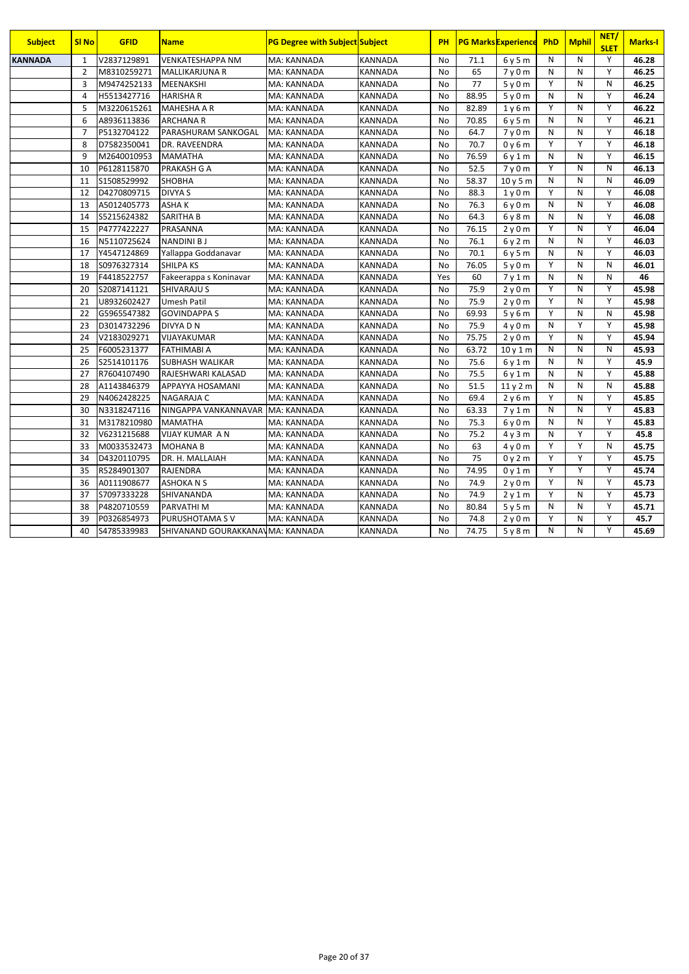| <b>Subject</b> | <b>SI No</b>   | <b>GFID</b> | <b>Name</b>                        | <b>PG Degree with Subject Subject</b> |                | PH        |       | <b>PG Marks Experience</b> | PhD            | <b>Mphil</b>   | NET/<br><b>SLET</b> | <b>Marks-I</b> |
|----------------|----------------|-------------|------------------------------------|---------------------------------------|----------------|-----------|-------|----------------------------|----------------|----------------|---------------------|----------------|
| <b>KANNADA</b> | $\mathbf{1}$   | V2837129891 | <b>VENKATESHAPPA NM</b>            | MA: KANNADA                           | <b>KANNADA</b> | <b>No</b> | 71.1  | 6y5m                       | N              | N              | Y                   | 46.28          |
|                | $\overline{2}$ | M8310259271 | <b>MALLIKARJUNA R</b>              | MA: KANNADA                           | <b>KANNADA</b> | <b>No</b> | 65    | 7v0m                       | N              | N              | $\overline{Y}$      | 46.25          |
|                | 3              | M9474252133 | MEENAKSHI                          | MA: KANNADA                           | KANNADA        | <b>No</b> | 77    | 5y0m                       | Y              | N              | N                   | 46.25          |
|                | $\overline{4}$ | H5513427716 | <b>HARISHAR</b>                    | MA: KANNADA                           | KANNADA        | <b>No</b> | 88.95 | 5y0m                       | N              | N              | Y                   | 46.24          |
|                | 5              | M3220615261 | MAHESHA A R                        | MA: KANNADA                           | KANNADA        | <b>No</b> | 82.89 | 1y6m                       | Y              | N              | Y                   | 46.22          |
|                | 6              | A8936113836 | <b>ARCHANA R</b>                   | MA: KANNADA                           | <b>KANNADA</b> | No        | 70.85 | 6y5m                       | N              | N              | Y                   | 46.21          |
|                | 7              | P5132704122 | PARASHURAM SANKOGAL                | MA: KANNADA                           | KANNADA        | <b>No</b> | 64.7  | 7y0m                       | N              | N              | Y                   | 46.18          |
|                | 8              | D7582350041 | DR. RAVEENDRA                      | MA: KANNADA                           | KANNADA        | <b>No</b> | 70.7  | 0y6m                       | Y              | Y              | Y                   | 46.18          |
|                | 9              | M2640010953 | <b>MAMATHA</b>                     | MA: KANNADA                           | KANNADA        | <b>No</b> | 76.59 | 6y1m                       | N              | N              | Y                   | 46.15          |
|                | 10             | P6128115870 | PRAKASH G A                        | MA: KANNADA                           | <b>KANNADA</b> | No        | 52.5  | 7y0m                       | Y              | N              | N                   | 46.13          |
|                | 11             | S1508529992 | <b>SHOBHA</b>                      | MA: KANNADA                           | <b>KANNADA</b> | <b>No</b> | 58.37 | 10 y 5 m                   | N              | N              | N                   | 46.09          |
|                | 12             | D4270809715 | DIVYA S                            | MA: KANNADA                           | KANNADA        | No        | 88.3  | 1y0m                       | Y              | N              | Y                   | 46.08          |
|                | 13             | A5012405773 | ASHAK                              | MA: KANNADA                           | KANNADA        | No        | 76.3  | 6y0m                       | N              | N              | Y                   | 46.08          |
|                | 14             | S5215624382 | <b>SARITHA B</b>                   | MA: KANNADA                           | <b>KANNADA</b> | <b>No</b> | 64.3  | 6y8m                       | N              | N              | Y                   | 46.08          |
|                | 15             | P4777422227 | PRASANNA                           | MA: KANNADA                           | <b>KANNADA</b> | <b>No</b> | 76.15 | 2y0m                       | Y              | N              | Y                   | 46.04          |
|                | 16             | N5110725624 | <b>NANDINI BJ</b>                  | MA: KANNADA                           | KANNADA        | No        | 76.1  | 6y2m                       | N              | N              | Y                   | 46.03          |
|                | 17             | Y4547124869 | Yallappa Goddanavar                | MA: KANNADA                           | KANNADA        | <b>No</b> | 70.1  | 6y5m                       | N              | $\overline{N}$ | $\overline{Y}$      | 46.03          |
|                | 18             | S0976327314 | <b>SHILPA KS</b>                   | MA: KANNADA                           | <b>KANNADA</b> | <b>No</b> | 76.05 | 5y0m                       | $\overline{Y}$ | N              | N                   | 46.01          |
|                | 19             | F4418522757 | Fakeerappa s Koninavar             | MA: KANNADA                           | <b>KANNADA</b> | Yes       | 60    | 7y1m                       | N              | N              | N                   | 46             |
|                | 20             | S2087141121 | <b>SHIVARAJU S</b>                 | MA: KANNADA                           | KANNADA        | <b>No</b> | 75.9  | 2y0m                       | Y              | N              | Y                   | 45.98          |
|                | 21             | U8932602427 | <b>Umesh Patil</b>                 | MA: KANNADA                           | KANNADA        | <b>No</b> | 75.9  | 2y0m                       | Y              | $\mathsf{N}$   | Y                   | 45.98          |
|                | 22             | G5965547382 | <b>GOVINDAPPA S</b>                | MA: KANNADA                           | <b>KANNADA</b> | <b>No</b> | 69.93 | 5y6m                       | Y              | N              | N                   | 45.98          |
|                | 23             | D3014732296 | DIVYA D N                          | MA: KANNADA                           | <b>KANNADA</b> | <b>No</b> | 75.9  | 4v0m                       | N              | Υ              | $\overline{Y}$      | 45.98          |
|                | 24             | V2183029271 | VIJAYAKUMAR                        | MA: KANNADA                           | KANNADA        | <b>No</b> | 75.75 | 2y0m                       | Y              | N              | Y                   | 45.94          |
|                | 25             | F6005231377 | FATHIMABI A                        | MA: KANNADA                           | KANNADA        | <b>No</b> | 63.72 | 10y1m                      | N              | N              | N                   | 45.93          |
|                | 26             | S2514101176 | SUBHASH WALIKAR                    | MA: KANNADA                           | KANNADA        | <b>No</b> | 75.6  | 6y1m                       | N              | N              | Y                   | 45.9           |
|                | 27             | R7604107490 | RAJESHWARI KALASAD                 | MA: KANNADA                           | <b>KANNADA</b> | <b>No</b> | 75.5  | 6y1m                       | N              | N              | Y                   | 45.88          |
|                | 28             | A1143846379 | APPAYYA HOSAMANI                   | MA: KANNADA                           | KANNADA        | <b>No</b> | 51.5  | $\overline{11}$ y 2 m      | N              | N              | N                   | 45.88          |
|                | 29             | N4062428225 | <b>NAGARAJA C</b>                  | MA: KANNADA                           | KANNADA        | <b>No</b> | 69.4  | 2y6m                       | Y              | N              | Y                   | 45.85          |
|                | 30             | N3318247116 | NINGAPPA VANKANNAVAR   MA: KANNADA |                                       | <b>KANNADA</b> | <b>No</b> | 63.33 | 7y1m                       | N              | N              | Y                   | 45.83          |
|                | 31             | M3178210980 | <b>MAMATHA</b>                     | MA: KANNADA                           | KANNADA        | No        | 75.3  | 6y0m                       | N              | N              | Y                   | 45.83          |
|                | 32             | V6231215688 | <b>VIJAY KUMAR A N</b>             | MA: KANNADA                           | <b>KANNADA</b> | <b>No</b> | 75.2  | 4y3m                       | N              | Υ              | Y                   | 45.8           |
|                | 33             | M0033532473 | <b>MOHANA B</b>                    | MA: KANNADA                           | KANNADA        | <b>No</b> | 63    | 4v0m                       | Y              | Y              | N                   | 45.75          |
|                | 34             | D4320110795 | DR. H. MALLAIAH                    | MA: KANNADA                           | KANNADA        | <b>No</b> | 75    | 0y2m                       | Y              | Υ              | Y                   | 45.75          |
|                | 35             | R5284901307 | <b>RAJENDRA</b>                    | MA: KANNADA                           | <b>KANNADA</b> | No        | 74.95 | 0y1m                       | Y              | Y              | Y                   | 45.74          |
|                | 36             | A0111908677 | <b>ASHOKANS</b>                    | MA: KANNADA                           | <b>KANNADA</b> | <b>No</b> | 74.9  | 2y0m                       | Y              | N              | Y                   | 45.73          |
|                | 37             | S7097333228 | SHIVANANDA                         | MA: KANNADA                           | KANNADA        | No        | 74.9  | 2y1m                       | Y              | N              | Y                   | 45.73          |
|                | 38             | P4820710559 | PARVATHI M                         | MA: KANNADA                           | KANNADA        | <b>No</b> | 80.84 | 5y5m                       | N              | N              | Y                   | 45.71          |
|                | 39             | P0326854973 | PURUSHOTAMA S V                    | MA: KANNADA                           | KANNADA        | <b>No</b> | 74.8  | 2y0m                       | $\overline{Y}$ | N              | Y                   | 45.7           |
|                | 40             | S4785339983 | SHIVANAND GOURAKKANAVMA: KANNADA   |                                       | <b>KANNADA</b> | <b>No</b> | 74.75 | 5y8m                       | N              | N              | Y                   | 45.69          |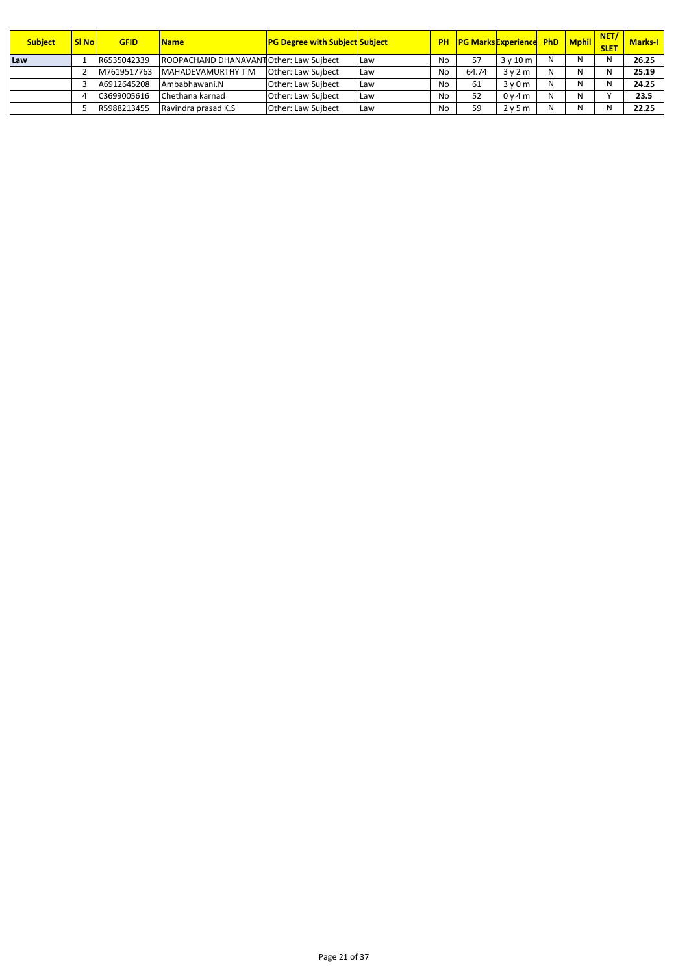| <b>Subject</b> | <b>SI No</b>  | <b>GFID</b> | <b>Name</b>                             | <b>PG Degree with Subject Subject</b> |            |    |       | <b>PH PG Marks Experience PhD Mphil</b> |   | NET/<br><b>SLET</b> | <b>Marks-I</b> |
|----------------|---------------|-------------|-----------------------------------------|---------------------------------------|------------|----|-------|-----------------------------------------|---|---------------------|----------------|
| Law            |               | R6535042339 | ROOPACHAND DHANAVANT Other: Law Suibect |                                       | <b>Law</b> | No |       | 3v10m                                   | N | N                   | 26.25          |
|                |               | M7619517763 | MAHADEVAMURTHY T M                      | <b>Other: Law Suibect</b>             | <b>Law</b> | No | 64.74 | 3v2m                                    | N | Ν                   | 25.19          |
|                |               | A6912645208 | Ambabhawani.N                           | Other: Law Suibect                    | <b>Law</b> | No | 61    | 3v0m                                    | N | N                   | 24.25          |
|                | $\mathcal{L}$ | C3699005616 | Chethana karnad                         | Other: Law Suibect                    | Law        | No | 52    | 0v4m                                    | N |                     | 23.5           |
|                |               | R5988213455 | Ravindra prasad K.S.                    | Other: Law Suibect                    | Law        | No | 59    | 2v5m                                    | N | N                   | 22.25          |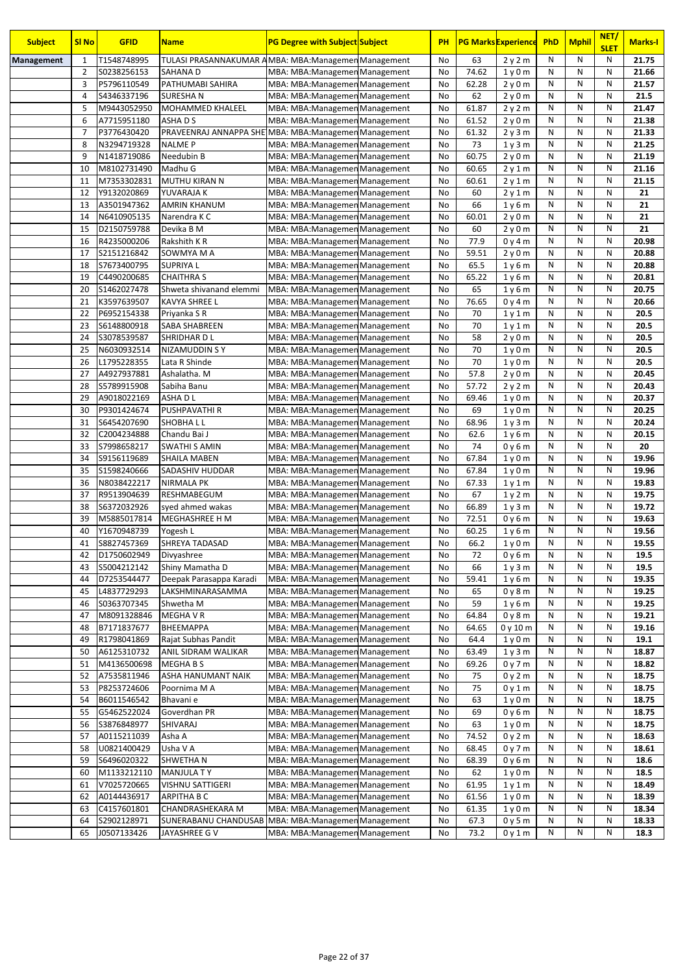| <b>Subject</b> | <b>SI No</b>        | <b>GFID</b>                | <b>Name</b>                                                            | <b>PG Degree with Subject Subject</b>                            | <b>PH</b> |                | <b>PG Marks Experience</b> | <b>PhD</b> | <b>Mphil</b> | NET/<br><b>SLET</b> | <b>Marks-I</b> |
|----------------|---------------------|----------------------------|------------------------------------------------------------------------|------------------------------------------------------------------|-----------|----------------|----------------------------|------------|--------------|---------------------|----------------|
| Management     | 1                   | T1548748995                | TULASI PRASANNAKUMAR AMBA: MBA: Managemen Management                   |                                                                  | No        | 63             | 2y2m                       | N          | N            | N                   | 21.75          |
|                | $\overline{2}$      | S0238256153                | SAHANA D                                                               | MBA: MBA: Managemen Management                                   | No        | 74.62          | 1y0m                       | N          | N            | N                   | 21.66          |
|                | 3                   | P5796110549                | PATHUMABI SAHIRA                                                       | MBA: MBA: Managemen Management                                   | No        | 62.28          | 2y0m                       | N          | N            | N                   | 21.57          |
|                | 4                   | S4346337196                | SURESHA N                                                              | MBA: MBA: Managemen Management                                   | No        | 62             | 2y0m                       | N          | N            | N                   | 21.5           |
|                | 5                   | M9443052950                | MOHAMMED KHALEEL                                                       | MBA: MBA: Managemen Management                                   | No        | 61.87          | 2y2m                       | N          | N            | N                   | 21.47          |
|                | 6                   | A7715951180                | ASHA D S                                                               | MBA: MBA: Managemen Management                                   | No        | 61.52          | 2y0m                       | N<br>N     | N<br>N       | N<br>N              | 21.38          |
|                | $\overline{7}$<br>8 | P3776430420<br>N3294719328 | PRAVEENRAJ ANNAPPA SHE MBA: MBA: Managemen Management<br><b>NALMEP</b> |                                                                  | No<br>No  | 61.32<br>73    | 2y3m                       | N          | N            | N                   | 21.33<br>21.25 |
|                | 9                   | N1418719086                | Needubin B                                                             | MBA: MBA: Managemen Management<br>MBA: MBA: Managemen Management | No        | 60.75          | 1y3m<br>2y0m               | N          | N            | N                   | 21.19          |
|                | 10                  | M8102731490                | Madhu G                                                                | MBA: MBA: Managemen Management                                   | No        | 60.65          | 2y1m                       | N          | N            | N                   | 21.16          |
|                | 11                  | M7353302831                | <b>MUTHU KIRAN N</b>                                                   | MBA: MBA: Managemen Management                                   | No        | 60.61          | 2y1m                       | N          | N            | N                   | 21.15          |
|                | 12                  | Y9132020869                | YUVARAJA K                                                             | MBA: MBA: Managemen Management                                   | No        | 60             | 2y1m                       | N          | N            | N                   | 21             |
|                | 13                  | A3501947362                | <b>AMRIN KHANUM</b>                                                    | MBA: MBA: Managemen Management                                   | No        | 66             | 1y6m                       | N          | N            | N                   | 21             |
|                | 14                  | N6410905135                | Narendra K C                                                           | MBA: MBA: Managemen Management                                   | No        | 60.01          | 2y0m                       | N          | N            | N                   | 21             |
|                | 15                  | D2150759788                | Devika B M                                                             | MBA: MBA: Managemen Management                                   | No        | 60             | 2y0m                       | N          | N            | N                   | 21             |
|                | 16                  | R4235000206                | Rakshith K R                                                           | MBA: MBA: Managemen Management                                   | No        | 77.9           | 0y4m                       | N          | N            | N                   | 20.98          |
|                | 17                  | S2151216842                | SOWMYA M A                                                             | MBA: MBA: Managemen Management                                   | No        | 59.51          | 2y0m                       | N          | N            | N                   | 20.88          |
|                | 18                  | S7673400795                | <b>SUPRIYAL</b>                                                        | MBA: MBA: Managemen Management                                   | No        | 65.5           | 1y6m                       | N          | N            | N                   | 20.88          |
|                | 19                  | C4490200685                | <b>CHAITHRA S</b>                                                      | MBA: MBA: Managemen Management                                   | No        | 65.22          | 1y6m                       | N          | N            | N                   | 20.81          |
|                | 20                  | S1462027478                | Shweta shivanand elemmi                                                | MBA: MBA: Managemen Management                                   | No        | 65             | 1y6m                       | N          | N            | N                   | 20.75          |
|                | 21                  | K3597639507                | KAVYA SHREE L                                                          | MBA: MBA: Managemen Management                                   | No        | 76.65          | 0y4m                       | N          | N            | N                   | 20.66          |
|                | 22                  | P6952154338                | Priyanka S R                                                           | MBA: MBA: Managemen Management                                   | No        | 70             | 1y1m                       | N          | N            | N                   | 20.5           |
|                | 23                  | S6148800918                | SABA SHABREEN                                                          | MBA: MBA: Managemen Management                                   | No        | 70             | 1y1m                       | N          | N            | N                   | 20.5           |
|                | 24                  | S3078539587                | SHRIDHAR D L                                                           | MBA: MBA: Managemen Management                                   | No        | 58             | 2y0m                       | N<br>N     | N            | N                   | 20.5           |
|                | 25<br>26            | N6030932514                | NIZAMUDDIN S Y<br>Lata R Shinde                                        | MBA: MBA: Managemen Management                                   | No        | 70<br>70       | 1y0m                       | N          | N<br>N       | N<br>N              | 20.5<br>20.5   |
|                | 27                  | L1795228355<br>A4927937881 | Ashalatha. M                                                           | MBA: MBA: Managemen Management<br>MBA: MBA: Managemen Management | No<br>No  | 57.8           | 1y0m<br>2y0m               | N          | N            | N                   | 20.45          |
|                | 28                  | S5789915908                | Sabiha Banu                                                            | MBA: MBA: Managemen Management                                   | No        | 57.72          | 2y2m                       | N          | N            | N                   | 20.43          |
|                | 29                  | A9018022169                | ASHA D L                                                               | MBA: MBA: Managemen Management                                   | No        | 69.46          | 1y0m                       | N          | N            | N                   | 20.37          |
|                | 30                  | P9301424674                | PUSHPAVATHI R                                                          | MBA: MBA: Managemen Management                                   | No        | 69             | 1y0m                       | N          | N            | N                   | 20.25          |
|                | 31                  | S6454207690                | SHOBHALL                                                               | MBA: MBA: Managemen Management                                   | No        | 68.96          | 1y3m                       | N          | N            | N                   | 20.24          |
|                | 32                  | C2004234888                | Chandu Bai J                                                           | MBA: MBA: Managemen Management                                   | No        | 62.6           | 1y6m                       | N          | N            | N                   | 20.15          |
|                | 33                  | S7998658217                | <b>SWATHI S AMIN</b>                                                   | MBA: MBA: Managemen Management                                   | No        | 74             | 0y6m                       | N          | N            | N                   | 20             |
|                | 34                  | S9156119689                | <b>SHAILA MABEN</b>                                                    | MBA: MBA: Managemen Management                                   | No        | 67.84          | 1y0m                       | N          | N            | N                   | 19.96          |
|                | 35                  | S1598240666                | SADASHIV HUDDAR                                                        | MBA: MBA: Managemen Management                                   | No        | 67.84          | 1y0m                       | N          | N            | N                   | 19.96          |
|                | 36                  | N8038422217                | <b>NIRMALA PK</b>                                                      | MBA: MBA: Managemen Management                                   | No        | 67.33          | 1y1m                       | N          | N            | N                   | 19.83          |
|                | 37                  | R9513904639                | RESHMABEGUM                                                            | MBA: MBA: Managemen Management                                   | <b>No</b> | 67             | 1y2m                       | N          | N            | N                   | 19.75          |
|                | 38                  | S6372032926                | syed ahmed wakas                                                       | MBA: MBA: Managemen Management                                   | No        | 66.89          | 1y3m                       | N          | N            | N                   | 19.72          |
|                | 39                  | M5885017814                | MEGHASHREE H M                                                         | MBA: MBA: Managemen Management                                   | No        | 72.51          | 0y6m                       | N          | N            | N                   | 19.63          |
|                | 40                  | Y1670948739                | Yogesh L                                                               | MBA: MBA: Managemen Management                                   | No        | 60.25          | 1y6m                       | N          | N            | $\mathsf{N}$        | 19.56          |
|                | 41                  | S8827457369                | SHREYA TADASAD                                                         | MBA: MBA: Managemen Management                                   | No        | 66.2           | 1v0m                       | N          | N<br>N       | N                   | 19.55          |
|                | 42<br>43            | D1750602949                | Divyashree<br>Shiny Mamatha D                                          | MBA: MBA: Managemen Management                                   | No<br>No  | 72             | 0y6m                       | N<br>N     | N            | N<br>N              | 19.5<br>19.5   |
|                | 44                  | S5004212142<br>D7253544477 |                                                                        | MBA: MBA: Managemen Management<br>MBA: MBA: Managemen Management | No        | 66<br>59.41    | 1y3m                       | N          | N            | N                   | 19.35          |
|                | 45                  | L4837729293                | Deepak Parasappa Karadi<br>LAKSHMINARASAMMA                            | MBA: MBA: Managemen Management                                   | No        | 65             | 1y6m<br>0y8m               | N          | N            | N                   | 19.25          |
|                | 46                  | S0363707345                | Shwetha M                                                              | MBA: MBA: Managemen Management                                   | No        | 59             | 1y6m                       | Ν          | N            | N                   | 19.25          |
|                | 47                  | M8091328846                | MEGHA V R                                                              | MBA: MBA: Managemen Management                                   | No        | 64.84          | 0y8m                       | N          | N            | N                   | 19.21          |
|                | 48                  | B7171837677                | BHEEMAPPA                                                              | MBA: MBA: Managemen Management                                   | No        | 64.65          | 0y10m                      | N          | N            | N                   | 19.16          |
|                | 49                  | R1798041869                | Rajat Subhas Pandit                                                    | MBA: MBA: Managemen Management                                   | No        | 64.4           | 1v0m                       | Ν          | N            | N                   | 19.1           |
|                | 50                  | A6125310732                | ANIL SIDRAM WALIKAR                                                    | MBA: MBA: Managemen Management                                   | No        | 63.49          | 1y3m                       | Ν          | N            | N                   | 18.87          |
|                | 51                  | M4136500698                | MEGHA B S                                                              | MBA: MBA: Managemen Management                                   | No        | 69.26          | 0y7m                       | Ν          | N            | N                   | 18.82          |
|                | 52                  | A7535811946                | ASHA HANUMANT NAIK                                                     | MBA: MBA: Managemen Management                                   | No        | 75             | 0y2m                       | Ν          | N            | N                   | 18.75          |
|                | 53                  | P8253724606                | Poornima M A                                                           | MBA: MBA: Managemen Management                                   | No        | 75             | 0y1m                       | Ν          | N            | N                   | 18.75          |
|                | 54                  | B6011546542                | Bhavani e                                                              | MBA: MBA: Managemen Management                                   | No        | 63             | 1y0m                       | N          | Ν            | N                   | 18.75          |
|                | 55                  | G5462522024                | Goverdhan PR                                                           | MBA: MBA: Managemen Management                                   | No        | 69             | 0y6m                       | N          | N            | N                   | 18.75          |
|                | 56                  | S3876848977                | SHIVARAJ                                                               | MBA: MBA: Managemen Management                                   | No        | 63             | 1y0m                       | N          | N            | N                   | 18.75          |
|                | 57                  | A0115211039                | Asha A                                                                 | MBA: MBA: Managemen Management                                   | No        | 74.52          | 0y2m                       | N          | N            | N                   | 18.63          |
|                | 58                  | U0821400429                | Usha V A                                                               | MBA: MBA: Managemen Management                                   | No        | 68.45          | 0y7m                       | N          | N            | N                   | 18.61          |
|                | 59                  | S6496020322                | SHWETHA N                                                              | MBA: MBA: Managemen Management                                   | No        | 68.39          | 0y6m                       | Ν          | N            | N                   | 18.6           |
|                | 60                  | M1133212110                | <b>MANJULA TY</b>                                                      | MBA: MBA: Managemen Management                                   | No        | 62             | 1y0m                       | Ν          | N            | N                   | 18.5           |
|                | 61<br>62            | V7025720665<br>A0144436917 | VISHNU SATTIGERI<br>ARPITHA B C                                        | MBA: MBA: Managemen Management                                   | No        | 61.95<br>61.56 | 1y1m                       | Ν<br>N     | N<br>N       | N<br>N              | 18.49<br>18.39 |
|                | 63                  | C4157601801                | CHANDRASHEKARA M                                                       | MBA: MBA: Managemen Management<br>MBA: MBA: Managemen Management | No<br>No  | 61.35          | 1y0m<br>1y0m               | Ν          | N            | N                   | 18.34          |
|                | 64                  | S2902128971                | SUNERABANU CHANDUSAB                                                   | MBA: MBA: Managemen Management                                   | No        | 67.3           | 0y5m                       | N          | N            | N                   | 18.33          |
|                | 65                  | J0507133426                | JAYASHREE G V                                                          | MBA: MBA: Managemen Management                                   | No        | 73.2           | 0y1m                       | Ν          | Ν            | N                   | 18.3           |
|                |                     |                            |                                                                        |                                                                  |           |                |                            |            |              |                     |                |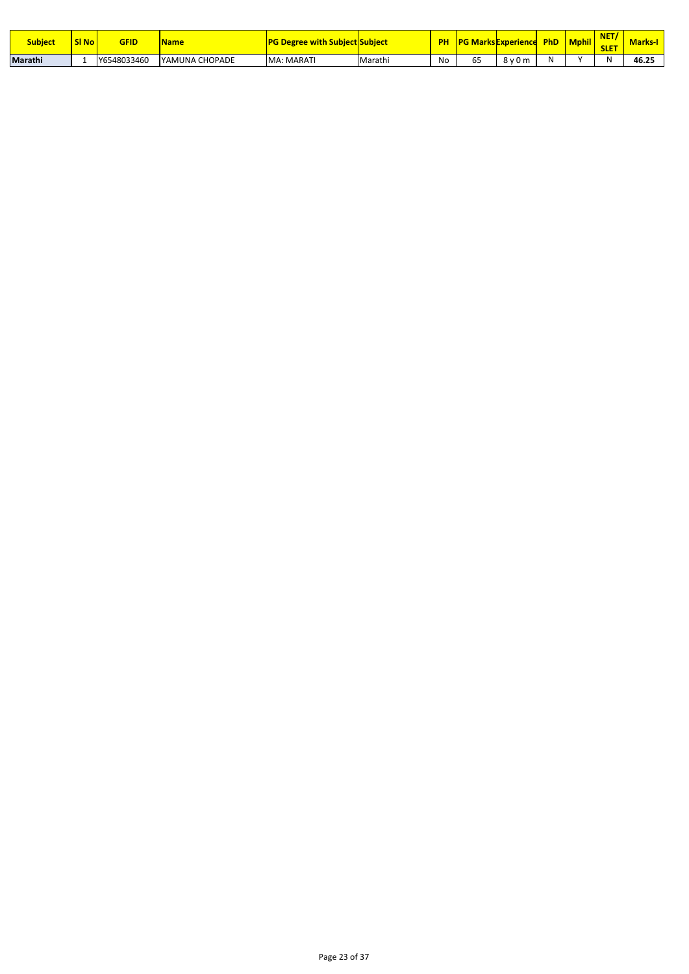| <b>Subject</b> | <b>SI Not</b> | GFID        | <b>Name</b>    | ı Subiect Subiect<br>Degree with |         | <b>PH</b> | <b>IPG Marks Experience</b> |         | PhD | <b>Mphil</b> | NET/<br><b>SLET</b> | <b>Marks-I</b> |
|----------------|---------------|-------------|----------------|----------------------------------|---------|-----------|-----------------------------|---------|-----|--------------|---------------------|----------------|
| Marathi        |               | Y6548033460 | YAMUNA CHOPADE | MA: MARATI                       | Marathi | Νo        | כס                          | 8 y 0 m | Ν   | $\cdot$      | N                   | 46.25          |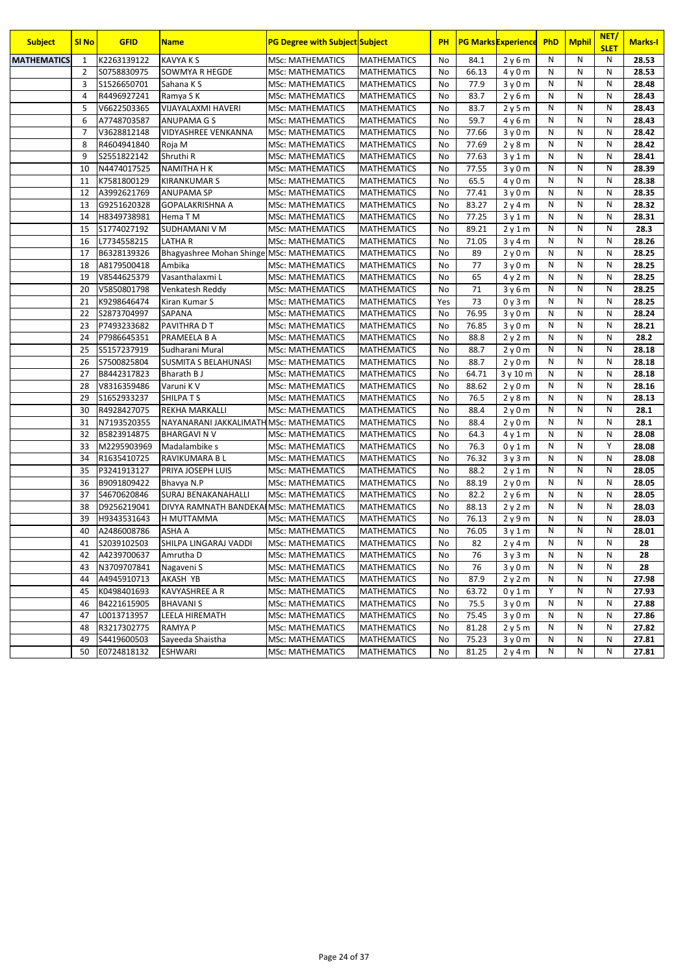| <b>Subject</b>     | <b>SI No</b>   | <b>GFID</b> | <b>Name</b>                               | <b>PG Degree with Subject Subject</b> |                    | PH        |       | <b>PG Marks Experience</b> | <b>PhD</b>   | <b>Mphil</b> | NET/<br><b>SLET</b> | <b>Marks-I</b> |
|--------------------|----------------|-------------|-------------------------------------------|---------------------------------------|--------------------|-----------|-------|----------------------------|--------------|--------------|---------------------|----------------|
| <b>MATHEMATICS</b> | 1              | K2263139122 | <b>KAVYA KS</b>                           | <b>MSc: MATHEMATICS</b>               | <b>MATHEMATICS</b> | No        | 84.1  | 2y6m                       | N            | N            | N                   | 28.53          |
|                    | $\overline{2}$ | S0758830975 | SOWMYA R HEGDE                            | MSc: MATHEMATICS                      | <b>MATHEMATICS</b> | No        | 66.13 | 4y0m                       | N            | N            | N                   | 28.53          |
|                    | 3              | S1526650701 | Sahana K S                                | MSc: MATHEMATICS                      | <b>MATHEMATICS</b> | No        | 77.9  | 3y0m                       | N            | N            | N                   | 28.48          |
|                    | $\overline{4}$ | R4496927241 | Ramya S K                                 | <b>MSc: MATHEMATICS</b>               | <b>MATHEMATICS</b> | No        | 83.7  | 2y6m                       | $\mathsf{N}$ | N            | N                   | 28.43          |
|                    | 5              | V6622503365 | VIJAYALAXMI HAVERI                        | <b>MSc: MATHEMATICS</b>               | <b>MATHEMATICS</b> | No        | 83.7  | 2y5m                       | $\mathsf{N}$ | N            | N                   | 28.43          |
|                    | 6              | A7748703587 | ANUPAMA G S                               | <b>MSc: MATHEMATICS</b>               | <b>MATHEMATICS</b> | No        | 59.7  | 4y6m                       | $\mathsf{N}$ | N            | N                   | 28.43          |
|                    | $\overline{7}$ | V3628812148 | VIDYASHREE VENKANNA                       | <b>MSc: MATHEMATICS</b>               | <b>MATHEMATICS</b> | No        | 77.66 | 3y0m                       | N            | N            | N                   | 28.42          |
|                    | 8              | R4604941840 | Roja M                                    | <b>MSc: MATHEMATICS</b>               | <b>MATHEMATICS</b> | No        | 77.69 | 2y8m                       | N            | N            | N                   | 28.42          |
|                    | 9              | S2551822142 | Shruthi R                                 | <b>MSc: MATHEMATICS</b>               | <b>MATHEMATICS</b> | No        | 77.63 | 3y1m                       | N            | N            | N                   | 28.41          |
|                    | 10             | N4474017525 | <b>NAMITHA H K</b>                        | <b>MSc: MATHEMATICS</b>               | <b>MATHEMATICS</b> | No        | 77.55 | 3y0m                       | N            | N            | N                   | 28.39          |
|                    | 11             | K7581800129 | <b>KIRANKUMAR S</b>                       | <b>MSc: MATHEMATICS</b>               | <b>MATHEMATICS</b> | No        | 65.5  | 4y0m                       | Ν            | N            | N                   | 28.38          |
|                    | 12             | A3992621769 | ANUPAMA SP                                | <b>MSc: MATHEMATICS</b>               | <b>MATHEMATICS</b> | No        | 77.41 | 3y0m                       | N            | N            | N                   | 28.35          |
|                    | 13             | G9251620328 | <b>GOPALAKRISHNA A</b>                    | <b>MSc: MATHEMATICS</b>               | <b>MATHEMATICS</b> | No        | 83.27 | 2y4m                       | N            | N            | N                   | 28.32          |
|                    | 14             | H8349738981 | Hema T M                                  | <b>MSc: MATHEMATICS</b>               | <b>MATHEMATICS</b> | No        | 77.25 | 3y1m                       | N            | N            | N                   | 28.31          |
|                    | 15             | S1774027192 | SUDHAMANI V M                             | <b>MSc: MATHEMATICS</b>               | <b>MATHEMATICS</b> | No        | 89.21 | 2y1m                       | N            | N            | N                   | 28.3           |
|                    | 16             | L7734558215 | <b>LATHAR</b>                             | <b>MSc: MATHEMATICS</b>               | <b>MATHEMATICS</b> | No        | 71.05 | 3y4m                       | N            | N            | N                   | 28.26          |
|                    | 17             | B6328139326 | Bhagyashree Mohan Shinge MSc: MATHEMATICS |                                       | <b>MATHEMATICS</b> | No        | 89    | 2y0m                       | N            | N            | N                   | 28.25          |
|                    | 18             | A8179500418 | Ambika                                    | <b>MSc: MATHEMATICS</b>               | <b>MATHEMATICS</b> | No        | 77    | 3y0m                       | N            | N            | N                   | 28.25          |
|                    | 19             | V8544625379 | Vasanthalaxmi L                           | <b>MSc: MATHEMATICS</b>               | <b>MATHEMATICS</b> | No        | 65    | 4y2m                       | N            | N            | N                   | 28.25          |
|                    | 20             | V5850801798 | Venkatesh Reddy                           | <b>MSc: MATHEMATICS</b>               | <b>MATHEMATICS</b> | No        | 71    | 3y6m                       | N            | N            | N                   | 28.25          |
|                    | 21             | K9298646474 | Kiran Kumar S                             | <b>MSc: MATHEMATICS</b>               | <b>MATHEMATICS</b> | Yes       | 73    | 0y3m                       | N            | N            | N                   | 28.25          |
|                    | 22             | S2873704997 | SAPANA                                    | MSc: MATHEMATICS                      | <b>MATHEMATICS</b> | No        | 76.95 | 3y0m                       | N            | N            | N                   | 28.24          |
|                    | 23             | P7493233682 | PAVITHRA D T                              | <b>MSc: MATHEMATICS</b>               | <b>MATHEMATICS</b> | No        | 76.85 | 3y0m                       | N            | N            | N                   | 28.21          |
|                    | 24             | P7986645351 | PRAMEELA B A                              | <b>MSc: MATHEMATICS</b>               | <b>MATHEMATICS</b> | <b>No</b> | 88.8  | 2y2m                       | N            | N            | N                   | 28.2           |
|                    | 25             | S5157237919 | Sudharani Mural                           | <b>MSc: MATHEMATICS</b>               | <b>MATHEMATICS</b> | <b>No</b> | 88.7  | 2y0m                       | N            | N            | N                   | 28.18          |
|                    | 26             | 57500825804 | <b>SUSMITA S BELAHUNASI</b>               | <b>MSc: MATHEMATICS</b>               | <b>MATHEMATICS</b> | No        | 88.7  | 2y0m                       | N            | N            | N                   | 28.18          |
|                    | 27             | B8442317823 | Bharath B J                               | <b>MSc: MATHEMATICS</b>               | <b>MATHEMATICS</b> | No        | 64.71 | 3 y 10 m                   | N            | N            | N                   | 28.18          |
|                    | 28             | V8316359486 | Varuni K V                                | <b>MSc: MATHEMATICS</b>               | <b>MATHEMATICS</b> | No        | 88.62 | 2y0m                       | $\mathsf{N}$ | N            | N                   | 28.16          |
|                    | 29             | S1652933237 | <b>SHILPATS</b>                           | <b>MSc: MATHEMATICS</b>               | <b>MATHEMATICS</b> | No        | 76.5  | 2y8m                       | $\mathsf{N}$ | N            | ${\sf N}$           | 28.13          |
|                    | 30             | R4928427075 | <b>REKHA MARKALLI</b>                     | <b>MSc: MATHEMATICS</b>               | <b>MATHEMATICS</b> | No        | 88.4  | 2y0m                       | N            | N            | N                   | 28.1           |
|                    | 31             | N7193520355 | NAYANARANI JAKKALIMATH MSc: MATHEMATICS   |                                       | <b>MATHEMATICS</b> | No        | 88.4  | 2y0m                       | $\mathsf{N}$ | N            | N                   | 28.1           |
|                    | 32             | B5823914875 | <b>BHARGAVI N V</b>                       | <b>MSc: MATHEMATICS</b>               | <b>MATHEMATICS</b> | No        | 64.3  | 4y1m                       | $\mathsf{N}$ | N            | N                   | 28.08          |
|                    | 33             | M2295903969 | Madalambike s                             | <b>MSc: MATHEMATICS</b>               | <b>MATHEMATICS</b> | No        | 76.3  | 0y1m                       | N            | N            | Y                   | 28.08          |
|                    | 34             | R1635410725 | RAVIKUMARA B L                            | <b>MSc: MATHEMATICS</b>               | <b>MATHEMATICS</b> | No        | 76.32 | 3y3m                       | Ν            | N            | N                   | 28.08          |
|                    | 35             | P3241913127 | PRIYA JOSEPH LUIS                         | <b>MSc: MATHEMATICS</b>               | <b>MATHEMATICS</b> | No        | 88.2  | 2y1m                       | N            | N            | N                   | 28.05          |
|                    | 36             | B9091809422 | Bhavya N.P                                | <b>MSc: MATHEMATICS</b>               | <b>MATHEMATICS</b> | No        | 88.19 | 2y0m                       | N            | N            | N                   | 28.05          |
|                    | 37             | S4670620846 | <b>SURAJ BENAKANAHALLI</b>                | <b>MSc: MATHEMATICS</b>               | <b>MATHEMATICS</b> | No        | 82.2  | 2y6m                       | N            | N            | N                   | 28.05          |
|                    | 38             | D9256219041 | DIVYA RAMNATH BANDEKAI MSc: MATHEMATICS   |                                       | <b>MATHEMATICS</b> | No        | 88.13 | 2y2m                       | Ν            | N            | N                   | 28.03          |
|                    | 39             | H9343531643 | H MUTTAMMA                                | <b>MSc: MATHEMATICS</b>               | <b>MATHEMATICS</b> | No        | 76.13 | 2y9m                       | N            | N            | N                   | 28.03          |
|                    | 40             | A2486008786 | ASHA A                                    | <b>MSc: MATHEMATICS</b>               | <b>MATHEMATICS</b> | No        | 76.05 | 3y1m                       | $\mathsf{N}$ | N            | N                   | 28.01          |
|                    | 41             | S2039102503 | SHILPA LINGARAJ VADDI                     | <b>MSc: MATHEMATICS</b>               | <b>MATHEMATICS</b> | No        | 82    | 2y4m                       | N            | N            | N                   | 28             |
|                    | 42             | A4239700637 | Amrutha D                                 | <b>MSc: MATHEMATICS</b>               | <b>MATHEMATICS</b> | No        | 76    | 3y3m                       | N            | N            | N                   | 28             |
|                    | 43             | N3709707841 | Nagaveni S                                | <b>MSc: MATHEMATICS</b>               | <b>MATHEMATICS</b> | No        | 76    | 3y0m                       | N            | Ν            | N                   | 28             |
|                    | 44             | A4945910713 | AKASH YB                                  | <b>MSc: MATHEMATICS</b>               | <b>MATHEMATICS</b> | No        | 87.9  | 2y2m                       | N            | N            | ${\sf N}$           | 27.98          |
|                    | 45             | K0498401693 | KAVYASHREE A R                            | <b>MSc: MATHEMATICS</b>               | <b>MATHEMATICS</b> | No        | 63.72 | 0y1m                       | Υ            | Ν            | N                   | 27.93          |
|                    | 46             | B4221615905 | <b>BHAVANIS</b>                           | MSc: MATHEMATICS                      | <b>MATHEMATICS</b> | No        | 75.5  | 3y0m                       | N            | Ν            | N                   | 27.88          |
|                    | 47             | L0013713957 | LEELA HIREMATH                            | MSc: MATHEMATICS                      | <b>MATHEMATICS</b> | No        | 75.45 | 3y0m                       | N            | N            | N                   | 27.86          |
|                    | 48             | R3217302775 | <b>RAMYAP</b>                             | <b>MSc: MATHEMATICS</b>               | <b>MATHEMATICS</b> | No        | 81.28 | 2y5m                       | N            | Ν            | N                   | 27.82          |
|                    | 49             | S4419600503 | Sayeeda Shaistha                          | MSc: MATHEMATICS                      | <b>MATHEMATICS</b> | No        | 75.23 | 3y0m                       | N            | Ν            | N                   | 27.81          |
|                    | 50             | E0724818132 | <b>ESHWARI</b>                            | MSc: MATHEMATICS                      | <b>MATHEMATICS</b> | No        | 81.25 | 2y4m                       | N            | Ν            | N                   | 27.81          |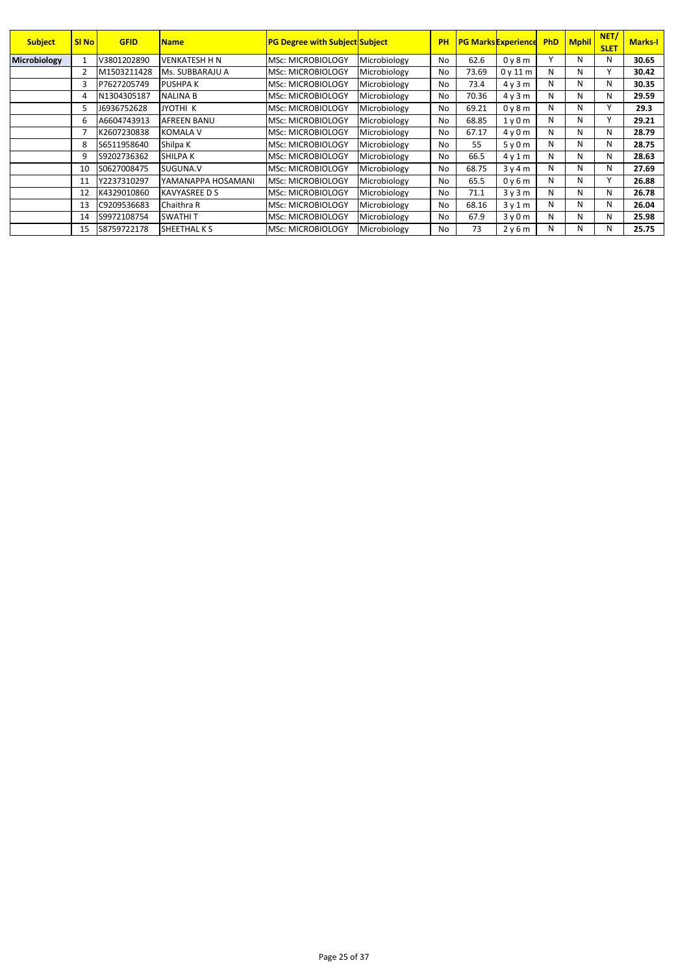| <b>Subject</b>      | SI <sub>No</sub> | <b>GFID</b> | <b>Name</b>          | <b>PG Degree with Subject Subject</b> |              | PH        |       | <b>PG Marks Experience</b> | <b>PhD</b>   | <b>Mphil</b> | NET/<br><b>SLET</b> | <b>Marks-I</b> |
|---------------------|------------------|-------------|----------------------|---------------------------------------|--------------|-----------|-------|----------------------------|--------------|--------------|---------------------|----------------|
| <b>Microbiology</b> |                  | V3801202890 | VENKATESH H N        | <b>MSc: MICROBIOLOGY</b>              | Microbiology | No        | 62.6  | 0y8m                       | $\mathsf{v}$ | N            | N                   | 30.65          |
|                     |                  | M1503211428 | Ms. SUBBARAJU A      | <b>MSc: MICROBIOLOGY</b>              | Microbiology | No        | 73.69 | 0v11m                      | N            | И            | $\mathbf{v}$        | 30.42          |
|                     | 3                | P7627205749 | <b>PUSHPAK</b>       | <b>MSc: MICROBIOLOGY</b>              | Microbiology | No        | 73.4  | 4v3m                       | N            | N            | Ν                   | 30.35          |
|                     | 4                | N1304305187 | <b>NALINA B</b>      | <b>MSc: MICROBIOLOGY</b>              | Microbiology | <b>No</b> | 70.36 | 4v3m                       | N            | и            | N                   | 29.59          |
|                     |                  | J6936752628 | JYOTHI K             | <b>MSc: MICROBIOLOGY</b>              | Microbiology | <b>No</b> | 69.21 | 0y8m                       | N            | И            |                     | 29.3           |
|                     | 6                | A6604743913 | AFREEN BANU          | <b>MSc: MICROBIOLOGY</b>              | Microbiology | No        | 68.85 | 1v0m                       | N            | N            |                     | 29.21          |
|                     |                  | K2607230838 | <b>KOMALA V</b>      | <b>MSc: MICROBIOLOGY</b>              | Microbiology | No        | 67.17 | 4v0m                       | N            | N            | N                   | 28.79          |
|                     | 8                | S6511958640 | Shilpa K             | <b>MSc: MICROBIOLOGY</b>              | Microbiology | No        | 55    | 5v0m                       | N            | N            | N                   | 28.75          |
|                     | 9                | S9202736362 | SHILPA K             | <b>IMSc: MICROBIOLOGY</b>             | Microbiology | No        | 66.5  | 4v1m                       | N            | N            | Ν                   | 28.63          |
|                     | 10               | S0627008475 | SUGUNA.V             | <b>IMSc: MICROBIOLOGY</b>             | Microbiology | No        | 68.75 | 3y4m                       | N            | и            | Ν                   | 27.69          |
|                     | 11               | Y2237310297 | YAMANAPPA HOSAMANI   | <b>MSc: MICROBIOLOGY</b>              | Microbiology | No        | 65.5  | 0y6m                       | N            | N            |                     | 26.88          |
|                     | 12               | K4329010860 | <b>KAVYASREE D S</b> | <b>IMSc: MICROBIOLOGY</b>             | Microbiology | No        | 71.1  | 3v3m                       | N            | N            | N                   | 26.78          |
|                     | 13               | C9209536683 | Chaithra R           | MSc: MICROBIOLOGY                     | Microbiology | No        | 68.16 | 3v1m                       | N            | N            | Ν                   | 26.04          |
|                     | 14               | S9972108754 | <b>SWATHIT</b>       | <b>MSc: MICROBIOLOGY</b>              | Microbiology | No        | 67.9  | 3v0m                       | N            | N            | N                   | 25.98          |
|                     | 15               | S8759722178 | SHEETHAL K S         | <b>MSc: MICROBIOLOGY</b>              | Microbiology | No        | 73    | 2y6m                       | N            | и            | N                   | 25.75          |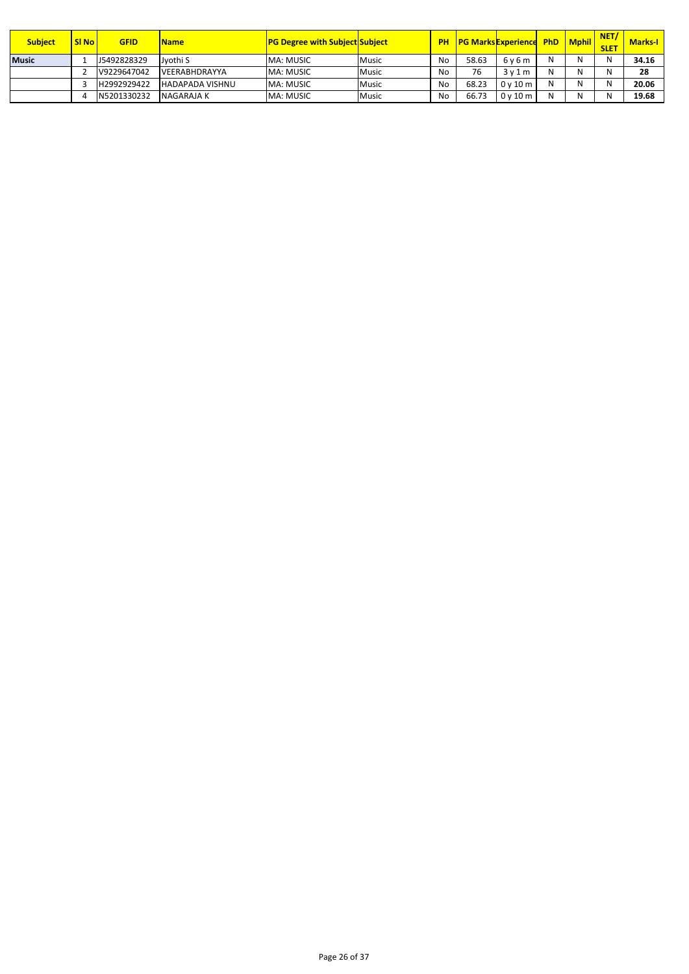| <b>Subject</b> | <b>SI No</b> | <b>GFID</b> | <b>Name</b>            | <b>PG Degree with Subject Subject</b> |              | <b>PH</b> |       | <b>PG Marks Experience</b> | <b>PhD</b> | <b>Mphil</b> | <b>NET</b><br><b>SLET</b> | <b>Marks-I</b> |
|----------------|--------------|-------------|------------------------|---------------------------------------|--------------|-----------|-------|----------------------------|------------|--------------|---------------------------|----------------|
| <b>Music</b>   |              | J5492828329 | Jyothi S               | <b>MA: MUSIC</b>                      | <b>Music</b> | No        | 58.63 | 6v6m                       | N          |              | N                         | 34.16          |
|                |              | V9229647042 | <b>VEERABHDRAYYA</b>   | <b>MA: MUSIC</b>                      | <b>Music</b> | No        | 76    | 3v1m                       | N          |              | N                         | 28             |
|                |              | H2992929422 | <b>HADAPADA VISHNU</b> | <b>MA: MUSIC</b>                      | <b>Music</b> | No.       | 68.23 | 0v10m                      | N          |              | N                         | 20.06          |
|                |              | N5201330232 | NAGARAJA K             | <b>MA: MUSIC</b>                      | <b>Music</b> | No        | 66.73 | 0v10m                      | N          |              | N                         | 19.68          |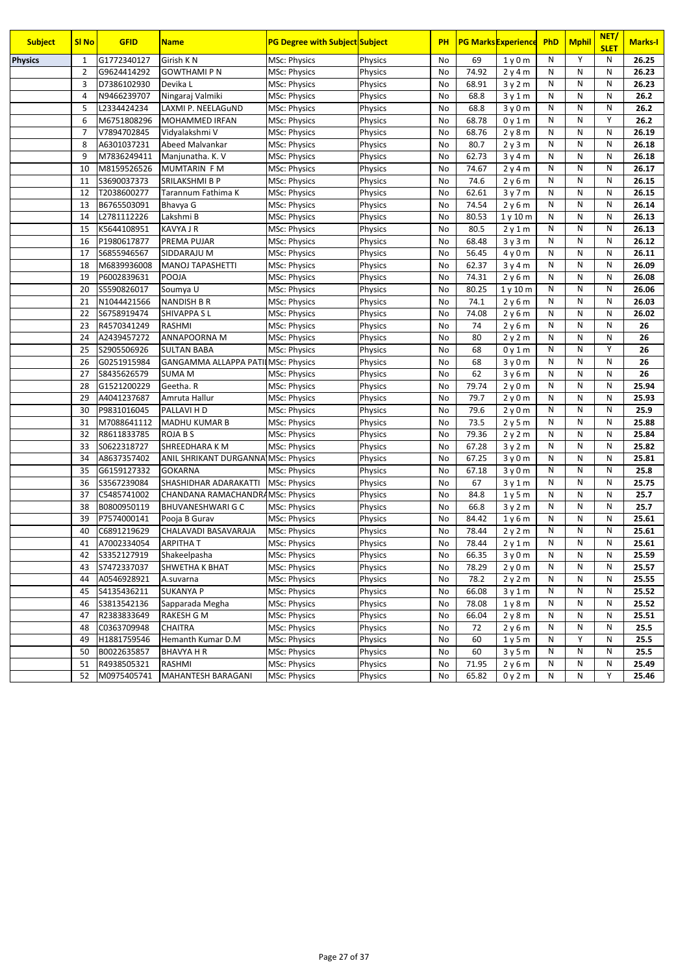| <b>Subject</b> | <b>SI No</b>   | <b>GFID</b> | <b>Name</b>                         | <b>PG Degree with Subject Subject</b> |                | PH        |       | <b>PG Marks Experience</b> | PhD | <b>Mphil</b> | NET/<br><b>SLET</b> | <b>Marks-I</b> |
|----------------|----------------|-------------|-------------------------------------|---------------------------------------|----------------|-----------|-------|----------------------------|-----|--------------|---------------------|----------------|
| <b>Physics</b> | 1              | G1772340127 | Girish KN                           | MSc: Physics                          | <b>Physics</b> | No        | 69    | 1y0m                       | N   | Y            | N                   | 26.25          |
|                | $\overline{2}$ | G9624414292 | <b>GOWTHAMI P N</b>                 | <b>MSc: Physics</b>                   | Physics        | No        | 74.92 | 2y4m                       | N   | N            | N                   | 26.23          |
|                | 3              | D7386102930 | Devika L                            | <b>MSc: Physics</b>                   | Physics        | No        | 68.91 | 3y2m                       | N   | N            | N                   | 26.23          |
|                | 4              | N9466239707 | Ningaraj Valmiki                    | <b>MSc: Physics</b>                   | Physics        | No        | 68.8  | 3v1m                       | N   | N            | N                   | 26.2           |
|                | 5              | L2334424234 | LAXMI P. NEELAGUND                  | MSc: Physics                          | Physics        | No        | 68.8  | 3y0m                       | N   | N            | N                   | 26.2           |
|                | 6              | M6751808296 | <b>MOHAMMED IRFAN</b>               | <b>MSc: Physics</b>                   | Physics        | No        | 68.78 | 0y1m                       | N   | N            | Y                   | 26.2           |
|                | 7              | V7894702845 | Vidyalakshmi V                      | <b>MSc: Physics</b>                   | Physics        | No        | 68.76 | 2y8m                       | N   | N            | N                   | 26.19          |
|                | 8              | A6301037231 | Abeed Malvankar                     | <b>MSc: Physics</b>                   | Physics        | No        | 80.7  | 2y3m                       | N   | N            | N                   | 26.18          |
|                | 9              | M7836249411 | Manjunatha. K. V                    | <b>MSc: Physics</b>                   | Physics        | No        | 62.73 | 3y4m                       | N   | N            | ${\sf N}$           | 26.18          |
|                | 10             | M8159526526 | MUMTARIN F M                        | <b>MSc: Physics</b>                   | Physics        | No        | 74.67 | 2y4m                       | N   | N            | N                   | 26.17          |
|                | 11             | S3690037373 | SRILAKSHMI B P                      | <b>MSc: Physics</b>                   | Physics        | No        | 74.6  | 2y6m                       | N   | N            | N                   | 26.15          |
|                | 12             | T2038600277 | Tarannum Fathima K                  | <b>MSc: Physics</b>                   | Physics        | <b>No</b> | 62.61 | 3y7m                       | N   | N            | N                   | 26.15          |
|                | 13             | B6765503091 | Bhavya G                            | <b>MSc: Physics</b>                   | Physics        | No        | 74.54 | 2y6m                       | N   | N            | N                   | 26.14          |
|                | 14             | L2781112226 | Lakshmi B                           | MSc: Physics                          | Physics        | No        | 80.53 | 1y10m                      | N   | N            | N                   | 26.13          |
|                | 15             | K5644108951 | <b>KAVYA J R</b>                    | <b>MSc: Physics</b>                   | Physics        | No        | 80.5  | 2y1m                       | N   | N            | N                   | 26.13          |
|                | 16             | P1980617877 | PREMA PUJAR                         | MSc: Physics                          | Physics        | No        | 68.48 | 3y3m                       | N   | N            | N                   | 26.12          |
|                | 17             | S6855946567 | SIDDARAJU M                         | <b>MSc: Physics</b>                   | Physics        | No        | 56.45 | 4y0m                       | N   | N            | N                   | 26.11          |
|                | 18             | M6839936008 | <b>MANOJ TAPASHETTI</b>             | MSc: Physics                          | Physics        | No        | 62.37 | 3y4m                       | N   | N            | N                   | 26.09          |
|                | 19             | P6002839631 | POOJA                               | MSc: Physics                          | Physics        | No        | 74.31 | 2y6m                       | N   | N            | N                   | 26.08          |
|                | 20             | S5590826017 | Soumya U                            | MSc: Physics                          | Physics        | No        | 80.25 | 1y10m                      | N   | N            | N                   | 26.06          |
|                | 21             | N1044421566 | NANDISH B R                         | MSc: Physics                          | Physics        | No        | 74.1  | 2y6m                       | N   | N            | N                   | 26.03          |
|                | 22             | S6758919474 | SHIVAPPA SL                         | MSc: Physics                          | Physics        | No        | 74.08 | 2y6m                       | N   | N            | N                   | 26.02          |
|                | 23             | R4570341249 | RASHMI                              | <b>MSc: Physics</b>                   | Physics        | No        | 74    | 2y6m                       | N   | N            | N                   | 26             |
|                | 24             | A2439457272 | ANNAPOORNA M                        | <b>MSc: Physics</b>                   | Physics        | No        | 80    | 2y2m                       | N   | N            | N                   | 26             |
|                | 25             | S2905506926 | <b>SULTAN BABA</b>                  | MSc: Physics                          | Physics        | No        | 68    | 0y1m                       | N   | N            | Υ                   | 26             |
|                | 26             | G0251915984 | GANGAMMA ALLAPPA PATIIMSC: Physics  |                                       | Physics        | No        | 68    | 3y0m                       | N   | N            | N                   | 26             |
|                | 27             | S8435626579 | <b>SUMA M</b>                       | <b>MSc: Physics</b>                   | Physics        | No        | 62    | 3y6m                       | N   | N            | N                   | 26             |
|                | 28             | G1521200229 | Geetha. R                           | MSc: Physics                          | Physics        | No        | 79.74 | 2y0m                       | N   | N            | N                   | 25.94          |
|                | 29             | A4041237687 | Amruta Hallur                       | <b>MSc: Physics</b>                   | Physics        | No        | 79.7  | 2y0m                       | N   | N            | N                   | 25.93          |
|                | 30             | P9831016045 | PALLAVI H D                         | <b>MSc: Physics</b>                   | Physics        | No        | 79.6  | 2y0m                       | N   | N            | N                   | 25.9           |
|                | 31             | M7088641112 | MADHU KUMAR B                       | <b>MSc: Physics</b>                   | Physics        | No        | 73.5  | 2y5m                       | N   | N            | N                   | 25.88          |
|                | 32             | R8611833785 | <b>ROJA B S</b>                     | MSc: Physics                          | Physics        | No        | 79.36 | 2y2m                       | N   | N            | N                   | 25.84          |
|                | 33             | S0622318727 | SHREEDHARA K M                      | MSc: Physics                          | Physics        | No        | 67.28 | 3y2m                       | N   | N            | N                   | 25.82          |
|                | 34             | A8637357402 | ANIL SHRIKANT DURGANNA MSc: Physics |                                       | Physics        | No        | 67.25 | 3y0m                       | N   | N            | N                   | 25.81          |
|                | 35             | G6159127332 | <b>GOKARNA</b>                      | MSc: Physics                          | Physics        | No        | 67.18 | 3y0m                       | N   | N            | N                   | 25.8           |
|                | 36             | S3567239084 | SHASHIDHAR ADARAKATTI               | <b>MSc: Physics</b>                   | Physics        | No        | 67    | 3y1m                       | N   | N            | N                   | 25.75          |
|                | 37             | C5485741002 | CHANDANA RAMACHANDRAMSc: Physics    |                                       | Physics        | No        | 84.8  | 1y5m                       | N   | N            | N                   | 25.7           |
|                | 38             | B0800950119 | <b>BHUVANESHWARI G C</b>            | <b>MSc: Physics</b>                   | Physics        | No        | 66.8  | 3y2m                       | N   | N            | N                   | 25.7           |
|                | 39             | P7574000141 | Pooja B Gurav                       | MSc: Physics                          | Physics        | No        | 84.42 | 1y6m                       | N   | N            | N                   | 25.61          |
|                | 40             | C6891219629 | CHALAVADI BASAVARAJA                | <b>MSc: Physics</b>                   | Physics        | No        | 78.44 | 2y2m                       | N   | N            | ${\sf N}$           | 25.61          |
|                | 41             | A7002334054 | ARPITHA T                           | MSc: Physics                          | Physics        | No        | 78.44 | 2y1m                       | N   | N            | N                   | 25.61          |
|                | 42             | S3352127919 | Shakeelpasha                        | MSc: Physics                          | Physics        | No        | 66.35 | 3y0m                       | N   | N            | N                   | 25.59          |
|                | 43             | S7472337037 | SHWETHA K BHAT                      | MSc: Physics                          | Physics        | No        | 78.29 | 2y0m                       | N   | N            | N                   | 25.57          |
|                | 44             | A0546928921 | A.suvarna                           | MSc: Physics                          | Physics        | No        | 78.2  | 2y2m                       | N   | N            | N                   | 25.55          |
|                | 45             | S4135436211 | <b>SUKANYA P</b>                    | MSc: Physics                          | Physics        | No        | 66.08 | 3y1m                       | N   | Ν            | N                   | 25.52          |
|                | 46             | S3813542136 | Sapparada Megha                     | MSc: Physics                          | Physics        | No        | 78.08 | 1y8m                       | N   | Ν            | N                   | 25.52          |
|                | 47             | R2383833649 | RAKESH G M                          | MSc: Physics                          | <b>Physics</b> | No        | 66.04 | 2y8m                       | Ν   | N            | N                   | 25.51          |
|                | 48             | C0363709948 | CHAITRA                             | MSc: Physics                          | Physics        | No        | 72    | 2y6m                       | N   | Ν            | N                   | 25.5           |
|                | 49             | H1881759546 | Hemanth Kumar D.M                   | <b>MSc: Physics</b>                   | Physics        | No        | 60    | 1y5m                       | Ν   | Υ            | N                   | 25.5           |
|                | 50             | B0022635857 | <b>BHAVYA H R</b>                   | MSc: Physics                          | Physics        | No        | 60    | 3y5m                       | Ν   | Ν            | N                   | 25.5           |
|                | 51             | R4938505321 | RASHMI                              | <b>MSc: Physics</b>                   | Physics        | No        | 71.95 | 2y6m                       | N   | N            | ${\sf N}$           | 25.49          |
|                | 52             | M0975405741 | MAHANTESH BARAGANI                  | <b>MSc: Physics</b>                   | Physics        | No        | 65.82 | 0y2m                       | Ν   | Ν            | Υ                   | 25.46          |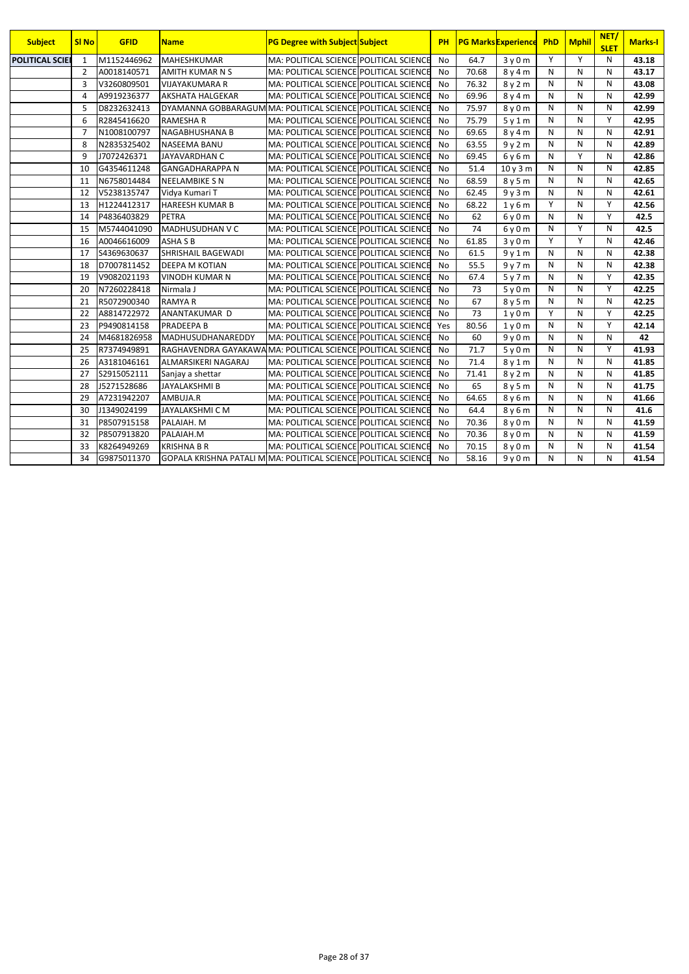| <b>Subject</b>         | <b>SI No</b>   | <b>GFID</b> | <b>Name</b>                                                     | <b>PG Degree with Subject Subject</b>   | <b>PH</b> |       | <b>PG Marks Experience</b>    | PhD          | <b>Mphil</b> | NET/<br><b>SLET</b> | <b>Marks-I</b> |
|------------------------|----------------|-------------|-----------------------------------------------------------------|-----------------------------------------|-----------|-------|-------------------------------|--------------|--------------|---------------------|----------------|
| <b>POLITICAL SCIEI</b> | 1              | M1152446962 | <b>MAHESHKUMAR</b>                                              | MA: POLITICAL SCIENCE POLITICAL SCIENCE | No        | 64.7  | 3y0m                          | Y            | Y            | N                   | 43.18          |
|                        | $\overline{2}$ | A0018140571 | <b>AMITH KUMAR N S</b>                                          | MA: POLITICAL SCIENCE POLITICAL SCIENCE | No        | 70.68 | 8y4m                          | N            | N            | N                   | 43.17          |
|                        | $\overline{3}$ | V3260809501 | <b>VIJAYAKUMARA R</b>                                           | MA: POLITICAL SCIENCE POLITICAL SCIENCE | No        | 76.32 | 8y2m                          | N            | N            | N                   | 43.08          |
|                        | $\overline{4}$ | A9919236377 | <b>AKSHATA HALGEKAR</b>                                         | MA: POLITICAL SCIENCE POLITICAL SCIENCE | No        | 69.96 | 8y4m                          | N            | N            | N                   | 42.99          |
|                        | 5              | D8232632413 | DYAMANNA GOBBARAGUM MA: POLITICAL SCIENCE POLITICAL SCIENCE     |                                         | No        | 75.97 | 8y0m                          | N            | N            | N                   | 42.99          |
|                        | 6              | R2845416620 | <b>RAMESHA R</b>                                                | MA: POLITICAL SCIENCE POLITICAL SCIENCE | <b>No</b> | 75.79 | 5y1m                          | N            | N            | Y                   | 42.95          |
|                        | $\overline{7}$ | N1008100797 | NAGABHUSHANA B                                                  | MA: POLITICAL SCIENCE POLITICAL SCIENCE | <b>No</b> | 69.65 | 8y4m                          | N            | N            | N                   | 42.91          |
|                        | 8              | N2835325402 | <b>NASEEMA BANU</b>                                             | MA: POLITICAL SCIENCE POLITICAL SCIENCE | No        | 63.55 | 9y2m                          | N            | N            | N                   | 42.89          |
|                        | 9              | J7072426371 | <b>JAYAVARDHAN C</b>                                            | MA: POLITICAL SCIENCE POLITICAL SCIENCE | <b>No</b> | 69.45 | 6y6m                          | N            | Y            | N                   | 42.86          |
|                        | 10             | G4354611248 | <b>GANGADHARAPPA N</b>                                          | MA: POLITICAL SCIENCE POLITICAL SCIENCE | <b>No</b> | 51.4  | 10v3m                         | N            | N            | N                   | 42.85          |
|                        | 11             | N6758014484 | <b>NEELAMBIKE S N</b>                                           | MA: POLITICAL SCIENCE POLITICAL SCIENCE | <b>No</b> | 68.59 | 8 y 5 m                       | N            | N            | N                   | 42.65          |
|                        | 12             | V5238135747 | Vidya Kumari T                                                  | MA: POLITICAL SCIENCE POLITICAL SCIENCE | <b>No</b> | 62.45 | 9y3m                          | N            | N            | N                   | 42.61          |
|                        | 13             | H1224412317 | <b>HAREESH KUMAR B</b>                                          | MA: POLITICAL SCIENCE POLITICAL SCIENCE | No        | 68.22 | 1v6m                          | Y            | N            | Y                   | 42.56          |
|                        | 14             | P4836403829 | PETRA                                                           | MA: POLITICAL SCIENCE POLITICAL SCIENCE | <b>No</b> | 62    | $6v$ 0 m                      | N            | N            | Y                   | 42.5           |
|                        | 15             | M5744041090 | <b>MADHUSUDHAN V C</b>                                          | MA: POLITICAL SCIENCE POLITICAL SCIENCE | No        | 74    | $6v$ 0 m                      | N            | Y            | N                   | 42.5           |
|                        | 16             | A0046616009 | <b>ASHA S B</b>                                                 | MA: POLITICAL SCIENCE POLITICAL SCIENCE | <b>No</b> | 61.85 | 3v0m                          | Y            | Y            | N                   | 42.46          |
|                        | 17             | S4369630637 | SHRISHAIL BAGEWADI                                              | MA: POLITICAL SCIENCE POLITICAL SCIENCE | <b>No</b> | 61.5  | 9y1m                          | $\mathsf{N}$ | N            | N                   | 42.38          |
|                        | 18             | D7007811452 | <b>DEEPA M KOTIAN</b>                                           | MA: POLITICAL SCIENCE POLITICAL SCIENCE | No        | 55.5  | 9y7m                          | N            | N            | N                   | 42.38          |
|                        | 19             | V9082021193 | <b>VINODH KUMAR N</b>                                           | MA: POLITICAL SCIENCE POLITICAL SCIENCE | <b>No</b> | 67.4  | 5y7m                          | N            | N            | Y                   | 42.35          |
|                        | 20             | N7260228418 | Nirmala J                                                       | MA: POLITICAL SCIENCE POLITICAL SCIENCE | No        | 73    | 5y0m                          | N            | N            | Y                   | 42.25          |
|                        | 21             | R5072900340 | <b>RAMYA R</b>                                                  | MA: POLITICAL SCIENCE POLITICAL SCIENCE | <b>No</b> | 67    | 8y5m                          | N            | $\mathsf{N}$ | N                   | 42.25          |
|                        | 22             | A8814722972 | ANANTAKUMAR D                                                   | MA: POLITICAL SCIENCE POLITICAL SCIENCE | No        | 73    | 1y0m                          | Y            | N            | Y                   | 42.25          |
|                        | 23             | P9490814158 | PRADEEPA B                                                      | MA: POLITICAL SCIENCE POLITICAL SCIENCE | Yes       | 80.56 | 1v0m                          | N            | N            | Y                   | 42.14          |
|                        | 24             | M4681826958 | MADHUSUDHANAREDDY                                               | MA: POLITICAL SCIENCE POLITICAL SCIENCE | <b>No</b> | 60    | 9v0m                          | N            | N            | N                   | 42             |
|                        | 25             | R7374949891 | RAGHAVENDRA GAYAKAWA MA: POLITICAL SCIENCE POLITICAL SCIENCE    |                                         | <b>No</b> | 71.7  | 5y0m                          | N            | N            | Y                   | 41.93          |
|                        | 26             | A3181046161 | ALMARSIKERI NAGARAJ                                             | MA: POLITICAL SCIENCE POLITICAL SCIENCE | <b>No</b> | 71.4  | 8y1m                          | N            | N            | N                   | 41.85          |
|                        | 27             | S2915052111 | Sanjay a shettar                                                | MA: POLITICAL SCIENCE POLITICAL SCIENCE | No        | 71.41 | 8y2m                          | N            | N            | N                   | 41.85          |
|                        | 28             | J5271528686 | <b>JAYALAKSHMI B</b>                                            | MA: POLITICAL SCIENCE POLITICAL SCIENCE | No        | 65    | 8y5m                          | N            | N            | N                   | 41.75          |
|                        | 29             | A7231942207 | AMBUJA.R                                                        | MA: POLITICAL SCIENCE POLITICAL SCIENCE | No        | 64.65 | 8y6m                          | N            | N            | N                   | 41.66          |
|                        | 30             | J1349024199 | JAYALAKSHMI C M                                                 | MA: POLITICAL SCIENCE POLITICAL SCIENCE | <b>No</b> | 64.4  | 8y6m                          | N            | N            | N                   | 41.6           |
|                        | 31             | P8507915158 | PALAIAH. M                                                      | MA: POLITICAL SCIENCE POLITICAL SCIENCE | <b>No</b> | 70.36 | 8y0m                          | N            | N            | N                   | 41.59          |
|                        | 32             | P8507913820 | PALAIAH.M                                                       | MA: POLITICAL SCIENCE POLITICAL SCIENCE | No        | 70.36 | 8 <sub>V</sub> 0 <sub>m</sub> | N            | N            | N                   | 41.59          |
|                        | 33             | K8264949269 | <b>KRISHNA B R</b>                                              | MA: POLITICAL SCIENCE POLITICAL SCIENCE | No        | 70.15 | 8y0m                          | N            | N            | N                   | 41.54          |
|                        | 34             | G9875011370 | GOPALA KRISHNA PATALI M MA: POLITICAL SCIENCE POLITICAL SCIENCE |                                         | <b>No</b> | 58.16 | 9v0m                          | N            | N            | N                   | 41.54          |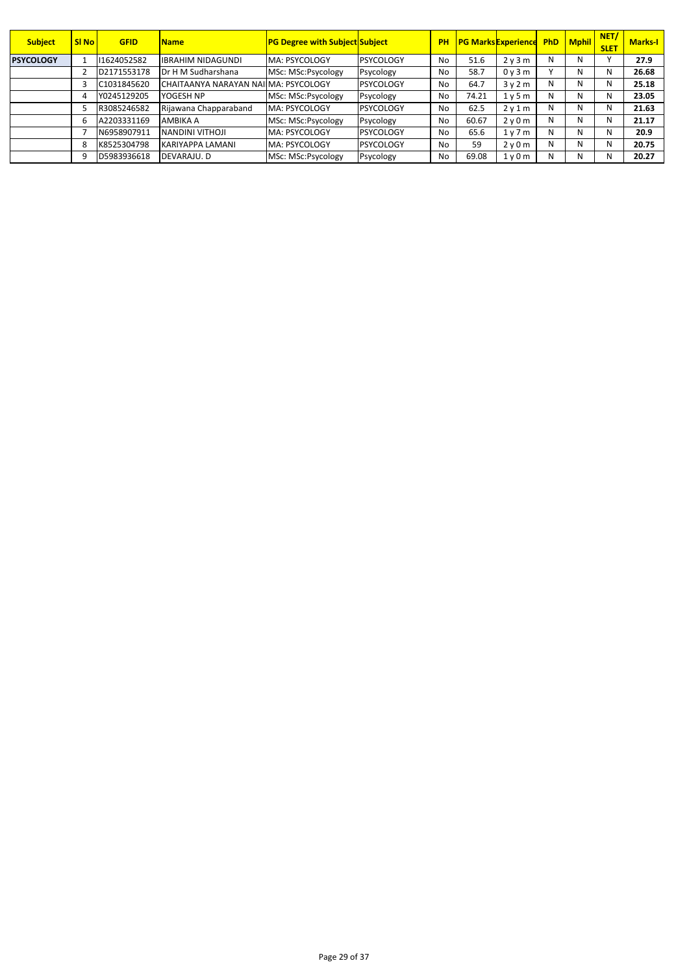| <b>Subject</b>   | <b>SI No</b> | <b>GFID</b> | Name                                 | <b>PG Degree with Subject Subject</b> |                  | PH |       | <b>PG Marks Experience</b> |   | <b>PhD</b> Mphil | NET/<br><b>SLET</b> | <b>Marks-I</b> |
|------------------|--------------|-------------|--------------------------------------|---------------------------------------|------------------|----|-------|----------------------------|---|------------------|---------------------|----------------|
| <b>PSYCOLOGY</b> |              | 1624052582  | IIBRAHIM NIDAGUNDI                   | MA: PSYCOLOGY                         | PSYCOLOGY        | No | 51.6  | 2y3m                       | N | N.               |                     | 27.9           |
|                  |              | D2171553178 | Dr H M Sudharshana                   | MSc: MSc:Psycology                    | Psycology        | No | 58.7  | 0y3m                       |   | N                | N                   | 26.68          |
|                  |              | C1031845620 | CHAITAANYA NARAYAN NAI MA: PSYCOLOGY |                                       | <b>PSYCOLOGY</b> | No | 64.7  | 3v2m                       | N | N                | N                   | 25.18          |
|                  |              | Y0245129205 | YOGESH NP                            | MSc: MSc:Psycology                    | Psycology        | No | 74.21 | 1v5m                       | N | N                | N                   | 23.05          |
|                  |              | R3085246582 | Rijawana Chapparaband                | MA: PSYCOLOGY                         | <b>PSYCOLOGY</b> | No | 62.5  | 2v1m                       | N | N.               | N                   | 21.63          |
|                  | 6            | A2203331169 | AMBIKA A                             | MSc: MSc:Psycology                    | Psycology        | No | 60.67 | 2v0m                       | N | N                | N                   | 21.17          |
|                  |              | N6958907911 | <b>NANDINI VITHOJI</b>               | MA: PSYCOLOGY                         | <b>PSYCOLOGY</b> | No | 65.6  | 1v7m                       | N | N                | N                   | 20.9           |
|                  | 8            | K8525304798 | KARIYAPPA LAMANI                     | MA: PSYCOLOGY                         | PSYCOLOGY        | No | 59    | 2v0m                       | N | N                | N                   | 20.75          |
|                  | 9            | D5983936618 | DEVARAJU. D                          | MSc: MSc:Psycology                    | Psycology        | No | 69.08 | 1y0m                       | N | N.               | N                   | 20.27          |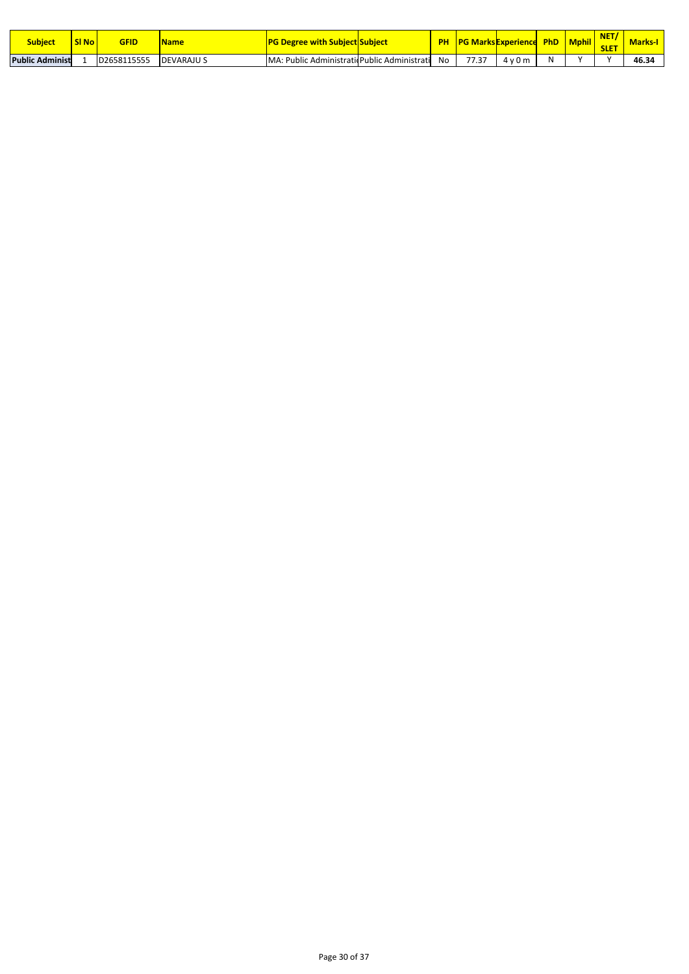| <b>Subject</b>          | <b>SI No No</b> | <b>GFID</b> | Name              | <u>G Degree with Subject Subject_</u> |                                    |    | <b>IPG Marks Experience</b> |      | <b>PhD</b> | <b>Mphil</b> | <b>NICT</b><br>.<br><b>SLET</b> | <b>Marks-I</b> |
|-------------------------|-----------------|-------------|-------------------|---------------------------------------|------------------------------------|----|-----------------------------|------|------------|--------------|---------------------------------|----------------|
| <b>Public Administi</b> |                 | D2658115555 | <b>DEVARAJU S</b> | : Public<br>MA:                       | c AdministraticPublic Administrati | No | 77.27<br>ر ،                | 4v0m | -N.        |              |                                 | 46.34          |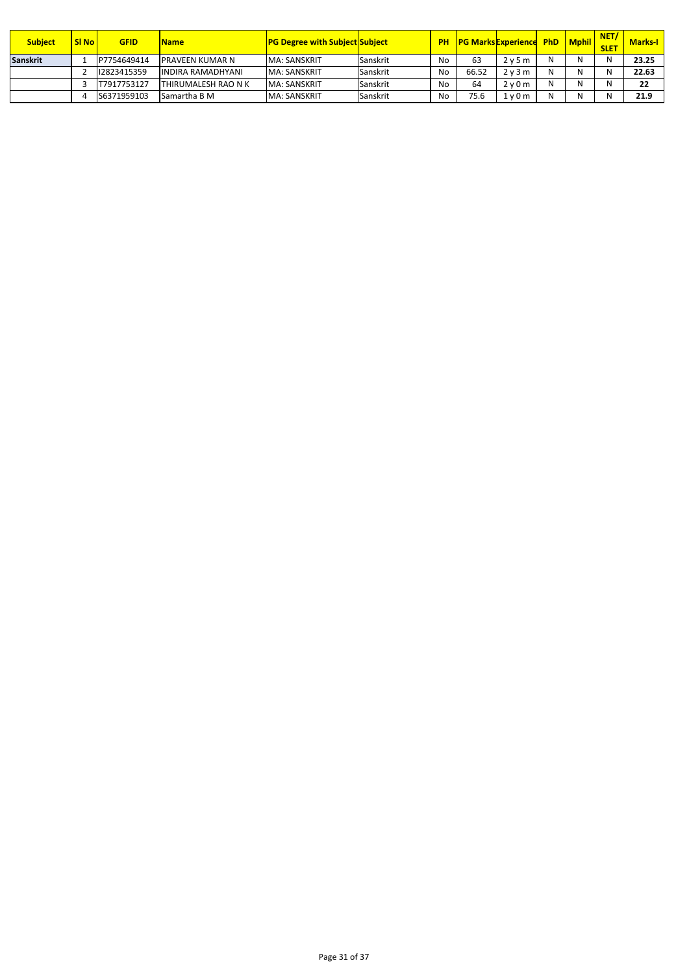| <b>Subject</b>  | <b>SI No</b> | <b>GFID</b> | <b>Name</b>                | <b>PG Degree with Subject Subject</b> |          | <b>PH</b> |       | <b>PG Marks Experience</b> | <b>PhD</b> | <b>Mphil</b> | NET/<br><b>SLET</b> | <b>Marks-I</b> |
|-----------------|--------------|-------------|----------------------------|---------------------------------------|----------|-----------|-------|----------------------------|------------|--------------|---------------------|----------------|
| <b>Sanskrit</b> |              | P7754649414 | <b>IPRAVEEN KUMAR N</b>    | <b>MA: SANSKRIT</b>                   | Sanskrit | No        | 63    | 2v5m                       |            | N            | N                   | 23.25          |
|                 |              | 12823415359 | <b>INDIRA RAMADHYANI</b>   | <b>MA: SANSKRIT</b>                   | Sanskrit | No        | 66.52 | 2v3m                       |            | N            | N                   | 22.63          |
|                 |              | T7917753127 | <b>THIRUMALESH RAO N K</b> | <b>MA: SANSKRIT</b>                   | Sanskrit | No        | 64    | 2v0m                       |            | N            | N                   | 22             |
|                 |              | S6371959103 | <b>Samartha B M</b>        | <b>MA: SANSKRIT</b>                   | Sanskrit | No        | 75.6  | 1 v 0 m                    |            | N            | N                   | 21.9           |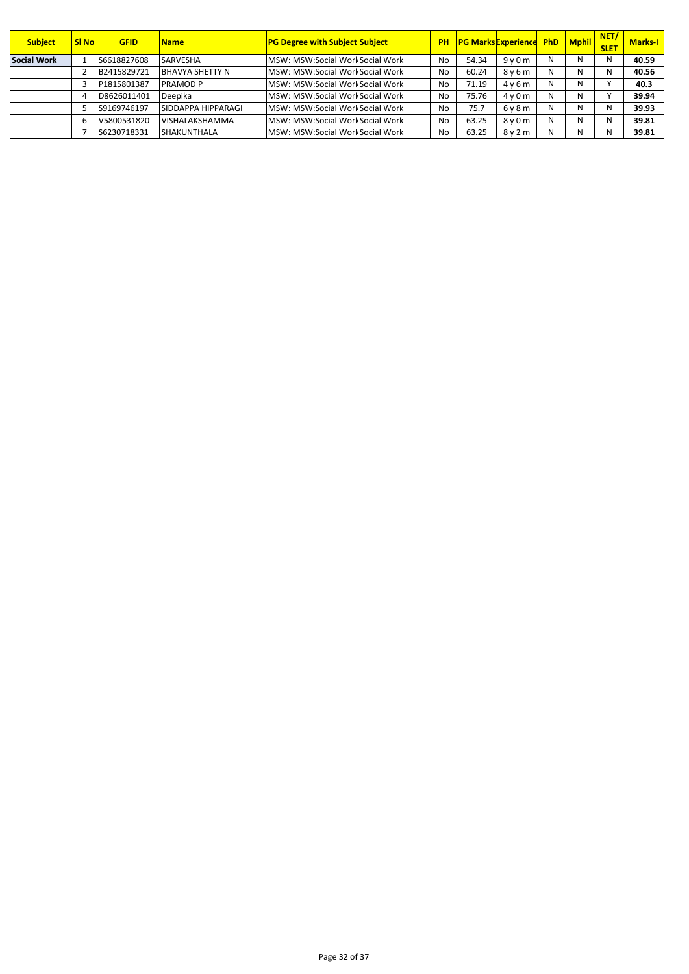| <b>Subject</b>     | SI <sub>No</sub> | <b>GFID</b> | Name                   | <b>PG Degree with Subject Subject</b> |           | <b>PH PG Marks Experience PhD Mphil</b> |                               |   |   | NET/<br><b>SLET</b> | <b>Marks-I</b> |
|--------------------|------------------|-------------|------------------------|---------------------------------------|-----------|-----------------------------------------|-------------------------------|---|---|---------------------|----------------|
| <b>Social Work</b> |                  | S6618827608 | <b>SARVESHA</b>        | MSW: MSW:Social WorkSocial Work       | <b>No</b> | 54.34                                   | 9v0m                          | N | N | N                   | 40.59          |
|                    |                  | B2415829721 | <b>BHAVYA SHETTY N</b> | MSW: MSW:Social WorkSocial Work       | No        | 60.24                                   | 8y6m                          | N | N | N                   | 40.56          |
|                    |                  | P1815801387 | <b>PRAMOD P</b>        | MSW: MSW:Social WorkSocial Work       | No        | 71.19                                   | 4v6m                          | N | N |                     | 40.3           |
|                    |                  | D8626011401 | Deepika                | MSW: MSW:Social WorkSocial Work       | No        | 75.76                                   | 4v0m                          | N | N |                     | 39.94          |
|                    |                  | S9169746197 | SIDDAPPA HIPPARAGI     | MSW: MSW:Social WorkSocial Work       | No        | 75.7                                    | 6y8m                          | N | N | N                   | 39.93          |
|                    | b                | V5800531820 | VISHALAKSHAMMA         | MSW: MSW:Social WorkSocial Work       | No        | 63.25                                   | 8 <sub>V</sub> 0 <sub>m</sub> | N | N | N                   | 39.81          |
|                    |                  | S6230718331 | <b>SHAKUNTHALA</b>     | MSW: MSW:Social WorkSocial Work       | No        | 63.25                                   | 8y2m                          | N | N | N                   | 39.81          |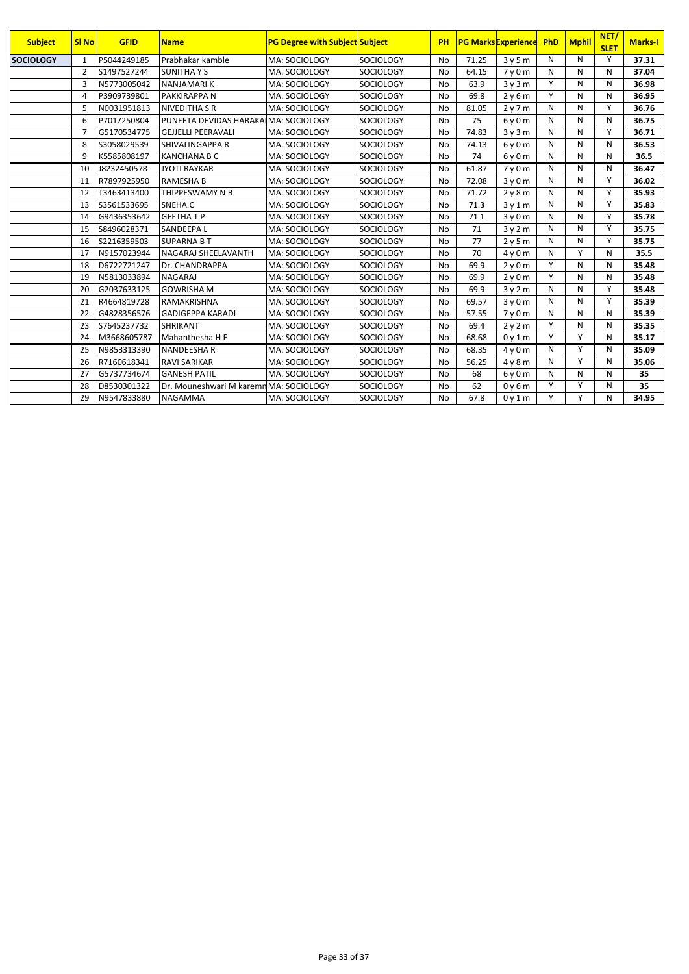| <b>Subject</b>   | <b>SI No</b>   | <b>GFID</b> | <b>Name</b>                            | <b>PG Degree with Subject Subject</b> |                  | PH        |       | <b>PG Marks Experience</b>    | PhD          | <b>Mphil</b> | NET/<br><b>SLET</b> | <b>Marks-I</b> |
|------------------|----------------|-------------|----------------------------------------|---------------------------------------|------------------|-----------|-------|-------------------------------|--------------|--------------|---------------------|----------------|
| <b>SOCIOLOGY</b> | $\mathbf{1}$   | P5044249185 | Prabhakar kamble                       | MA: SOCIOLOGY                         | <b>SOCIOLOGY</b> | <b>No</b> | 71.25 | 3y5m                          | N            | N            | Y                   | 37.31          |
|                  | $\overline{2}$ | S1497527244 | <b>SUNITHAYS</b>                       | MA: SOCIOLOGY                         | SOCIOLOGY        | <b>No</b> | 64.15 | 7y0m                          | N            | N            | N                   | 37.04          |
|                  | $\overline{3}$ | N5773005042 | <b>NANJAMARIK</b>                      | MA: SOCIOLOGY                         | <b>SOCIOLOGY</b> | <b>No</b> | 63.9  | 3y3m                          | Y            | N            | N                   | 36.98          |
|                  | 4              | P3909739801 | <b>PAKKIRAPPAN</b>                     | MA: SOCIOLOGY                         | SOCIOLOGY        | No        | 69.8  | 2y6m                          | Y            | N            | N                   | 36.95          |
|                  | 5              | N0031951813 | <b>NIVEDITHA S R</b>                   | MA: SOCIOLOGY                         | <b>SOCIOLOGY</b> | <b>No</b> | 81.05 | 2y7m                          | N            | N            | Υ                   | 36.76          |
|                  | 6              | P7017250804 | PUNEETA DEVIDAS HARAKAIMA: SOCIOLOGY   |                                       | <b>SOCIOLOGY</b> | <b>No</b> | 75    | 6y0m                          | N            | N            | N                   | 36.75          |
|                  | $\overline{7}$ | G5170534775 | <b>GEJJELLI PEERAVALI</b>              | MA: SOCIOLOGY                         | SOCIOLOGY        | <b>No</b> | 74.83 | 3y3m                          | N            | N            | Υ                   | 36.71          |
|                  | 8              | S3058029539 | <b>SHIVALINGAPPA R</b>                 | MA: SOCIOLOGY                         | <b>SOCIOLOGY</b> | <b>No</b> | 74.13 | 6y0m                          | N            | N            | N                   | 36.53          |
|                  | 9              | K5585808197 | <b>KANCHANA B C</b>                    | MA: SOCIOLOGY                         | <b>SOCIOLOGY</b> | No        | 74    | 6y0m                          | N            | N            | N                   | 36.5           |
|                  | 10             | J8232450578 | <b>JYOTI RAYKAR</b>                    | MA: SOCIOLOGY                         | SOCIOLOGY        | <b>No</b> | 61.87 | 7 <sub>V</sub> 0 <sub>m</sub> | N            | N            | N                   | 36.47          |
|                  | 11             | R7897925950 | <b>RAMESHA B</b>                       | MA: SOCIOLOGY                         | <b>SOCIOLOGY</b> | <b>No</b> | 72.08 | 3y0m                          | N            | N            | Υ                   | 36.02          |
|                  | 12             | T3463413400 | THIPPESWAMY N B                        | MA: SOCIOLOGY                         | <b>SOCIOLOGY</b> | No        | 71.72 | 2y8m                          | N            | N            | Y                   | 35.93          |
|                  | 13             | S3561533695 | SNEHA.C                                | MA: SOCIOLOGY                         | <b>SOCIOLOGY</b> | No        | 71.3  | 3y1m                          | N            | N            | Υ                   | 35.83          |
|                  | 14             | G9436353642 | <b>GEETHATP</b>                        | MA: SOCIOLOGY                         | <b>SOCIOLOGY</b> | <b>No</b> | 71.1  | 3v0m                          | N            | N            | Υ                   | 35.78          |
|                  | 15             | S8496028371 | <b>SANDEEPAL</b>                       | MA: SOCIOLOGY                         | <b>SOCIOLOGY</b> | No        | 71    | 3y2m                          | N            | N            | Y                   | 35.75          |
|                  | 16             | S2216359503 | <b>SUPARNA B T</b>                     | MA: SOCIOLOGY                         | <b>SOCIOLOGY</b> | <b>No</b> | 77    | 2y5m                          | N            | N            | Y                   | 35.75          |
|                  | 17             | N9157023944 | NAGARAJ SHEELAVANTH                    | MA: SOCIOLOGY                         | <b>SOCIOLOGY</b> | <b>No</b> | 70    | 4v0m                          | N            | Υ            | N                   | 35.5           |
|                  | 18             | D6722721247 | Dr. CHANDRAPPA                         | MA: SOCIOLOGY                         | <b>SOCIOLOGY</b> | <b>No</b> | 69.9  | 2y0m                          | Y            | N            | N                   | 35.48          |
|                  | 19             | N5813033894 | <b>NAGARAJ</b>                         | MA: SOCIOLOGY                         | <b>SOCIOLOGY</b> | No        | 69.9  | 2y0m                          | Y            | N            | N                   | 35.48          |
|                  | 20             | G2037633125 | <b>GOWRISHA M</b>                      | MA: SOCIOLOGY                         | <b>SOCIOLOGY</b> | <b>No</b> | 69.9  | 3y2m                          | N            | N            | Υ                   | 35.48          |
|                  | 21             | R4664819728 | <b>RAMAKRISHNA</b>                     | MA: SOCIOLOGY                         | SOCIOLOGY        | <b>No</b> | 69.57 | 3y0m                          | N            | N            | Y                   | 35.39          |
|                  | 22             | G4828356576 | <b>GADIGEPPA KARADI</b>                | MA: SOCIOLOGY                         | SOCIOLOGY        | <b>No</b> | 57.55 | 7y0m                          | N            | N            | N                   | 35.39          |
|                  | 23             | S7645237732 | <b>SHRIKANT</b>                        | MA: SOCIOLOGY                         | <b>SOCIOLOGY</b> | No        | 69.4  | 2y2m                          | Υ            | N            | N                   | 35.35          |
|                  | 24             | M3668605787 | Mahanthesha H E                        | MA: SOCIOLOGY                         | <b>SOCIOLOGY</b> | <b>No</b> | 68.68 | 0y1m                          | $\mathsf{v}$ | Y            | N                   | 35.17          |
|                  | 25             | N9853313390 | <b>NANDEESHAR</b>                      | MA: SOCIOLOGY                         | <b>SOCIOLOGY</b> | <b>No</b> | 68.35 | 4y0m                          | N            | Υ            | N                   | 35.09          |
|                  | 26             | R7160618341 | <b>RAVI SARIKAR</b>                    | MA: SOCIOLOGY                         | SOCIOLOGY        | <b>No</b> | 56.25 | 4y8m                          | N            | Υ            | N                   | 35.06          |
|                  | 27             | G5737734674 | <b>GANESH PATIL</b>                    | MA: SOCIOLOGY                         | <b>SOCIOLOGY</b> | <b>No</b> | 68    | 6y0m                          | N            | N            | N                   | 35             |
|                  | 28             | D8530301322 | Dr. Mouneshwari M karemn MA: SOCIOLOGY |                                       | <b>SOCIOLOGY</b> | <b>No</b> | 62    | 0y6m                          | Υ            | Υ            | N                   | 35             |
|                  | 29             | N9547833880 | <b>NAGAMMA</b>                         | MA: SOCIOLOGY                         | <b>SOCIOLOGY</b> | No        | 67.8  | 0y1m                          | Υ            | Υ            | N                   | 34.95          |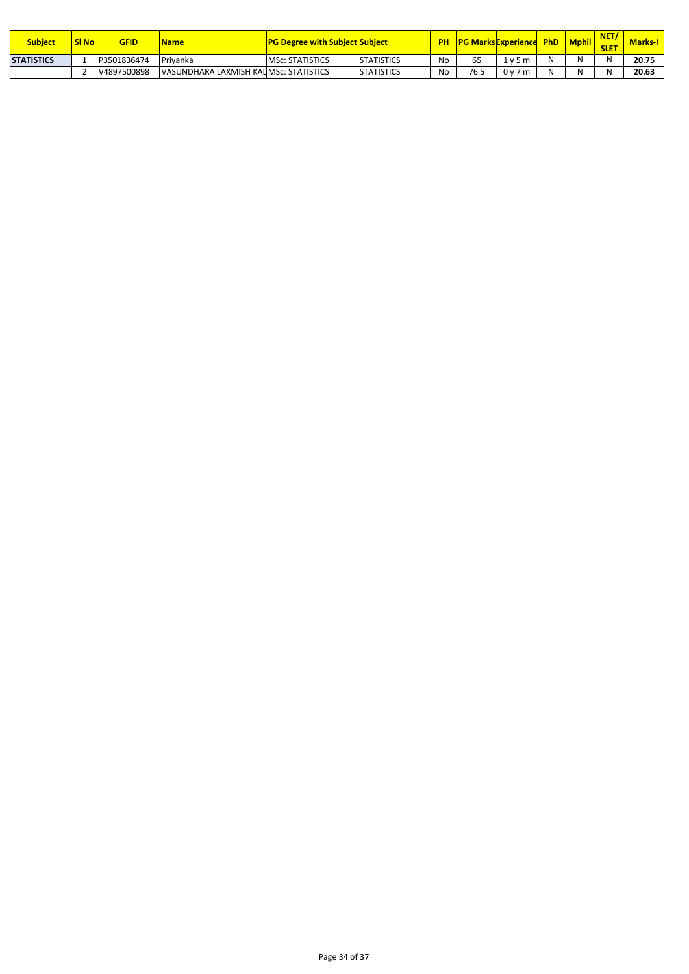| <b>Subject</b>    | SI <sub>No</sub> | GFID        | <b>Name</b>                            | <b>TPG Degree with Subject Subject</b> |                   | <b>PH</b> |      | <b>No PG Marks Experience PhD</b> |   | <b>Mphil</b> | <b>NET</b><br><b>SLET</b> | <b>Marks-I</b> |
|-------------------|------------------|-------------|----------------------------------------|----------------------------------------|-------------------|-----------|------|-----------------------------------|---|--------------|---------------------------|----------------|
| <b>STATISTICS</b> |                  | P3501836474 | Privanka                               | <b>MSC: STATISTICS</b>                 | <b>STATISTICS</b> | No        |      | 1 v 5 m                           | N | <b>NI</b>    |                           | 20.75          |
|                   |                  | V4897500898 | VASUNDHARA LAXMISH KAILMSC: STATISTICS |                                        | <b>STATISTICS</b> | No        | 76.5 | 0v7m                              | N | N.I          |                           | 20.63          |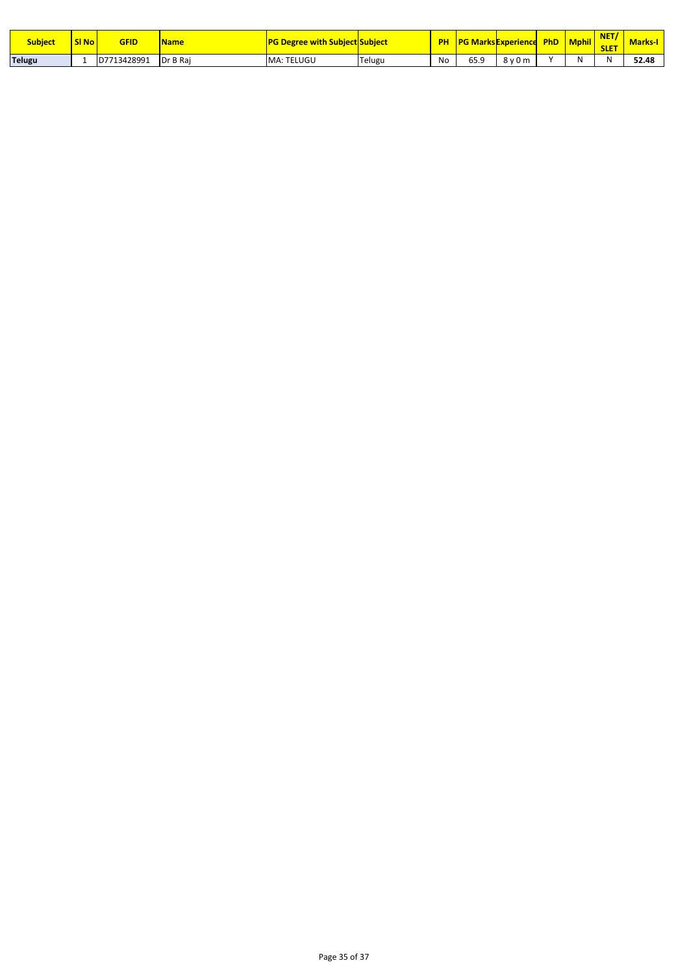| <b>Subject</b> | SI <sub>No</sub> | GFID        | <b>Name</b>     | <b>PG Degree with Subject Subject</b> |        | PH | <b>PG Marks Experience</b> |                        | <b>PhD</b> | <b>Mphil</b> | <b>NET</b><br><b>SLET</b> | <b>Marks</b> |
|----------------|------------------|-------------|-----------------|---------------------------------------|--------|----|----------------------------|------------------------|------------|--------------|---------------------------|--------------|
| <b>Telugu</b>  |                  | D7713428991 | <b>Dr B Rai</b> | MA: TELUGU                            | Telugu | No | 65.9                       | 8v <sup>2</sup><br>0 m |            | N            | N                         | 52.48        |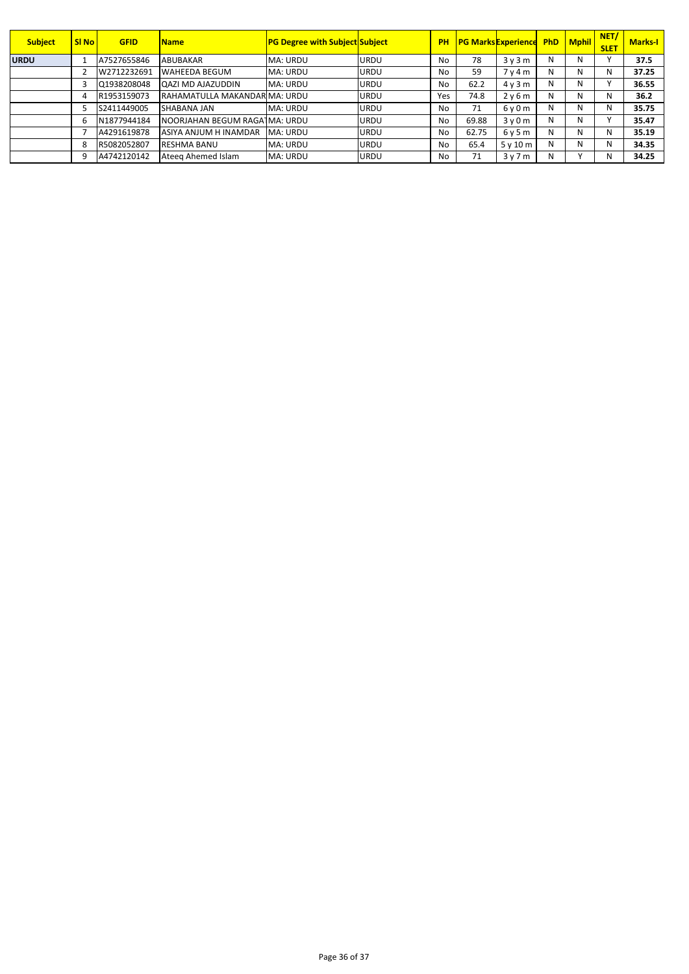| <b>Subject</b> | <b>SI No</b> | <b>GFID</b> | <b>Name</b>                   | <b>PG Degree with Subject Subject</b> |             | <b>PH</b> |       | <b>PG Marks Experience PhD   Mphil  </b> |   |    | NET/<br><b>SLET</b> | <b>Marks-I</b> |
|----------------|--------------|-------------|-------------------------------|---------------------------------------|-------------|-----------|-------|------------------------------------------|---|----|---------------------|----------------|
| <b>URDU</b>    |              | A7527655846 | ABUBAKAR                      | MA: URDU                              | <b>URDU</b> | No        | 78    | 3v3m                                     | N | N. |                     | 37.5           |
|                |              | W2712232691 | <b>WAHEEDA BEGUM</b>          | <b>MA: URDU</b>                       | <b>URDU</b> | No        | 59    | 7 <sub>V</sub> 4 <sub>m</sub>            | N | N  | N                   | 37.25          |
|                |              | Q1938208048 | <b>QAZI MD AJAZUDDIN</b>      | MA: URDU                              | <b>URDU</b> | No        | 62.2  | 4v3m                                     | N | N. |                     | 36.55          |
|                | 4            | R1953159073 | RAHAMATULLA MAKANDAR MA: URDU |                                       | <b>URDU</b> | Yes       | 74.8  | 2v6m                                     | N | N  | N                   | 36.2           |
|                |              | S2411449005 | SHABANA JAN                   | MA: URDU                              | <b>URDU</b> | No        | 71    | $6v$ 0 m                                 | N | N  | N                   | 35.75          |
|                | 6            | N1877944184 | NOORJAHAN BEGUM RAGA MA: URDU |                                       | <b>URDU</b> | No        | 69.88 | 3v0m                                     | N | N  |                     | 35.47          |
|                |              | A4291619878 | ASIYA ANJUM H INAMDAR         | MA: URDU                              | <b>URDU</b> | No        | 62.75 | 6y5m                                     | N | N  | N                   | 35.19          |
|                | 8            | R5082052807 | <b>RESHMA BANU</b>            | MA: URDU                              | <b>URDU</b> | No        | 65.4  | 5v10m                                    | N | N  | N                   | 34.35          |
|                | 9            | A4742120142 | Ateeg Ahemed Islam            | MA: URDU                              | <b>URDU</b> | No        | 71    | 3v7m                                     | Ν |    | N                   | 34.25          |